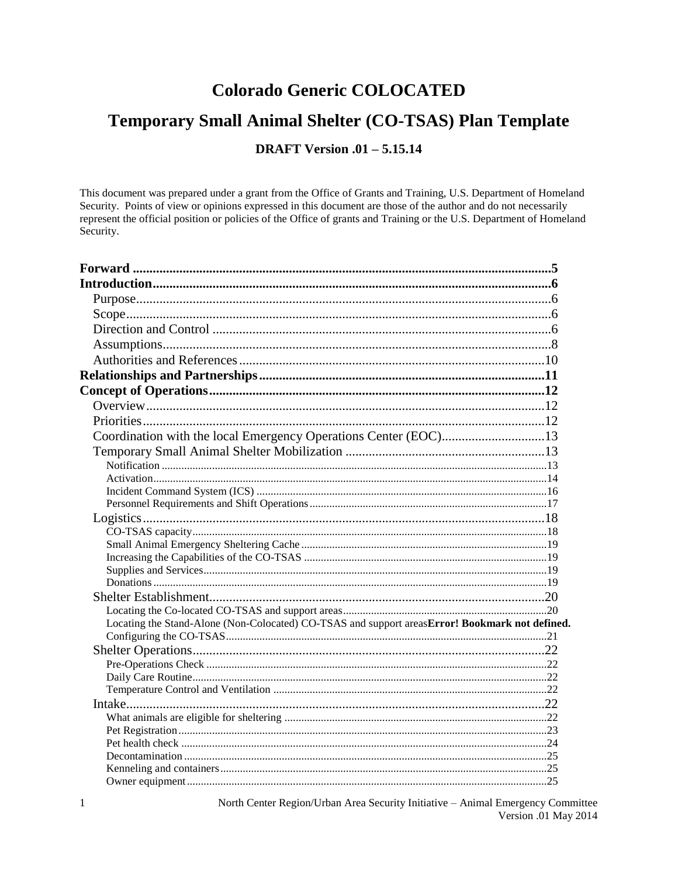# **Colorado Generic COLOCATED**

# Temporary Small Animal Shelter (CO-TSAS) Plan Template

# **DRAFT Version .01 - 5.15.14**

This document was prepared under a grant from the Office of Grants and Training, U.S. Department of Homeland Security. Points of view or opinions expressed in this document are those of the author and do not necessarily represent the official position or policies of the Office of grants and Training or the U.S. Department of Homeland Security.

| Coordination with the local Emergency Operations Center (EOC)13                                |  |
|------------------------------------------------------------------------------------------------|--|
|                                                                                                |  |
|                                                                                                |  |
|                                                                                                |  |
|                                                                                                |  |
|                                                                                                |  |
|                                                                                                |  |
|                                                                                                |  |
|                                                                                                |  |
|                                                                                                |  |
|                                                                                                |  |
|                                                                                                |  |
|                                                                                                |  |
|                                                                                                |  |
| Locating the Stand-Alone (Non-Colocated) CO-TSAS and support areasError! Bookmark not defined. |  |
|                                                                                                |  |
|                                                                                                |  |
|                                                                                                |  |
|                                                                                                |  |
|                                                                                                |  |
|                                                                                                |  |
|                                                                                                |  |
|                                                                                                |  |
|                                                                                                |  |
|                                                                                                |  |
|                                                                                                |  |
|                                                                                                |  |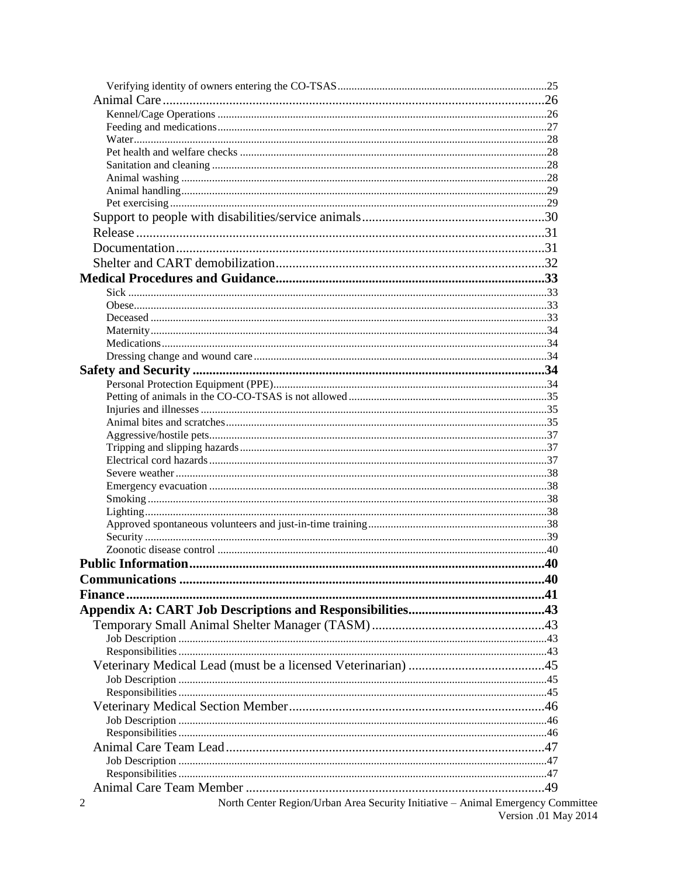| North Center Region/Urban Area Security Initiative - Animal Emergency Committee<br>2 | Version .01 May 2014 |
|--------------------------------------------------------------------------------------|----------------------|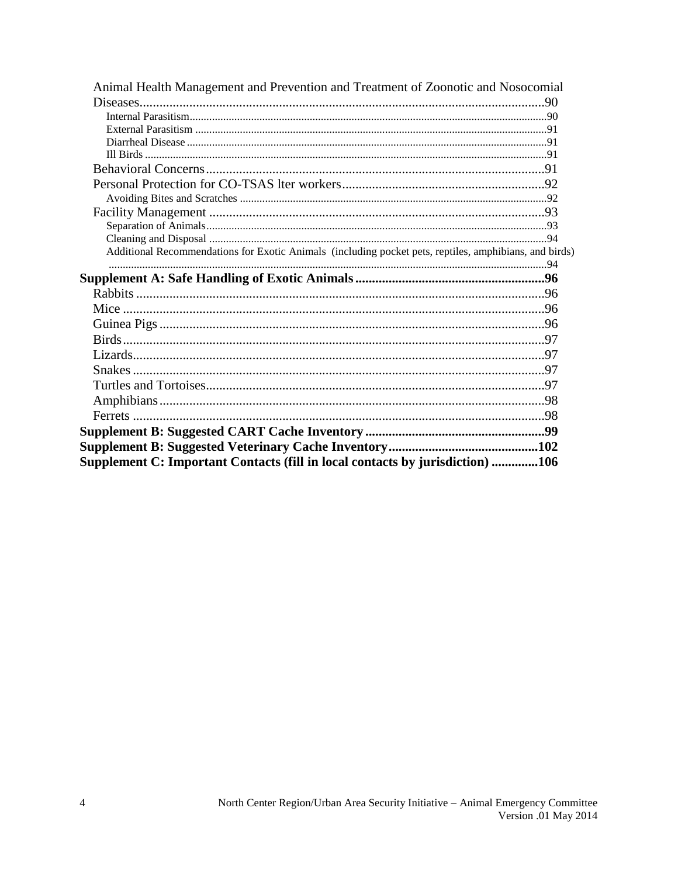| Animal Health Management and Prevention and Treatment of Zoonotic and Nosocomial                       |  |
|--------------------------------------------------------------------------------------------------------|--|
|                                                                                                        |  |
|                                                                                                        |  |
|                                                                                                        |  |
|                                                                                                        |  |
|                                                                                                        |  |
|                                                                                                        |  |
|                                                                                                        |  |
|                                                                                                        |  |
|                                                                                                        |  |
|                                                                                                        |  |
|                                                                                                        |  |
| Additional Recommendations for Exotic Animals (including pocket pets, reptiles, amphibians, and birds) |  |
|                                                                                                        |  |
|                                                                                                        |  |
|                                                                                                        |  |
|                                                                                                        |  |
|                                                                                                        |  |
|                                                                                                        |  |
|                                                                                                        |  |
|                                                                                                        |  |
|                                                                                                        |  |
|                                                                                                        |  |
|                                                                                                        |  |
|                                                                                                        |  |
|                                                                                                        |  |
| Supplement C: Important Contacts (fill in local contacts by jurisdiction) 106                          |  |
|                                                                                                        |  |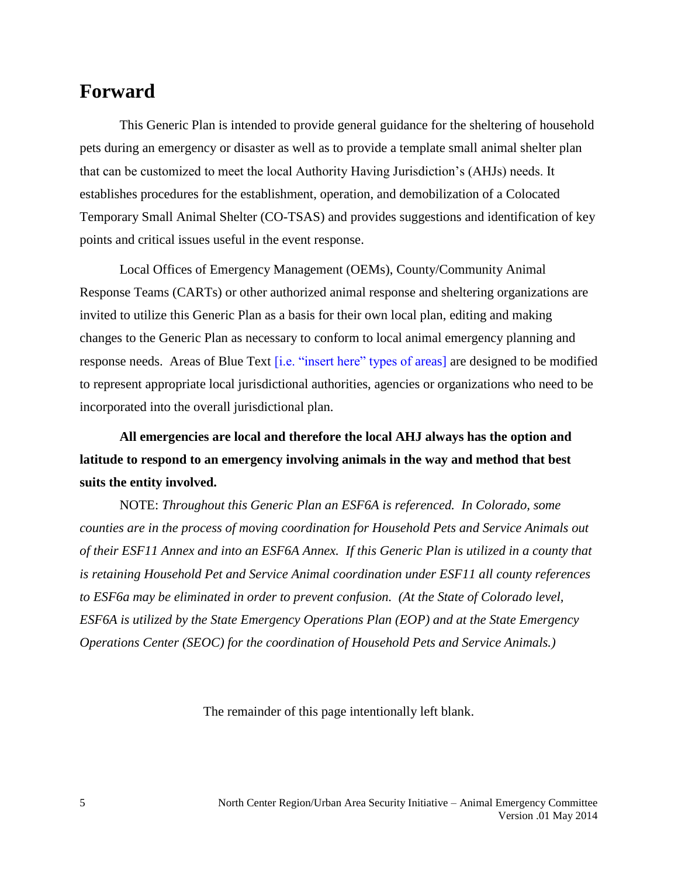# <span id="page-4-0"></span>**Forward**

This Generic Plan is intended to provide general guidance for the sheltering of household pets during an emergency or disaster as well as to provide a template small animal shelter plan that can be customized to meet the local Authority Having Jurisdiction's (AHJs) needs. It establishes procedures for the establishment, operation, and demobilization of a Colocated Temporary Small Animal Shelter (CO-TSAS) and provides suggestions and identification of key points and critical issues useful in the event response.

Local Offices of Emergency Management (OEMs), County/Community Animal Response Teams (CARTs) or other authorized animal response and sheltering organizations are invited to utilize this Generic Plan as a basis for their own local plan, editing and making changes to the Generic Plan as necessary to conform to local animal emergency planning and response needs. Areas of Blue Text [i.e. "insert here" types of areas] are designed to be modified to represent appropriate local jurisdictional authorities, agencies or organizations who need to be incorporated into the overall jurisdictional plan.

**All emergencies are local and therefore the local AHJ always has the option and latitude to respond to an emergency involving animals in the way and method that best suits the entity involved.**

NOTE: *Throughout this Generic Plan an ESF6A is referenced. In Colorado, some counties are in the process of moving coordination for Household Pets and Service Animals out of their ESF11 Annex and into an ESF6A Annex. If this Generic Plan is utilized in a county that is retaining Household Pet and Service Animal coordination under ESF11 all county references to ESF6a may be eliminated in order to prevent confusion. (At the State of Colorado level, ESF6A is utilized by the State Emergency Operations Plan (EOP) and at the State Emergency Operations Center (SEOC) for the coordination of Household Pets and Service Animals.)*

The remainder of this page intentionally left blank.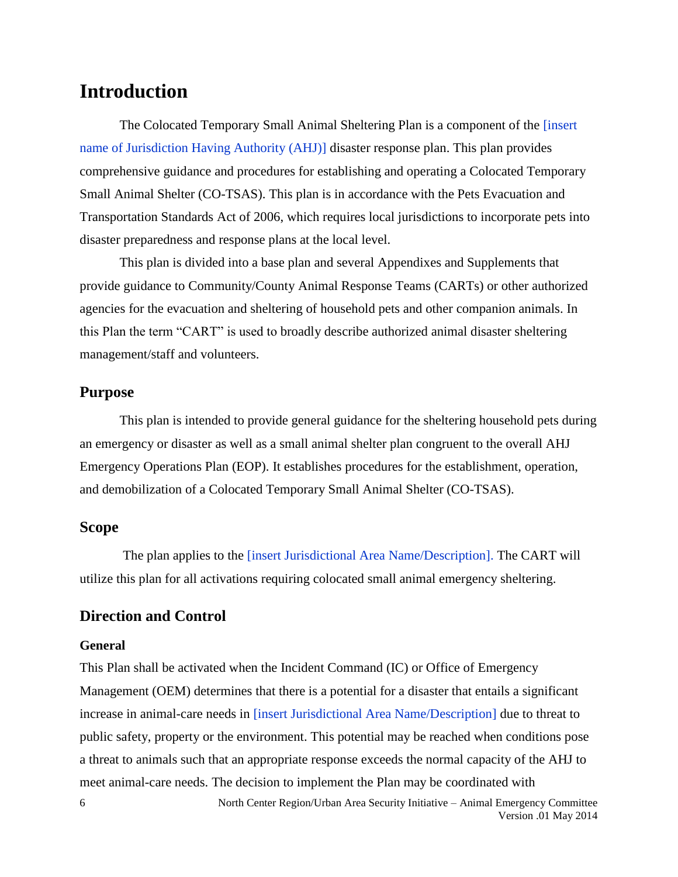# <span id="page-5-0"></span>**Introduction**

The Colocated Temporary Small Animal Sheltering Plan is a component of the [insert name of Jurisdiction Having Authority (AHJ)] disaster response plan. This plan provides comprehensive guidance and procedures for establishing and operating a Colocated Temporary Small Animal Shelter (CO-TSAS). This plan is in accordance with the Pets Evacuation and Transportation Standards Act of 2006, which requires local jurisdictions to incorporate pets into disaster preparedness and response plans at the local level.

This plan is divided into a base plan and several Appendixes and Supplements that provide guidance to Community/County Animal Response Teams (CARTs) or other authorized agencies for the evacuation and sheltering of household pets and other companion animals. In this Plan the term "CART" is used to broadly describe authorized animal disaster sheltering management/staff and volunteers.

# <span id="page-5-1"></span>**Purpose**

This plan is intended to provide general guidance for the sheltering household pets during an emergency or disaster as well as a small animal shelter plan congruent to the overall AHJ Emergency Operations Plan (EOP). It establishes procedures for the establishment, operation, and demobilization of a Colocated Temporary Small Animal Shelter (CO-TSAS).

## <span id="page-5-2"></span>**Scope**

The plan applies to the [insert Jurisdictional Area Name/Description]. The CART will utilize this plan for all activations requiring colocated small animal emergency sheltering.

# <span id="page-5-3"></span>**Direction and Control**

#### **General**

6

This Plan shall be activated when the Incident Command (IC) or Office of Emergency Management (OEM) determines that there is a potential for a disaster that entails a significant increase in animal-care needs in [insert Jurisdictional Area Name/Description] due to threat to public safety, property or the environment. This potential may be reached when conditions pose a threat to animals such that an appropriate response exceeds the normal capacity of the AHJ to meet animal-care needs. The decision to implement the Plan may be coordinated with

> North Center Region/Urban Area Security Initiative – Animal Emergency Committee Version .01 May 2014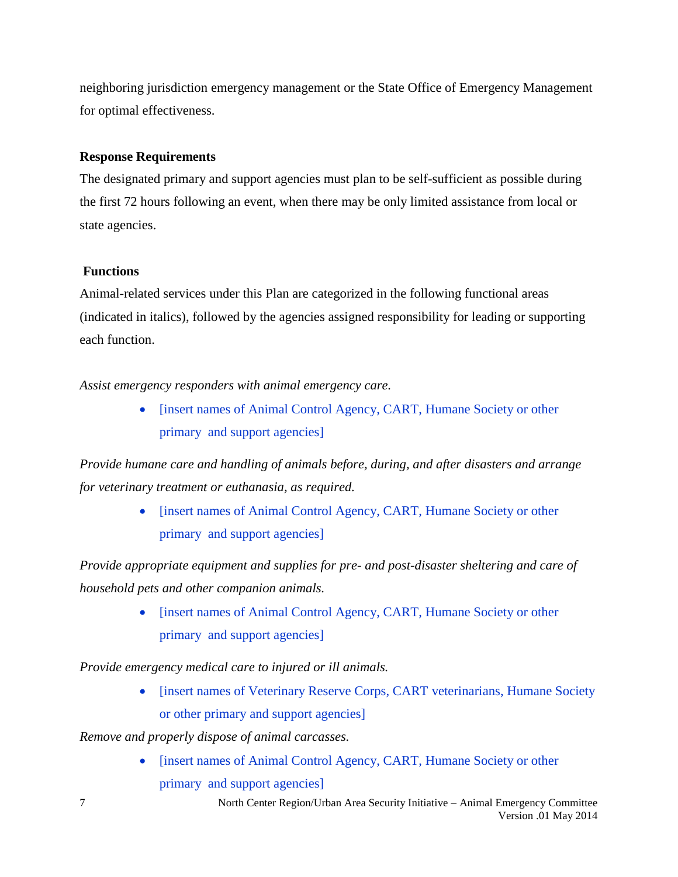neighboring jurisdiction emergency management or the State Office of Emergency Management for optimal effectiveness.

# **Response Requirements**

The designated primary and support agencies must plan to be self-sufficient as possible during the first 72 hours following an event, when there may be only limited assistance from local or state agencies.

# **Functions**

Animal-related services under this Plan are categorized in the following functional areas (indicated in italics), followed by the agencies assigned responsibility for leading or supporting each function.

*Assist emergency responders with animal emergency care.*

• [insert names of Animal Control Agency, CART, Humane Society or other primary and support agencies]

*Provide humane care and handling of animals before, during, and after disasters and arrange for veterinary treatment or euthanasia, as required.*

> • [insert names of Animal Control Agency, CART, Humane Society or other primary and support agencies]

*Provide appropriate equipment and supplies for pre- and post-disaster sheltering and care of household pets and other companion animals.*

> • [insert names of Animal Control Agency, CART, Humane Society or other primary and support agencies]

*Provide emergency medical care to injured or ill animals.*

• [insert names of Veterinary Reserve Corps, CART veterinarians, Humane Society or other primary and support agencies]

*Remove and properly dispose of animal carcasses.*

• [insert names of Animal Control Agency, CART, Humane Society or other primary and support agencies]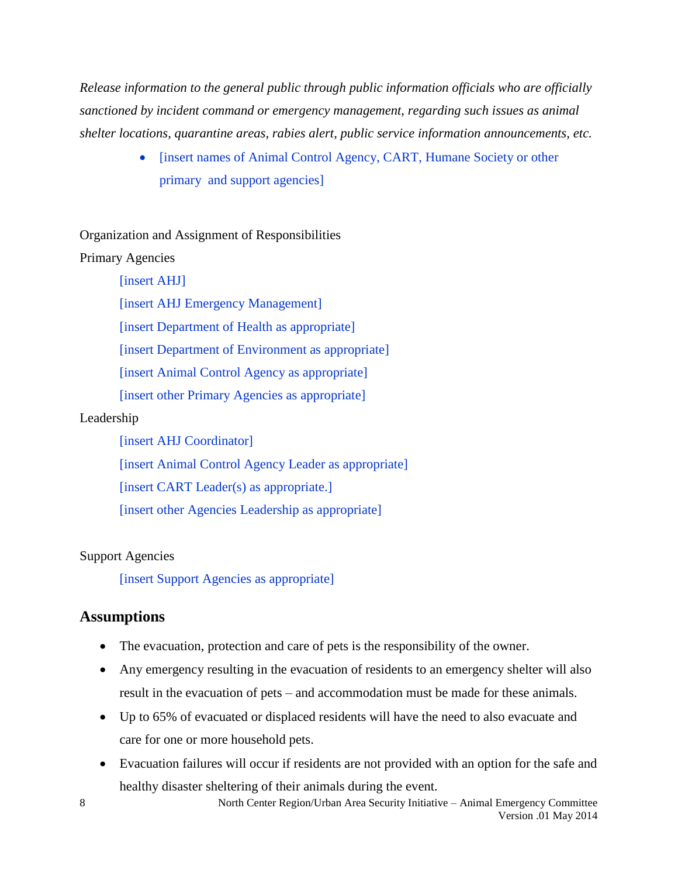*Release information to the general public through public information officials who are officially sanctioned by incident command or emergency management, regarding such issues as animal shelter locations, quarantine areas, rabies alert, public service information announcements, etc.*

> • [insert names of Animal Control Agency, CART, Humane Society or other primary and support agencies]

Organization and Assignment of Responsibilities

# Primary Agencies

# [insert AHJ]

[insert AHJ Emergency Management]

[insert Department of Health as appropriate]

[insert Department of Environment as appropriate]

[insert Animal Control Agency as appropriate]

[insert other Primary Agencies as appropriate]

# Leadership

[insert AHJ Coordinator] [insert Animal Control Agency Leader as appropriate] [insert CART Leader(s) as appropriate.] [insert other Agencies Leadership as appropriate]

# Support Agencies

[insert Support Agencies as appropriate]

# <span id="page-7-0"></span>**Assumptions**

- The evacuation, protection and care of pets is the responsibility of the owner.
- Any emergency resulting in the evacuation of residents to an emergency shelter will also result in the evacuation of pets – and accommodation must be made for these animals.
- Up to 65% of evacuated or displaced residents will have the need to also evacuate and care for one or more household pets.
- Evacuation failures will occur if residents are not provided with an option for the safe and healthy disaster sheltering of their animals during the event.

8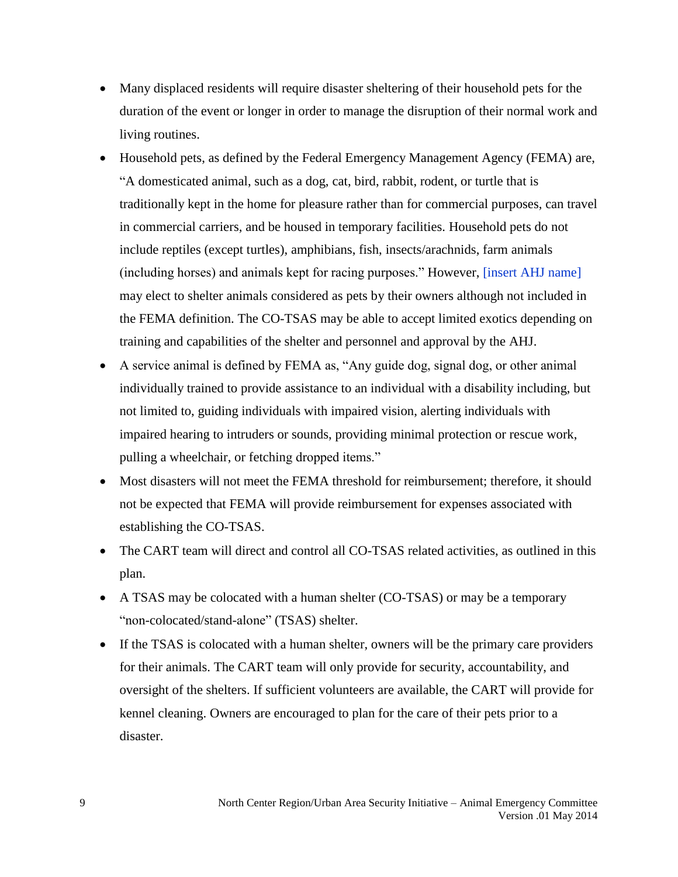- Many displaced residents will require disaster sheltering of their household pets for the duration of the event or longer in order to manage the disruption of their normal work and living routines.
- Household pets, as defined by the Federal Emergency Management Agency (FEMA) are, "A domesticated animal, such as a dog, cat, bird, rabbit, rodent, or turtle that is traditionally kept in the home for pleasure rather than for commercial purposes, can travel in commercial carriers, and be housed in temporary facilities. Household pets do not include reptiles (except turtles), amphibians, fish, insects/arachnids, farm animals (including horses) and animals kept for racing purposes." However, [insert AHJ name] may elect to shelter animals considered as pets by their owners although not included in the FEMA definition. The CO-TSAS may be able to accept limited exotics depending on training and capabilities of the shelter and personnel and approval by the AHJ.
- A service animal is defined by FEMA as, "Any guide dog, signal dog, or other animal individually trained to provide assistance to an individual with a disability including, but not limited to, guiding individuals with impaired vision, alerting individuals with impaired hearing to intruders or sounds, providing minimal protection or rescue work, pulling a wheelchair, or fetching dropped items."
- Most disasters will not meet the FEMA threshold for reimbursement; therefore, it should not be expected that FEMA will provide reimbursement for expenses associated with establishing the CO-TSAS.
- The CART team will direct and control all CO-TSAS related activities, as outlined in this plan.
- A TSAS may be colocated with a human shelter (CO-TSAS) or may be a temporary "non-colocated/stand-alone" (TSAS) shelter.
- If the TSAS is colocated with a human shelter, owners will be the primary care providers for their animals. The CART team will only provide for security, accountability, and oversight of the shelters. If sufficient volunteers are available, the CART will provide for kennel cleaning. Owners are encouraged to plan for the care of their pets prior to a disaster.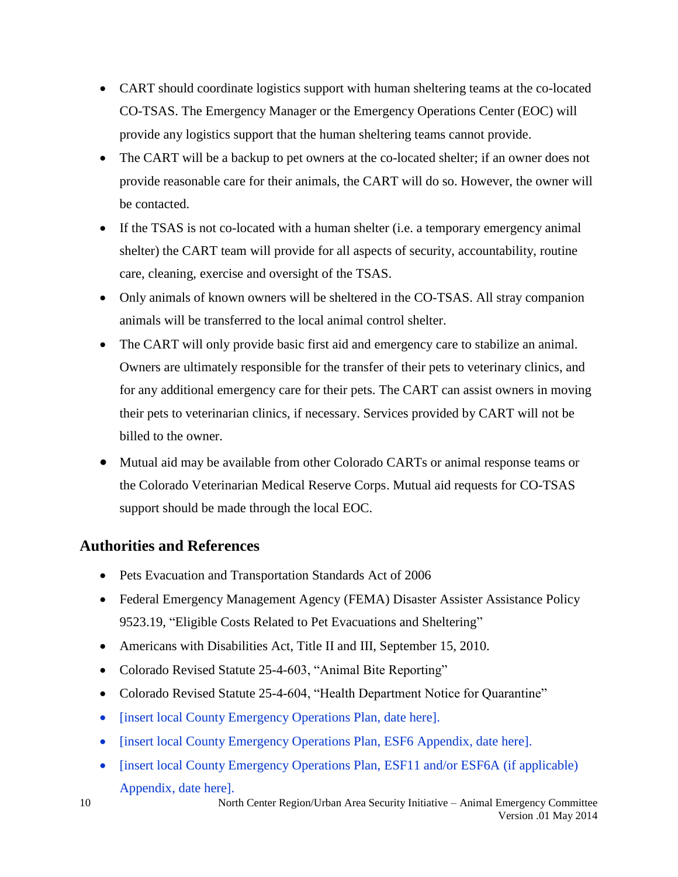- CART should coordinate logistics support with human sheltering teams at the co-located CO-TSAS. The Emergency Manager or the Emergency Operations Center (EOC) will provide any logistics support that the human sheltering teams cannot provide.
- The CART will be a backup to pet owners at the co-located shelter; if an owner does not provide reasonable care for their animals, the CART will do so. However, the owner will be contacted.
- If the TSAS is not co-located with a human shelter (i.e. a temporary emergency animal shelter) the CART team will provide for all aspects of security, accountability, routine care, cleaning, exercise and oversight of the TSAS.
- Only animals of known owners will be sheltered in the CO-TSAS. All stray companion animals will be transferred to the local animal control shelter.
- The CART will only provide basic first aid and emergency care to stabilize an animal. Owners are ultimately responsible for the transfer of their pets to veterinary clinics, and for any additional emergency care for their pets. The CART can assist owners in moving their pets to veterinarian clinics, if necessary. Services provided by CART will not be billed to the owner.
- Mutual aid may be available from other Colorado CARTs or animal response teams or the Colorado Veterinarian Medical Reserve Corps. Mutual aid requests for CO-TSAS support should be made through the local EOC.

# <span id="page-9-0"></span>**Authorities and References**

- Pets Evacuation and Transportation Standards Act of 2006
- Federal Emergency Management Agency (FEMA) Disaster Assister Assistance Policy 9523.19, "Eligible Costs Related to Pet Evacuations and Sheltering"
- Americans with Disabilities Act, Title II and III, September 15, 2010.
- Colorado Revised Statute 25-4-603, "Animal Bite Reporting"
- Colorado Revised Statute 25-4-604, "Health Department Notice for Quarantine"
- [insert local County Emergency Operations Plan, date here].
- [insert local County Emergency Operations Plan, ESF6 Appendix, date here].
- [insert local County Emergency Operations Plan, ESF11 and/or ESF6A (if applicable) Appendix, date here].

10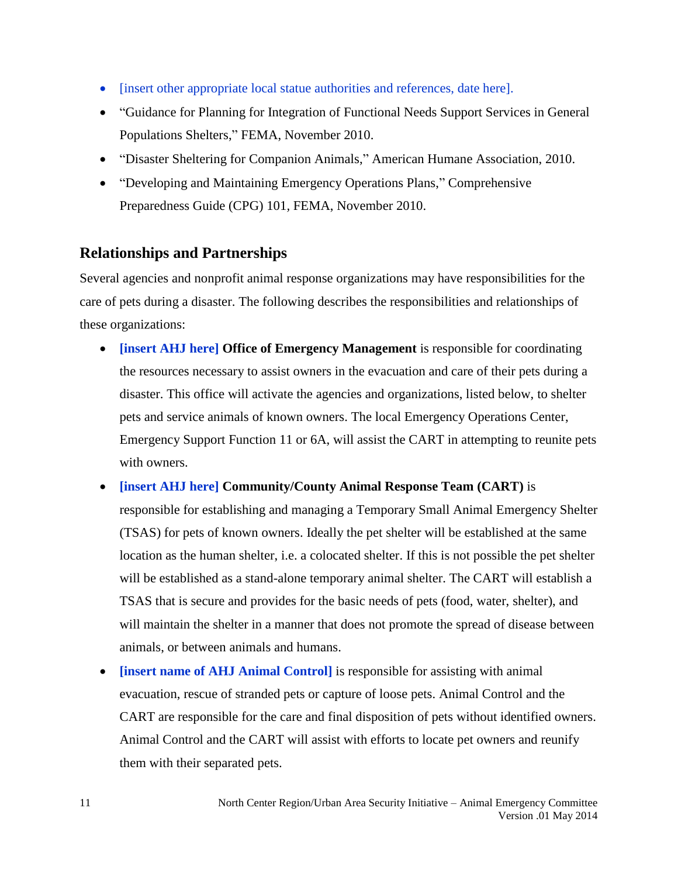- [insert other appropriate local statue authorities and references, date here].
- "Guidance for Planning for Integration of Functional Needs Support Services in General Populations Shelters," FEMA, November 2010.
- "Disaster Sheltering for Companion Animals," American Humane Association, 2010.
- "Developing and Maintaining Emergency Operations Plans," Comprehensive Preparedness Guide (CPG) 101*,* FEMA, November 2010.

# <span id="page-10-0"></span>**Relationships and Partnerships**

Several agencies and nonprofit animal response organizations may have responsibilities for the care of pets during a disaster. The following describes the responsibilities and relationships of these organizations:

- **[insert AHJ here] Office of Emergency Management** is responsible for coordinating the resources necessary to assist owners in the evacuation and care of their pets during a disaster. This office will activate the agencies and organizations, listed below, to shelter pets and service animals of known owners. The local Emergency Operations Center, Emergency Support Function 11 or 6A, will assist the CART in attempting to reunite pets with owners.
- **[insert AHJ here] Community/County Animal Response Team (CART)** is responsible for establishing and managing a Temporary Small Animal Emergency Shelter (TSAS) for pets of known owners. Ideally the pet shelter will be established at the same location as the human shelter, i.e. a colocated shelter. If this is not possible the pet shelter will be established as a stand-alone temporary animal shelter. The CART will establish a TSAS that is secure and provides for the basic needs of pets (food, water, shelter), and will maintain the shelter in a manner that does not promote the spread of disease between animals, or between animals and humans.
- **[insert name of AHJ Animal Control]** is responsible for assisting with animal evacuation, rescue of stranded pets or capture of loose pets. Animal Control and the CART are responsible for the care and final disposition of pets without identified owners. Animal Control and the CART will assist with efforts to locate pet owners and reunify them with their separated pets.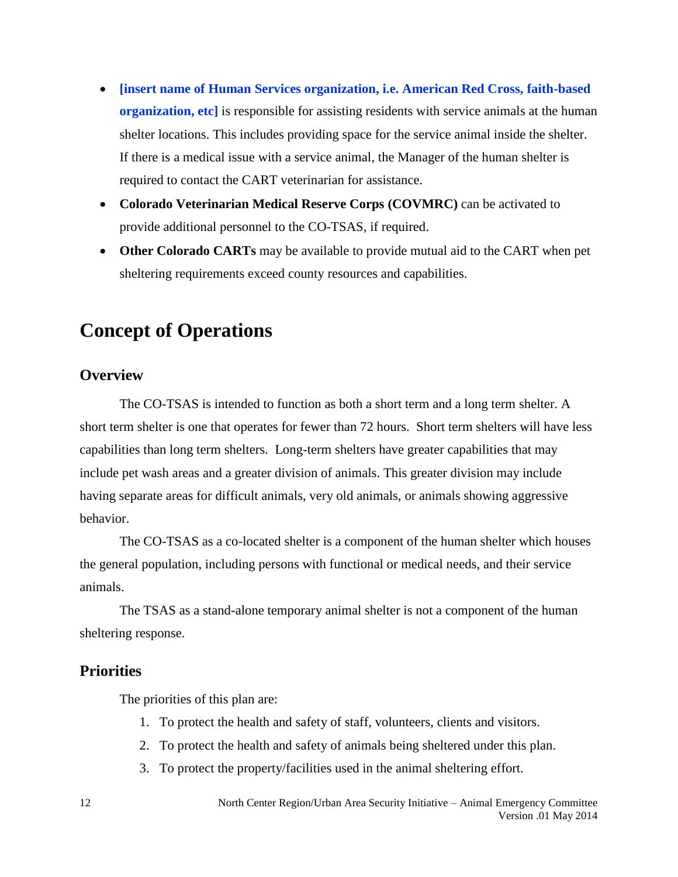- **[insert name of Human Services organization, i.e. American Red Cross, faith-based organization, etc]** is responsible for assisting residents with service animals at the human shelter locations. This includes providing space for the service animal inside the shelter. If there is a medical issue with a service animal, the Manager of the human shelter is required to contact the CART veterinarian for assistance.
- **Colorado Veterinarian Medical Reserve Corps (COVMRC)** can be activated to provide additional personnel to the CO-TSAS, if required.
- **Other Colorado CARTs** may be available to provide mutual aid to the CART when pet sheltering requirements exceed county resources and capabilities.

# <span id="page-11-0"></span>**Concept of Operations**

# <span id="page-11-1"></span>**Overview**

The CO-TSAS is intended to function as both a short term and a long term shelter. A short term shelter is one that operates for fewer than 72 hours. Short term shelters will have less capabilities than long term shelters. Long-term shelters have greater capabilities that may include pet wash areas and a greater division of animals. This greater division may include having separate areas for difficult animals, very old animals, or animals showing aggressive behavior.

The CO-TSAS as a co-located shelter is a component of the human shelter which houses the general population, including persons with functional or medical needs, and their service animals.

The TSAS as a stand-alone temporary animal shelter is not a component of the human sheltering response.

# <span id="page-11-2"></span>**Priorities**

The priorities of this plan are:

- 1. To protect the health and safety of staff, volunteers, clients and visitors.
- 2. To protect the health and safety of animals being sheltered under this plan.
- 3. To protect the property/facilities used in the animal sheltering effort.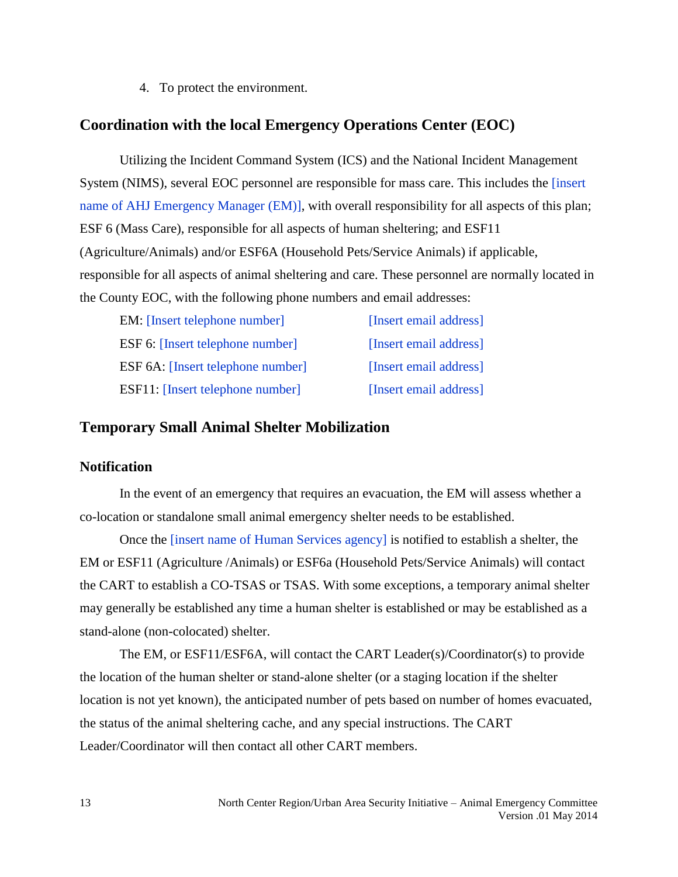4. To protect the environment.

# <span id="page-12-0"></span>**Coordination with the local Emergency Operations Center (EOC)**

Utilizing the Incident Command System (ICS) and the National Incident Management System (NIMS), several EOC personnel are responsible for mass care. This includes the [insert name of AHJ Emergency Manager (EM)], with overall responsibility for all aspects of this plan; ESF 6 (Mass Care), responsible for all aspects of human sheltering; and ESF11 (Agriculture/Animals) and/or ESF6A (Household Pets/Service Animals) if applicable, responsible for all aspects of animal sheltering and care. These personnel are normally located in the County EOC, with the following phone numbers and email addresses:

| <b>EM:</b> [Insert telephone number]     | [Insert email address] |
|------------------------------------------|------------------------|
| <b>ESF 6:</b> [Insert telephone number]  | [Insert email address] |
| <b>ESF 6A:</b> [Insert telephone number] | [Insert email address] |
| <b>ESF11:</b> [Insert telephone number]  | [Insert email address] |

# <span id="page-12-1"></span>**Temporary Small Animal Shelter Mobilization**

### <span id="page-12-2"></span>**Notification**

In the event of an emergency that requires an evacuation, the EM will assess whether a co-location or standalone small animal emergency shelter needs to be established.

Once the [insert name of Human Services agency] is notified to establish a shelter, the EM or ESF11 (Agriculture /Animals) or ESF6a (Household Pets/Service Animals) will contact the CART to establish a CO-TSAS or TSAS. With some exceptions, a temporary animal shelter may generally be established any time a human shelter is established or may be established as a stand-alone (non-colocated) shelter.

The EM, or ESF11/ESF6A, will contact the CART Leader(s)/Coordinator(s) to provide the location of the human shelter or stand-alone shelter (or a staging location if the shelter location is not yet known), the anticipated number of pets based on number of homes evacuated, the status of the animal sheltering cache, and any special instructions. The CART Leader/Coordinator will then contact all other CART members.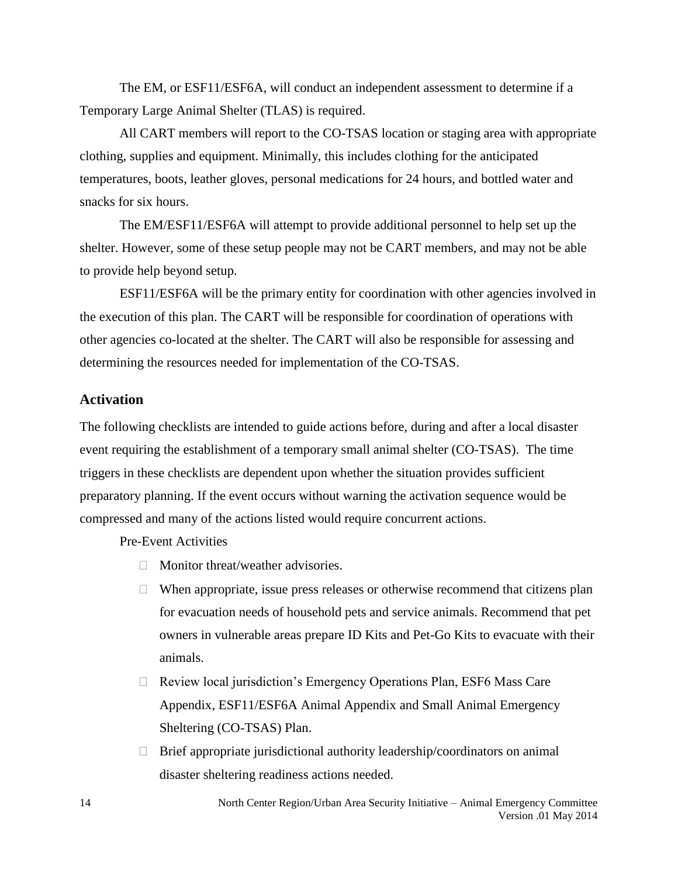The EM, or ESF11/ESF6A, will conduct an independent assessment to determine if a Temporary Large Animal Shelter (TLAS) is required.

All CART members will report to the CO-TSAS location or staging area with appropriate clothing, supplies and equipment. Minimally, this includes clothing for the anticipated temperatures, boots, leather gloves, personal medications for 24 hours, and bottled water and snacks for six hours.

The EM/ESF11/ESF6A will attempt to provide additional personnel to help set up the shelter. However, some of these setup people may not be CART members, and may not be able to provide help beyond setup.

ESF11/ESF6A will be the primary entity for coordination with other agencies involved in the execution of this plan. The CART will be responsible for coordination of operations with other agencies co-located at the shelter. The CART will also be responsible for assessing and determining the resources needed for implementation of the CO-TSAS.

#### <span id="page-13-0"></span>**Activation**

The following checklists are intended to guide actions before, during and after a local disaster event requiring the establishment of a temporary small animal shelter (CO-TSAS). The time triggers in these checklists are dependent upon whether the situation provides sufficient preparatory planning. If the event occurs without warning the activation sequence would be compressed and many of the actions listed would require concurrent actions.

Pre-Event Activities

- $\Box$  Monitor threat/weather advisories.
- $\Box$  When appropriate, issue press releases or otherwise recommend that citizens plan for evacuation needs of household pets and service animals. Recommend that pet owners in vulnerable areas prepare ID Kits and Pet-Go Kits to evacuate with their animals.
- □ Review local jurisdiction's Emergency Operations Plan, ESF6 Mass Care Appendix, ESF11/ESF6A Animal Appendix and Small Animal Emergency Sheltering (CO-TSAS) Plan.
- $\Box$  Brief appropriate jurisdictional authority leadership/coordinators on animal disaster sheltering readiness actions needed.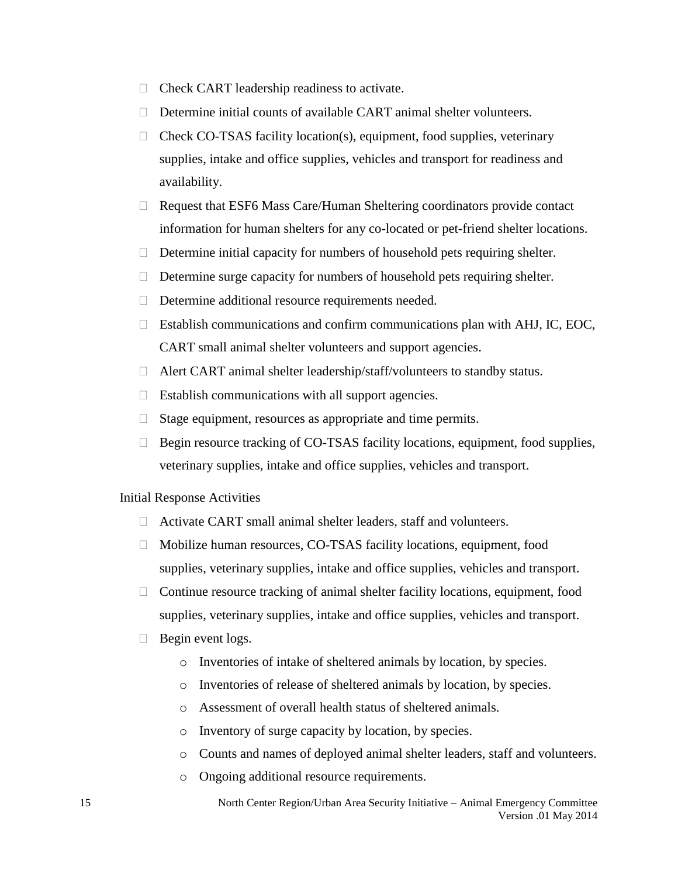- $\Box$  Check CART leadership readiness to activate.
- $\Box$  Determine initial counts of available CART animal shelter volunteers.
- $\Box$  Check CO-TSAS facility location(s), equipment, food supplies, veterinary supplies, intake and office supplies, vehicles and transport for readiness and availability.
- $\Box$  Request that ESF6 Mass Care/Human Sheltering coordinators provide contact information for human shelters for any co-located or pet-friend shelter locations.
- $\Box$  Determine initial capacity for numbers of household pets requiring shelter.
- $\Box$  Determine surge capacity for numbers of household pets requiring shelter.
- $\Box$  Determine additional resource requirements needed.
- $\Box$  Establish communications and confirm communications plan with AHJ, IC, EOC, CART small animal shelter volunteers and support agencies.
- □ Alert CART animal shelter leadership/staff/volunteers to standby status.
- $\Box$  Establish communications with all support agencies.
- $\Box$  Stage equipment, resources as appropriate and time permits.
- $\Box$  Begin resource tracking of CO-TSAS facility locations, equipment, food supplies, veterinary supplies, intake and office supplies, vehicles and transport.

#### Initial Response Activities

- Activate CART small animal shelter leaders, staff and volunteers.
- □ Mobilize human resources, CO-TSAS facility locations, equipment, food supplies, veterinary supplies, intake and office supplies, vehicles and transport.
- $\Box$  Continue resource tracking of animal shelter facility locations, equipment, food supplies, veterinary supplies, intake and office supplies, vehicles and transport.
- $\Box$  Begin event logs.
	- o Inventories of intake of sheltered animals by location, by species.
	- o Inventories of release of sheltered animals by location, by species.
	- o Assessment of overall health status of sheltered animals.
	- o Inventory of surge capacity by location, by species.
	- o Counts and names of deployed animal shelter leaders, staff and volunteers.
	- o Ongoing additional resource requirements.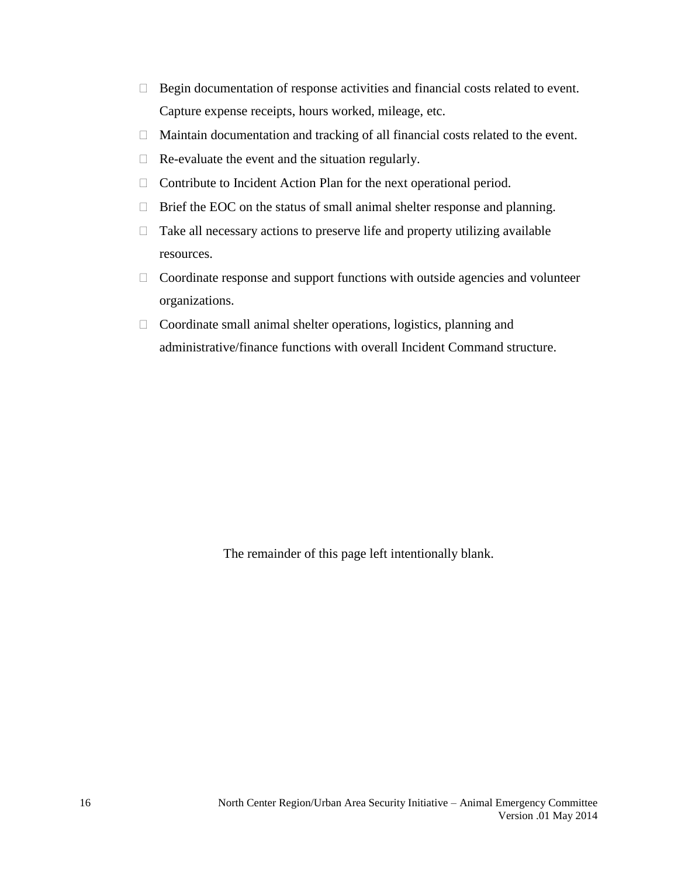- $\Box$  Begin documentation of response activities and financial costs related to event. Capture expense receipts, hours worked, mileage, etc.
- <span id="page-15-0"></span> $\Box$  Maintain documentation and tracking of all financial costs related to the event.
- $\Box$  Re-evaluate the event and the situation regularly.
- $\Box$  Contribute to Incident Action Plan for the next operational period.
- $\Box$  Brief the EOC on the status of small animal shelter response and planning.
- $\Box$  Take all necessary actions to preserve life and property utilizing available resources.
- $\Box$  Coordinate response and support functions with outside agencies and volunteer organizations.
- Coordinate small animal shelter operations, logistics, planning and administrative/finance functions with overall Incident Command structure.

The remainder of this page left intentionally blank.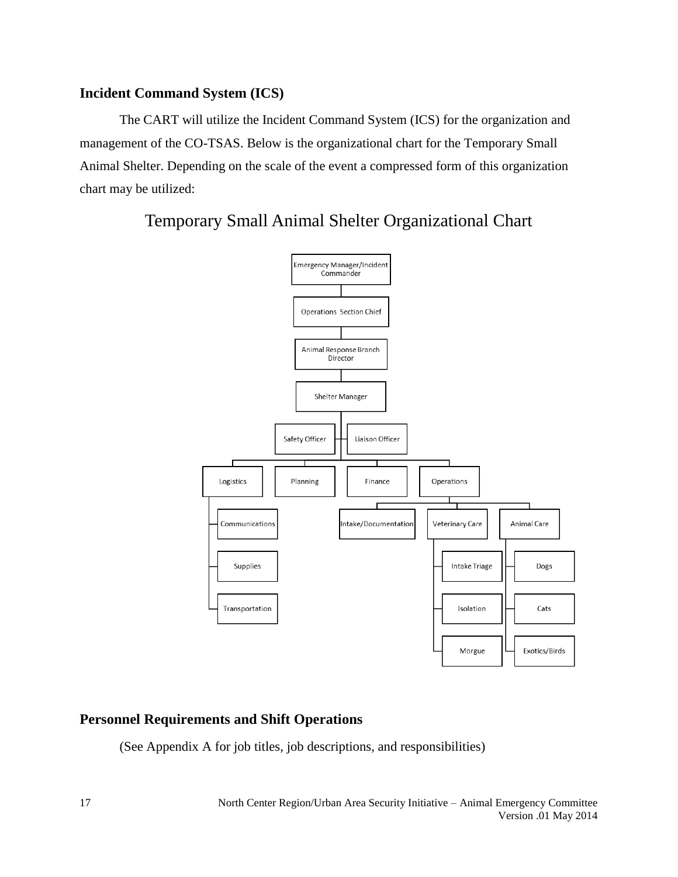# **Incident Command System (ICS)**

The CART will utilize the Incident Command System (ICS) for the organization and management of the CO-TSAS. Below is the organizational chart for the Temporary Small Animal Shelter. Depending on the scale of the event a compressed form of this organization chart may be utilized:



# Temporary Small Animal Shelter Organizational Chart

# <span id="page-16-0"></span>**Personnel Requirements and Shift Operations**

(See Appendix A for job titles, job descriptions, and responsibilities)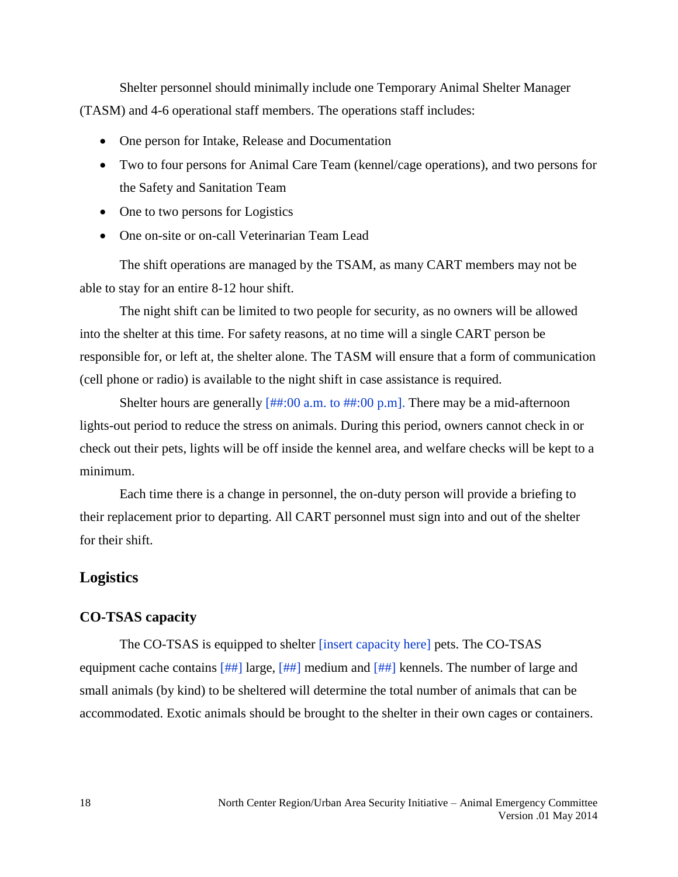Shelter personnel should minimally include one Temporary Animal Shelter Manager (TASM) and 4-6 operational staff members. The operations staff includes:

- One person for Intake, Release and Documentation
- Two to four persons for Animal Care Team (kennel/cage operations), and two persons for the Safety and Sanitation Team
- One to two persons for Logistics
- One on-site or on-call Veterinarian Team Lead

The shift operations are managed by the TSAM, as many CART members may not be able to stay for an entire 8-12 hour shift.

The night shift can be limited to two people for security, as no owners will be allowed into the shelter at this time. For safety reasons, at no time will a single CART person be responsible for, or left at, the shelter alone. The TASM will ensure that a form of communication (cell phone or radio) is available to the night shift in case assistance is required.

Shelter hours are generally  $\left[\frac{\text{H}}{\text{H}}\right]$ :  $(00 \text{ a.m.})$  to  $\left[\frac{\text{H}}{\text{H}}\right]$ :  $(00 \text{ p.m.})$ . There may be a mid-afternoon lights-out period to reduce the stress on animals. During this period, owners cannot check in or check out their pets, lights will be off inside the kennel area, and welfare checks will be kept to a minimum.

Each time there is a change in personnel, the on-duty person will provide a briefing to their replacement prior to departing. All CART personnel must sign into and out of the shelter for their shift.

# <span id="page-17-0"></span>**Logistics**

#### <span id="page-17-1"></span>**CO-TSAS capacity**

The CO-TSAS is equipped to shelter [insert capacity here] pets. The CO-TSAS equipment cache contains [##] large, [##] medium and [##] kennels. The number of large and small animals (by kind) to be sheltered will determine the total number of animals that can be accommodated. Exotic animals should be brought to the shelter in their own cages or containers.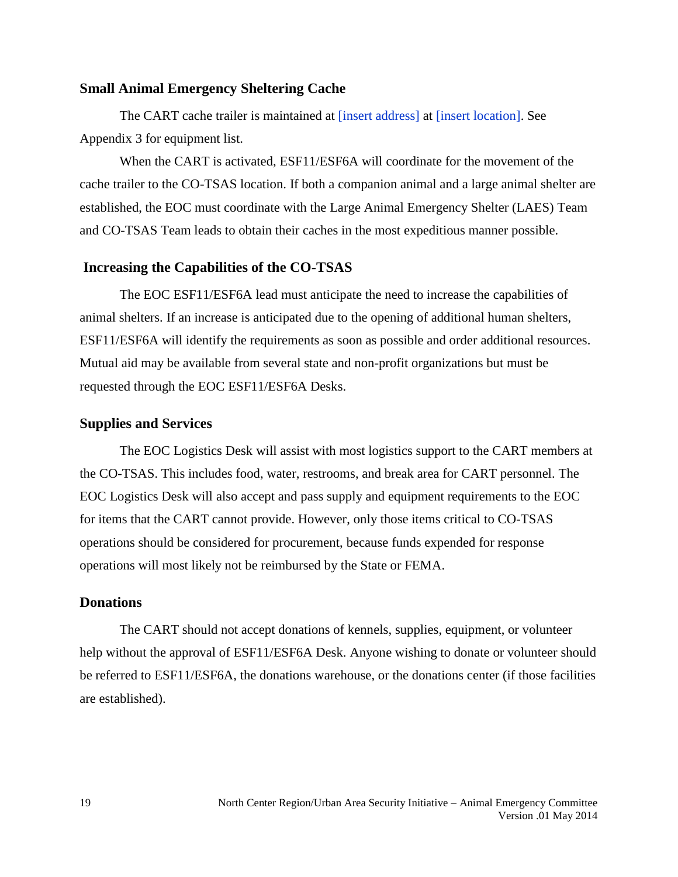#### <span id="page-18-0"></span>**Small Animal Emergency Sheltering Cache**

The CART cache trailer is maintained at [insert address] at [insert location]. See Appendix 3 for equipment list.

When the CART is activated, ESF11/ESF6A will coordinate for the movement of the cache trailer to the CO-TSAS location. If both a companion animal and a large animal shelter are established, the EOC must coordinate with the Large Animal Emergency Shelter (LAES) Team and CO-TSAS Team leads to obtain their caches in the most expeditious manner possible.

#### <span id="page-18-1"></span>**Increasing the Capabilities of the CO-TSAS**

The EOC ESF11/ESF6A lead must anticipate the need to increase the capabilities of animal shelters. If an increase is anticipated due to the opening of additional human shelters, ESF11/ESF6A will identify the requirements as soon as possible and order additional resources. Mutual aid may be available from several state and non-profit organizations but must be requested through the EOC ESF11/ESF6A Desks.

#### <span id="page-18-2"></span>**Supplies and Services**

The EOC Logistics Desk will assist with most logistics support to the CART members at the CO-TSAS. This includes food, water, restrooms, and break area for CART personnel. The EOC Logistics Desk will also accept and pass supply and equipment requirements to the EOC for items that the CART cannot provide. However, only those items critical to CO-TSAS operations should be considered for procurement, because funds expended for response operations will most likely not be reimbursed by the State or FEMA.

### <span id="page-18-3"></span>**Donations**

The CART should not accept donations of kennels, supplies, equipment, or volunteer help without the approval of ESF11/ESF6A Desk. Anyone wishing to donate or volunteer should be referred to ESF11/ESF6A, the donations warehouse, or the donations center (if those facilities are established).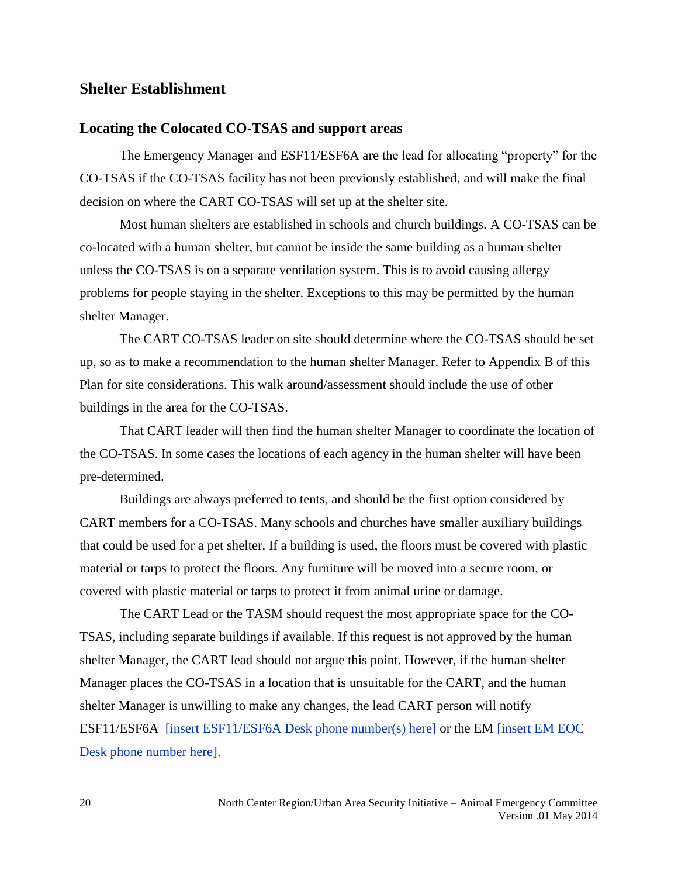## <span id="page-19-0"></span>**Shelter Establishment**

#### <span id="page-19-1"></span>**Locating the Colocated CO-TSAS and support areas**

The Emergency Manager and ESF11/ESF6A are the lead for allocating "property" for the CO-TSAS if the CO-TSAS facility has not been previously established, and will make the final decision on where the CART CO-TSAS will set up at the shelter site.

Most human shelters are established in schools and church buildings. A CO-TSAS can be co-located with a human shelter, but cannot be inside the same building as a human shelter unless the CO-TSAS is on a separate ventilation system. This is to avoid causing allergy problems for people staying in the shelter. Exceptions to this may be permitted by the human shelter Manager.

The CART CO-TSAS leader on site should determine where the CO-TSAS should be set up, so as to make a recommendation to the human shelter Manager. Refer to Appendix B of this Plan for site considerations. This walk around/assessment should include the use of other buildings in the area for the CO-TSAS.

That CART leader will then find the human shelter Manager to coordinate the location of the CO-TSAS. In some cases the locations of each agency in the human shelter will have been pre-determined.

Buildings are always preferred to tents, and should be the first option considered by CART members for a CO-TSAS. Many schools and churches have smaller auxiliary buildings that could be used for a pet shelter. If a building is used, the floors must be covered with plastic material or tarps to protect the floors. Any furniture will be moved into a secure room, or covered with plastic material or tarps to protect it from animal urine or damage.

The CART Lead or the TASM should request the most appropriate space for the CO-TSAS, including separate buildings if available. If this request is not approved by the human shelter Manager, the CART lead should not argue this point. However, if the human shelter Manager places the CO-TSAS in a location that is unsuitable for the CART, and the human shelter Manager is unwilling to make any changes, the lead CART person will notify ESF11/ESF6A [insert ESF11/ESF6A Desk phone number(s) here] or the EM [insert EM EOC Desk phone number here].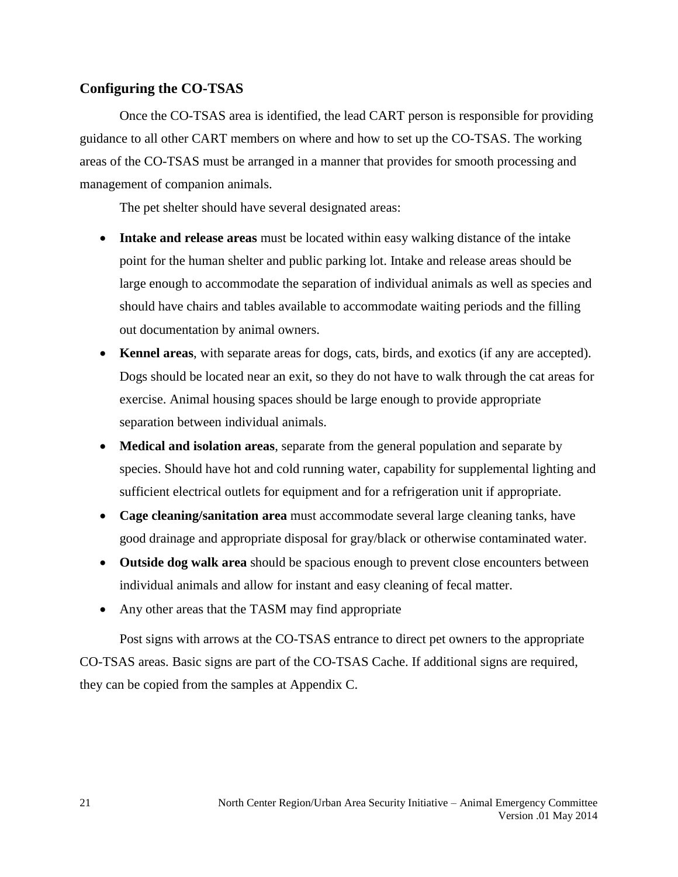# <span id="page-20-0"></span>**Configuring the CO-TSAS**

Once the CO-TSAS area is identified, the lead CART person is responsible for providing guidance to all other CART members on where and how to set up the CO-TSAS. The working areas of the CO-TSAS must be arranged in a manner that provides for smooth processing and management of companion animals.

The pet shelter should have several designated areas:

- **Intake and release areas** must be located within easy walking distance of the intake point for the human shelter and public parking lot. Intake and release areas should be large enough to accommodate the separation of individual animals as well as species and should have chairs and tables available to accommodate waiting periods and the filling out documentation by animal owners.
- **Kennel areas**, with separate areas for dogs, cats, birds, and exotics (if any are accepted). Dogs should be located near an exit, so they do not have to walk through the cat areas for exercise. Animal housing spaces should be large enough to provide appropriate separation between individual animals.
- **Medical and isolation areas**, separate from the general population and separate by species. Should have hot and cold running water, capability for supplemental lighting and sufficient electrical outlets for equipment and for a refrigeration unit if appropriate.
- **Cage cleaning/sanitation area** must accommodate several large cleaning tanks, have good drainage and appropriate disposal for gray/black or otherwise contaminated water.
- **Outside dog walk area** should be spacious enough to prevent close encounters between individual animals and allow for instant and easy cleaning of fecal matter.
- Any other areas that the TASM may find appropriate

Post signs with arrows at the CO-TSAS entrance to direct pet owners to the appropriate CO-TSAS areas. Basic signs are part of the CO-TSAS Cache. If additional signs are required, they can be copied from the samples at Appendix C.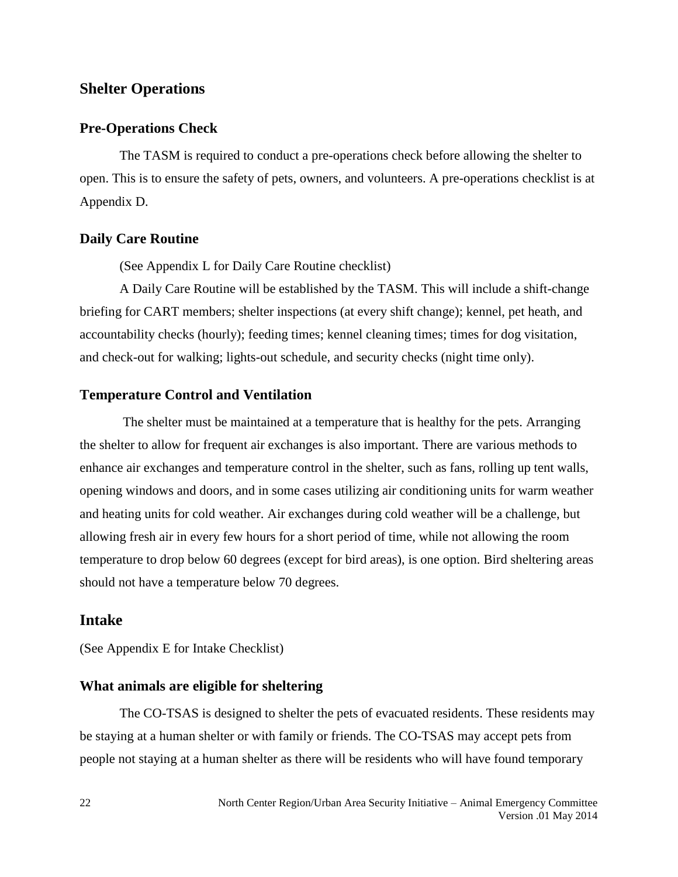# <span id="page-21-0"></span>**Shelter Operations**

### <span id="page-21-1"></span>**Pre-Operations Check**

The TASM is required to conduct a pre-operations check before allowing the shelter to open. This is to ensure the safety of pets, owners, and volunteers. A pre-operations checklist is at Appendix D.

#### <span id="page-21-2"></span>**Daily Care Routine**

(See Appendix L for Daily Care Routine checklist)

A Daily Care Routine will be established by the TASM. This will include a shift-change briefing for CART members; shelter inspections (at every shift change); kennel, pet heath, and accountability checks (hourly); feeding times; kennel cleaning times; times for dog visitation, and check-out for walking; lights-out schedule, and security checks (night time only).

#### <span id="page-21-3"></span>**Temperature Control and Ventilation**

The shelter must be maintained at a temperature that is healthy for the pets. Arranging the shelter to allow for frequent air exchanges is also important. There are various methods to enhance air exchanges and temperature control in the shelter, such as fans, rolling up tent walls, opening windows and doors, and in some cases utilizing air conditioning units for warm weather and heating units for cold weather. Air exchanges during cold weather will be a challenge, but allowing fresh air in every few hours for a short period of time, while not allowing the room temperature to drop below 60 degrees (except for bird areas), is one option. Bird sheltering areas should not have a temperature below 70 degrees.

# <span id="page-21-4"></span>**Intake**

(See Appendix E for Intake Checklist)

#### <span id="page-21-5"></span>**What animals are eligible for sheltering**

The CO-TSAS is designed to shelter the pets of evacuated residents. These residents may be staying at a human shelter or with family or friends. The CO-TSAS may accept pets from people not staying at a human shelter as there will be residents who will have found temporary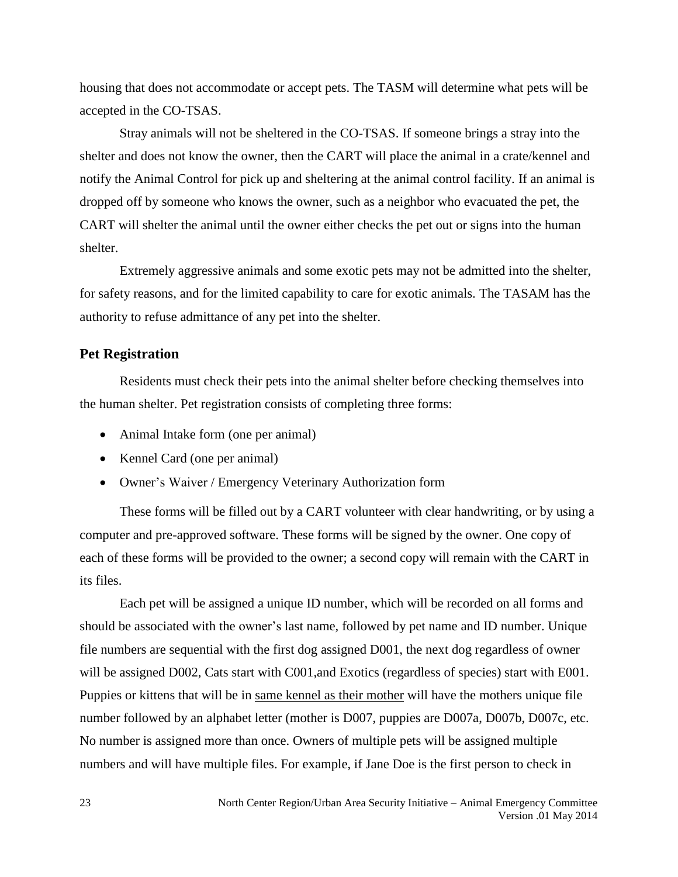housing that does not accommodate or accept pets. The TASM will determine what pets will be accepted in the CO-TSAS.

Stray animals will not be sheltered in the CO-TSAS. If someone brings a stray into the shelter and does not know the owner, then the CART will place the animal in a crate/kennel and notify the Animal Control for pick up and sheltering at the animal control facility. If an animal is dropped off by someone who knows the owner, such as a neighbor who evacuated the pet, the CART will shelter the animal until the owner either checks the pet out or signs into the human shelter.

Extremely aggressive animals and some exotic pets may not be admitted into the shelter, for safety reasons, and for the limited capability to care for exotic animals. The TASAM has the authority to refuse admittance of any pet into the shelter.

#### <span id="page-22-0"></span>**Pet Registration**

Residents must check their pets into the animal shelter before checking themselves into the human shelter. Pet registration consists of completing three forms:

- Animal Intake form (one per animal)
- Kennel Card (one per animal)
- Owner's Waiver / Emergency Veterinary Authorization form

These forms will be filled out by a CART volunteer with clear handwriting, or by using a computer and pre-approved software. These forms will be signed by the owner. One copy of each of these forms will be provided to the owner; a second copy will remain with the CART in its files.

Each pet will be assigned a unique ID number, which will be recorded on all forms and should be associated with the owner's last name, followed by pet name and ID number. Unique file numbers are sequential with the first dog assigned D001, the next dog regardless of owner will be assigned D002, Cats start with C001, and Exotics (regardless of species) start with E001. Puppies or kittens that will be in same kennel as their mother will have the mothers unique file number followed by an alphabet letter (mother is D007, puppies are D007a, D007b, D007c, etc. No number is assigned more than once. Owners of multiple pets will be assigned multiple numbers and will have multiple files. For example, if Jane Doe is the first person to check in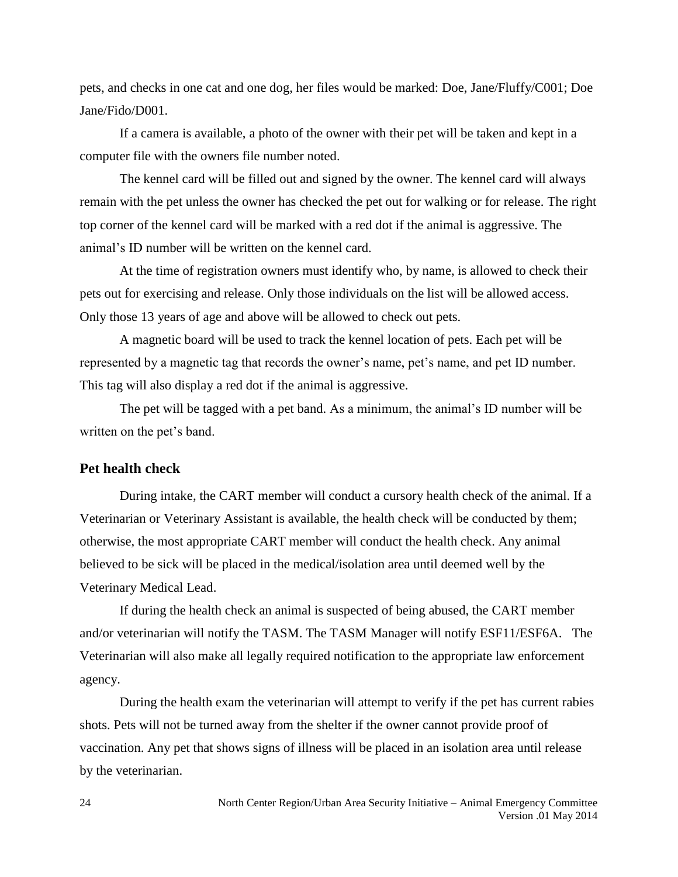pets, and checks in one cat and one dog, her files would be marked: Doe, Jane/Fluffy/C001; Doe Jane/Fido/D001.

If a camera is available, a photo of the owner with their pet will be taken and kept in a computer file with the owners file number noted.

The kennel card will be filled out and signed by the owner. The kennel card will always remain with the pet unless the owner has checked the pet out for walking or for release. The right top corner of the kennel card will be marked with a red dot if the animal is aggressive. The animal's ID number will be written on the kennel card.

At the time of registration owners must identify who, by name, is allowed to check their pets out for exercising and release. Only those individuals on the list will be allowed access. Only those 13 years of age and above will be allowed to check out pets.

A magnetic board will be used to track the kennel location of pets. Each pet will be represented by a magnetic tag that records the owner's name, pet's name, and pet ID number. This tag will also display a red dot if the animal is aggressive.

The pet will be tagged with a pet band. As a minimum, the animal's ID number will be written on the pet's band.

## <span id="page-23-0"></span>**Pet health check**

During intake, the CART member will conduct a cursory health check of the animal. If a Veterinarian or Veterinary Assistant is available, the health check will be conducted by them; otherwise, the most appropriate CART member will conduct the health check. Any animal believed to be sick will be placed in the medical/isolation area until deemed well by the Veterinary Medical Lead.

If during the health check an animal is suspected of being abused, the CART member and/or veterinarian will notify the TASM. The TASM Manager will notify ESF11/ESF6A. The Veterinarian will also make all legally required notification to the appropriate law enforcement agency.

During the health exam the veterinarian will attempt to verify if the pet has current rabies shots. Pets will not be turned away from the shelter if the owner cannot provide proof of vaccination. Any pet that shows signs of illness will be placed in an isolation area until release by the veterinarian.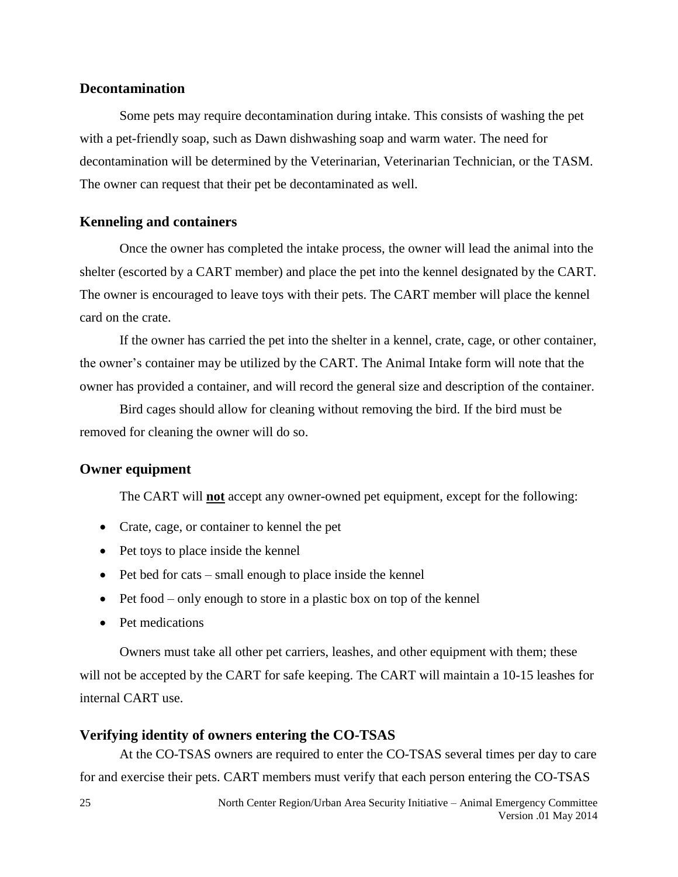## <span id="page-24-0"></span>**Decontamination**

Some pets may require decontamination during intake. This consists of washing the pet with a pet-friendly soap, such as Dawn dishwashing soap and warm water. The need for decontamination will be determined by the Veterinarian, Veterinarian Technician, or the TASM. The owner can request that their pet be decontaminated as well.

# <span id="page-24-1"></span>**Kenneling and containers**

Once the owner has completed the intake process, the owner will lead the animal into the shelter (escorted by a CART member) and place the pet into the kennel designated by the CART. The owner is encouraged to leave toys with their pets. The CART member will place the kennel card on the crate.

If the owner has carried the pet into the shelter in a kennel, crate, cage, or other container, the owner's container may be utilized by the CART. The Animal Intake form will note that the owner has provided a container, and will record the general size and description of the container.

Bird cages should allow for cleaning without removing the bird. If the bird must be removed for cleaning the owner will do so.

#### <span id="page-24-2"></span>**Owner equipment**

The CART will **not** accept any owner-owned pet equipment, except for the following:

- Crate, cage, or container to kennel the pet
- Pet toys to place inside the kennel
- $\bullet$  Pet bed for cats small enough to place inside the kennel
- $\bullet$  Pet food only enough to store in a plastic box on top of the kennel
- Pet medications

Owners must take all other pet carriers, leashes, and other equipment with them; these will not be accepted by the CART for safe keeping. The CART will maintain a 10-15 leashes for internal CART use.

## <span id="page-24-3"></span>**Verifying identity of owners entering the CO-TSAS**

At the CO-TSAS owners are required to enter the CO-TSAS several times per day to care for and exercise their pets. CART members must verify that each person entering the CO-TSAS

25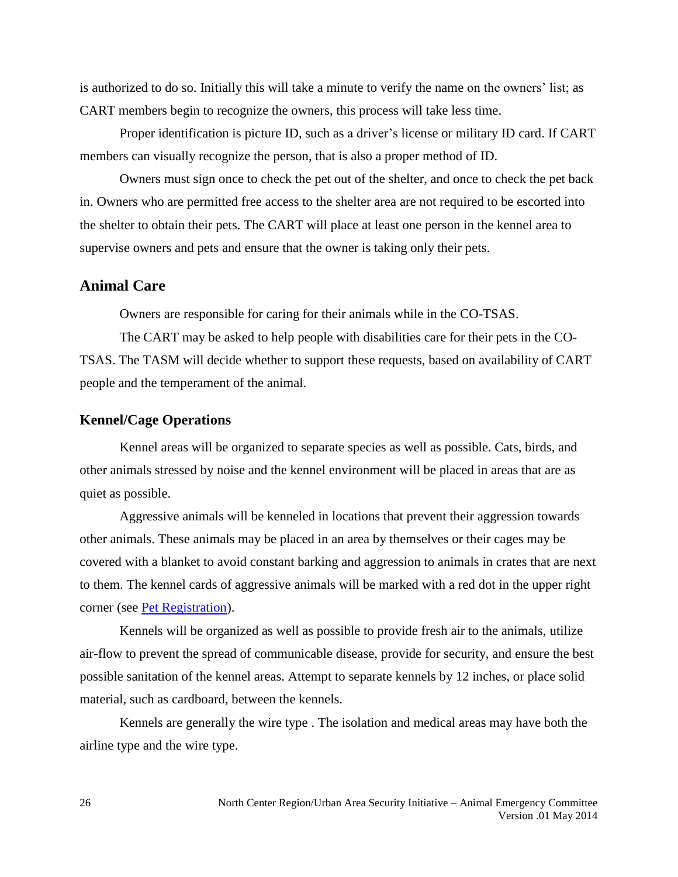is authorized to do so. Initially this will take a minute to verify the name on the owners' list; as CART members begin to recognize the owners, this process will take less time.

Proper identification is picture ID, such as a driver's license or military ID card. If CART members can visually recognize the person, that is also a proper method of ID.

Owners must sign once to check the pet out of the shelter, and once to check the pet back in. Owners who are permitted free access to the shelter area are not required to be escorted into the shelter to obtain their pets. The CART will place at least one person in the kennel area to supervise owners and pets and ensure that the owner is taking only their pets.

### <span id="page-25-0"></span>**Animal Care**

Owners are responsible for caring for their animals while in the CO-TSAS.

The CART may be asked to help people with disabilities care for their pets in the CO-TSAS. The TASM will decide whether to support these requests, based on availability of CART people and the temperament of the animal.

#### <span id="page-25-1"></span>**Kennel/Cage Operations**

Kennel areas will be organized to separate species as well as possible. Cats, birds, and other animals stressed by noise and the kennel environment will be placed in areas that are as quiet as possible.

Aggressive animals will be kenneled in locations that prevent their aggression towards other animals. These animals may be placed in an area by themselves or their cages may be covered with a blanket to avoid constant barking and aggression to animals in crates that are next to them. The kennel cards of aggressive animals will be marked with a red dot in the upper right corner (see [Pet Registration\)](#page-22-0).

Kennels will be organized as well as possible to provide fresh air to the animals, utilize air-flow to prevent the spread of communicable disease, provide for security, and ensure the best possible sanitation of the kennel areas. Attempt to separate kennels by 12 inches, or place solid material, such as cardboard, between the kennels.

Kennels are generally the wire type . The isolation and medical areas may have both the airline type and the wire type.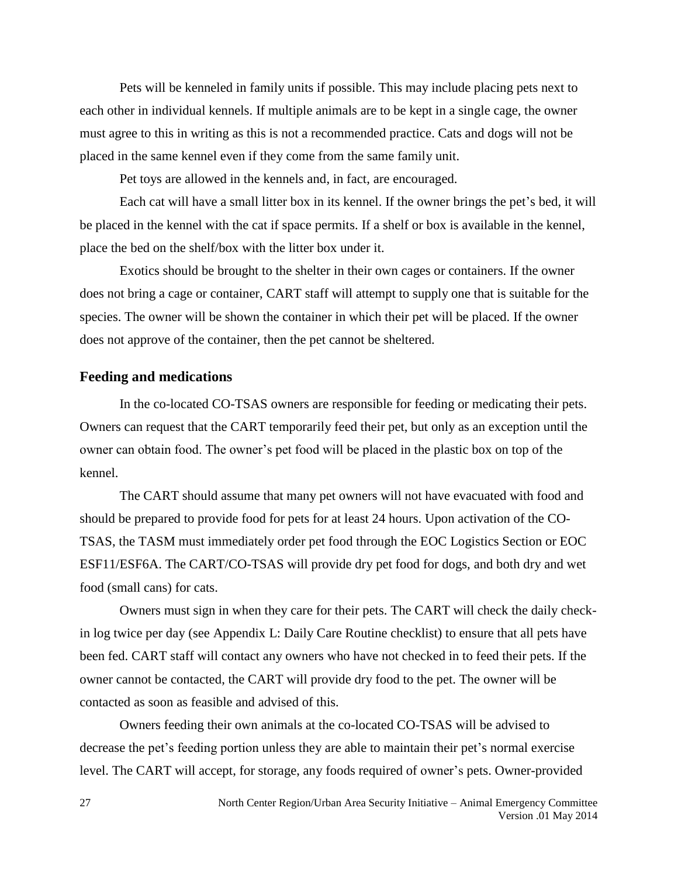Pets will be kenneled in family units if possible. This may include placing pets next to each other in individual kennels. If multiple animals are to be kept in a single cage, the owner must agree to this in writing as this is not a recommended practice. Cats and dogs will not be placed in the same kennel even if they come from the same family unit.

Pet toys are allowed in the kennels and, in fact, are encouraged.

Each cat will have a small litter box in its kennel. If the owner brings the pet's bed, it will be placed in the kennel with the cat if space permits. If a shelf or box is available in the kennel, place the bed on the shelf/box with the litter box under it.

Exotics should be brought to the shelter in their own cages or containers. If the owner does not bring a cage or container, CART staff will attempt to supply one that is suitable for the species. The owner will be shown the container in which their pet will be placed. If the owner does not approve of the container, then the pet cannot be sheltered.

#### <span id="page-26-0"></span>**Feeding and medications**

In the co-located CO-TSAS owners are responsible for feeding or medicating their pets. Owners can request that the CART temporarily feed their pet, but only as an exception until the owner can obtain food. The owner's pet food will be placed in the plastic box on top of the kennel.

The CART should assume that many pet owners will not have evacuated with food and should be prepared to provide food for pets for at least 24 hours. Upon activation of the CO-TSAS, the TASM must immediately order pet food through the EOC Logistics Section or EOC ESF11/ESF6A. The CART/CO-TSAS will provide dry pet food for dogs, and both dry and wet food (small cans) for cats.

Owners must sign in when they care for their pets. The CART will check the daily checkin log twice per day (see Appendix L: Daily Care Routine checklist) to ensure that all pets have been fed. CART staff will contact any owners who have not checked in to feed their pets. If the owner cannot be contacted, the CART will provide dry food to the pet. The owner will be contacted as soon as feasible and advised of this.

Owners feeding their own animals at the co-located CO-TSAS will be advised to decrease the pet's feeding portion unless they are able to maintain their pet's normal exercise level. The CART will accept, for storage, any foods required of owner's pets. Owner-provided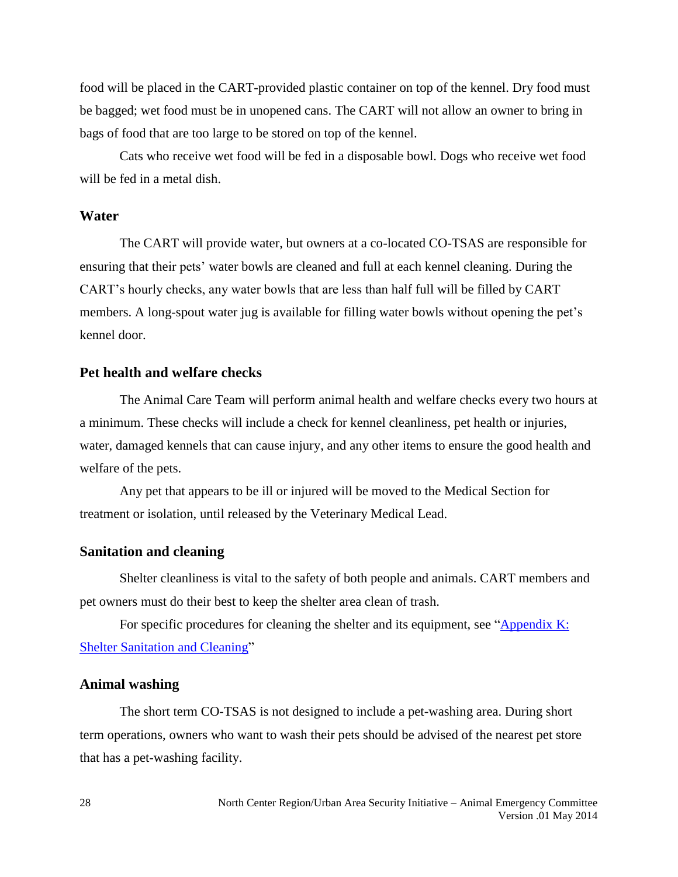food will be placed in the CART-provided plastic container on top of the kennel. Dry food must be bagged; wet food must be in unopened cans. The CART will not allow an owner to bring in bags of food that are too large to be stored on top of the kennel.

Cats who receive wet food will be fed in a disposable bowl. Dogs who receive wet food will be fed in a metal dish.

# <span id="page-27-0"></span>**Water**

The CART will provide water, but owners at a co-located CO-TSAS are responsible for ensuring that their pets' water bowls are cleaned and full at each kennel cleaning. During the CART's hourly checks, any water bowls that are less than half full will be filled by CART members. A long-spout water jug is available for filling water bowls without opening the pet's kennel door.

#### <span id="page-27-1"></span>**Pet health and welfare checks**

The Animal Care Team will perform animal health and welfare checks every two hours at a minimum. These checks will include a check for kennel cleanliness, pet health or injuries, water, damaged kennels that can cause injury, and any other items to ensure the good health and welfare of the pets.

Any pet that appears to be ill or injured will be moved to the Medical Section for treatment or isolation, until released by the Veterinary Medical Lead.

#### <span id="page-27-2"></span>**Sanitation and cleaning**

Shelter cleanliness is vital to the safety of both people and animals. CART members and pet owners must do their best to keep the shelter area clean of trash.

For specific procedures for cleaning the shelter and its equipment, see "Appendix K: Shelter Sanitation and Cleaning"

#### <span id="page-27-3"></span>**Animal washing**

The short term CO-TSAS is not designed to include a pet-washing area. During short term operations, owners who want to wash their pets should be advised of the nearest pet store that has a pet-washing facility.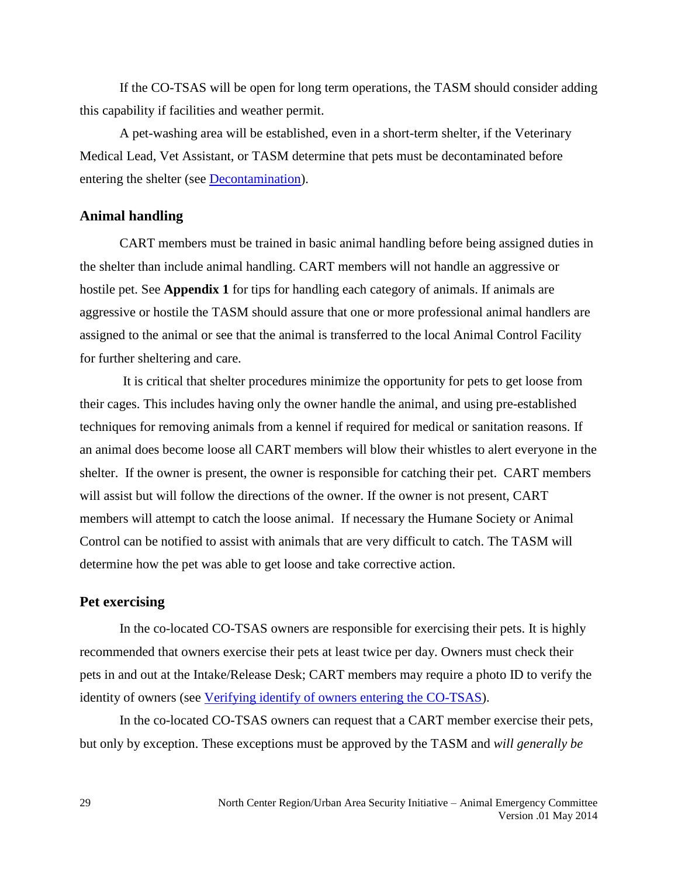If the CO-TSAS will be open for long term operations, the TASM should consider adding this capability if facilities and weather permit.

A pet-washing area will be established, even in a short-term shelter, if the Veterinary Medical Lead, Vet Assistant, or TASM determine that pets must be decontaminated before entering the shelter (see [Decontamination\)](#page-24-0).

#### <span id="page-28-0"></span>**Animal handling**

CART members must be trained in basic animal handling before being assigned duties in the shelter than include animal handling. CART members will not handle an aggressive or hostile pet. See **Appendix 1** for tips for handling each category of animals. If animals are aggressive or hostile the TASM should assure that one or more professional animal handlers are assigned to the animal or see that the animal is transferred to the local Animal Control Facility for further sheltering and care.

It is critical that shelter procedures minimize the opportunity for pets to get loose from their cages. This includes having only the owner handle the animal, and using pre-established techniques for removing animals from a kennel if required for medical or sanitation reasons. If an animal does become loose all CART members will blow their whistles to alert everyone in the shelter. If the owner is present, the owner is responsible for catching their pet. CART members will assist but will follow the directions of the owner. If the owner is not present, CART members will attempt to catch the loose animal. If necessary the Humane Society or Animal Control can be notified to assist with animals that are very difficult to catch. The TASM will determine how the pet was able to get loose and take corrective action.

#### <span id="page-28-1"></span>**Pet exercising**

In the co-located CO-TSAS owners are responsible for exercising their pets. It is highly recommended that owners exercise their pets at least twice per day. Owners must check their pets in and out at the Intake/Release Desk; CART members may require a photo ID to verify the identity of owners (see [Verifying identify of owners entering the CO-TSAS\)](#page-24-3).

In the co-located CO-TSAS owners can request that a CART member exercise their pets, but only by exception. These exceptions must be approved by the TASM and *will generally be*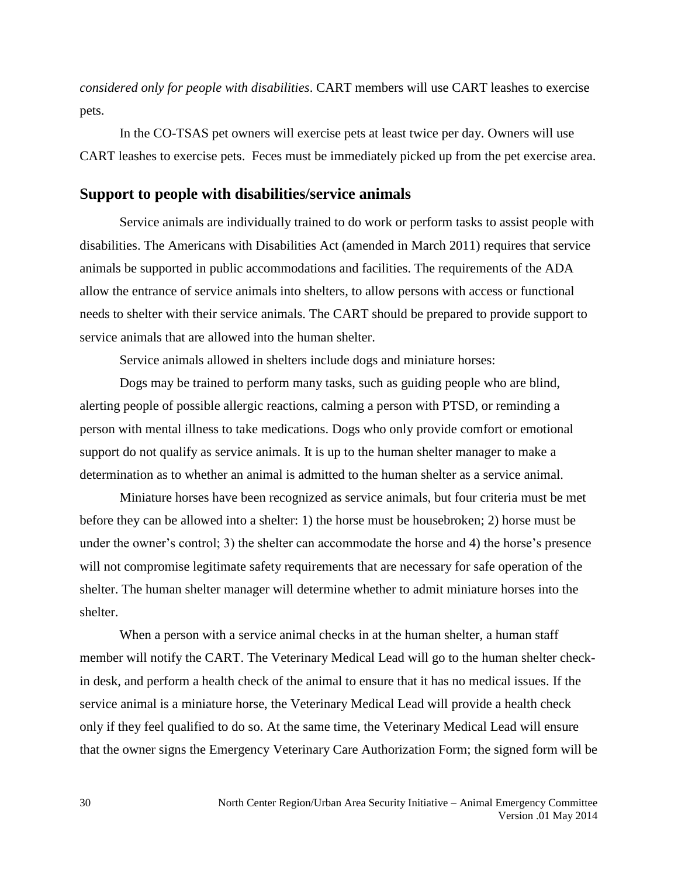*considered only for people with disabilities*. CART members will use CART leashes to exercise pets.

In the CO-TSAS pet owners will exercise pets at least twice per day. Owners will use CART leashes to exercise pets. Feces must be immediately picked up from the pet exercise area.

## <span id="page-29-0"></span>**Support to people with disabilities/service animals**

Service animals are individually trained to do work or perform tasks to assist people with disabilities. The Americans with Disabilities Act (amended in March 2011) requires that service animals be supported in public accommodations and facilities. The requirements of the ADA allow the entrance of service animals into shelters, to allow persons with access or functional needs to shelter with their service animals. The CART should be prepared to provide support to service animals that are allowed into the human shelter.

Service animals allowed in shelters include dogs and miniature horses:

Dogs may be trained to perform many tasks, such as guiding people who are blind, alerting people of possible allergic reactions, calming a person with PTSD, or reminding a person with mental illness to take medications. Dogs who only provide comfort or emotional support do not qualify as service animals. It is up to the human shelter manager to make a determination as to whether an animal is admitted to the human shelter as a service animal.

Miniature horses have been recognized as service animals, but four criteria must be met before they can be allowed into a shelter: 1) the horse must be housebroken; 2) horse must be under the owner's control; 3) the shelter can accommodate the horse and 4) the horse's presence will not compromise legitimate safety requirements that are necessary for safe operation of the shelter. The human shelter manager will determine whether to admit miniature horses into the shelter.

When a person with a service animal checks in at the human shelter, a human staff member will notify the CART. The Veterinary Medical Lead will go to the human shelter checkin desk, and perform a health check of the animal to ensure that it has no medical issues. If the service animal is a miniature horse, the Veterinary Medical Lead will provide a health check only if they feel qualified to do so. At the same time, the Veterinary Medical Lead will ensure that the owner signs the Emergency Veterinary Care Authorization Form; the signed form will be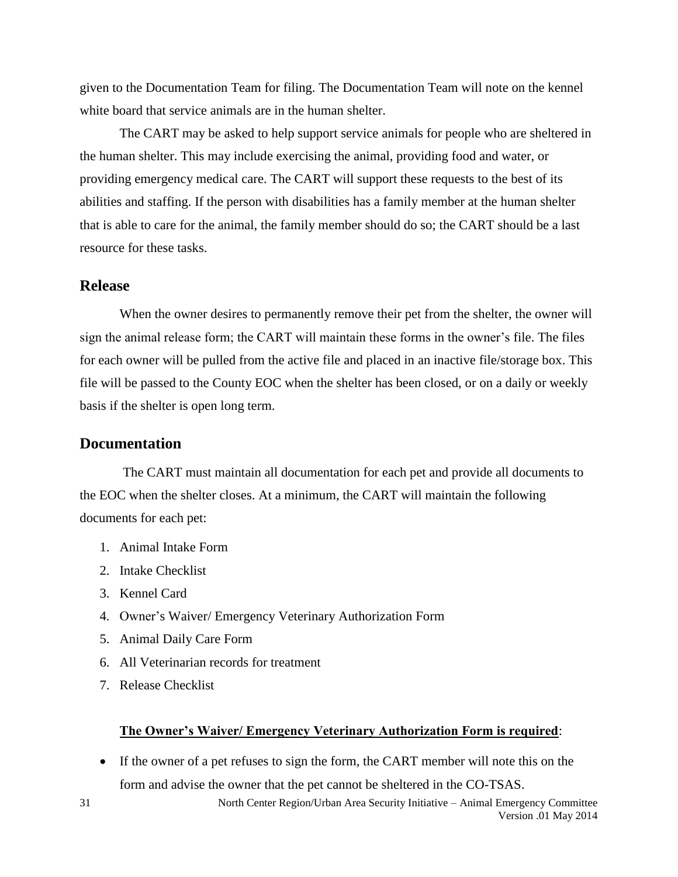given to the Documentation Team for filing. The Documentation Team will note on the kennel white board that service animals are in the human shelter.

The CART may be asked to help support service animals for people who are sheltered in the human shelter. This may include exercising the animal, providing food and water, or providing emergency medical care. The CART will support these requests to the best of its abilities and staffing. If the person with disabilities has a family member at the human shelter that is able to care for the animal, the family member should do so; the CART should be a last resource for these tasks.

# <span id="page-30-0"></span>**Release**

When the owner desires to permanently remove their pet from the shelter, the owner will sign the animal release form; the CART will maintain these forms in the owner's file. The files for each owner will be pulled from the active file and placed in an inactive file/storage box. This file will be passed to the County EOC when the shelter has been closed, or on a daily or weekly basis if the shelter is open long term.

## <span id="page-30-1"></span>**Documentation**

The CART must maintain all documentation for each pet and provide all documents to the EOC when the shelter closes. At a minimum, the CART will maintain the following documents for each pet:

- 1. Animal Intake Form
- 2. Intake Checklist
- 3. Kennel Card
- 4. Owner's Waiver/ Emergency Veterinary Authorization Form
- 5. Animal Daily Care Form
- 6. All Veterinarian records for treatment
- 7. Release Checklist

#### **The Owner's Waiver/ Emergency Veterinary Authorization Form is required**:

 If the owner of a pet refuses to sign the form, the CART member will note this on the form and advise the owner that the pet cannot be sheltered in the CO-TSAS.

31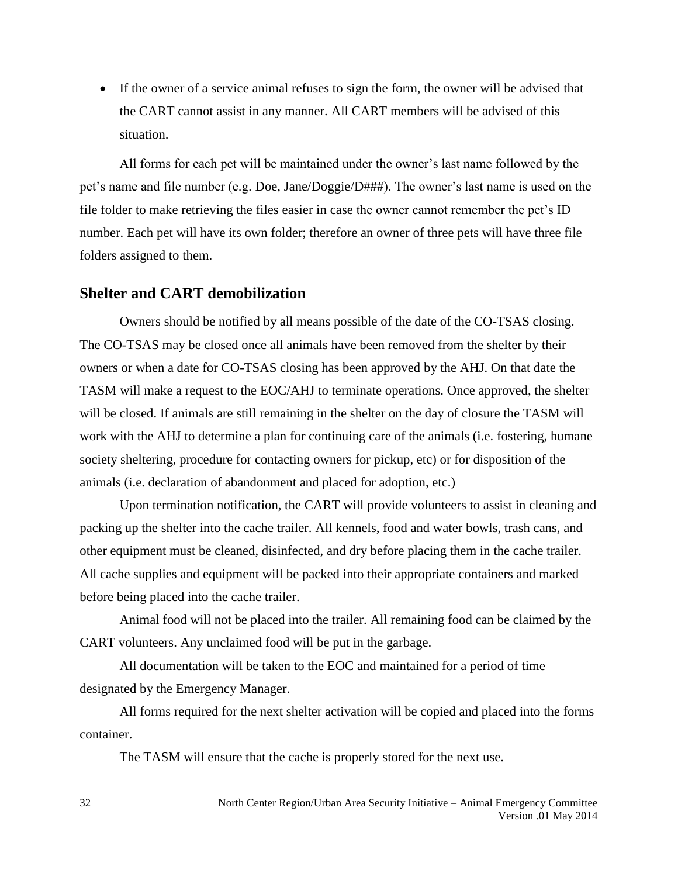If the owner of a service animal refuses to sign the form, the owner will be advised that the CART cannot assist in any manner. All CART members will be advised of this situation.

All forms for each pet will be maintained under the owner's last name followed by the pet's name and file number (e.g. Doe, Jane/Doggie/D###). The owner's last name is used on the file folder to make retrieving the files easier in case the owner cannot remember the pet's ID number. Each pet will have its own folder; therefore an owner of three pets will have three file folders assigned to them.

## <span id="page-31-0"></span>**Shelter and CART demobilization**

Owners should be notified by all means possible of the date of the CO-TSAS closing. The CO-TSAS may be closed once all animals have been removed from the shelter by their owners or when a date for CO-TSAS closing has been approved by the AHJ. On that date the TASM will make a request to the EOC/AHJ to terminate operations. Once approved, the shelter will be closed. If animals are still remaining in the shelter on the day of closure the TASM will work with the AHJ to determine a plan for continuing care of the animals (i.e. fostering, humane society sheltering, procedure for contacting owners for pickup, etc) or for disposition of the animals (i.e. declaration of abandonment and placed for adoption, etc.)

Upon termination notification, the CART will provide volunteers to assist in cleaning and packing up the shelter into the cache trailer. All kennels, food and water bowls, trash cans, and other equipment must be cleaned, disinfected, and dry before placing them in the cache trailer. All cache supplies and equipment will be packed into their appropriate containers and marked before being placed into the cache trailer.

Animal food will not be placed into the trailer. All remaining food can be claimed by the CART volunteers. Any unclaimed food will be put in the garbage.

All documentation will be taken to the EOC and maintained for a period of time designated by the Emergency Manager.

All forms required for the next shelter activation will be copied and placed into the forms container.

The TASM will ensure that the cache is properly stored for the next use.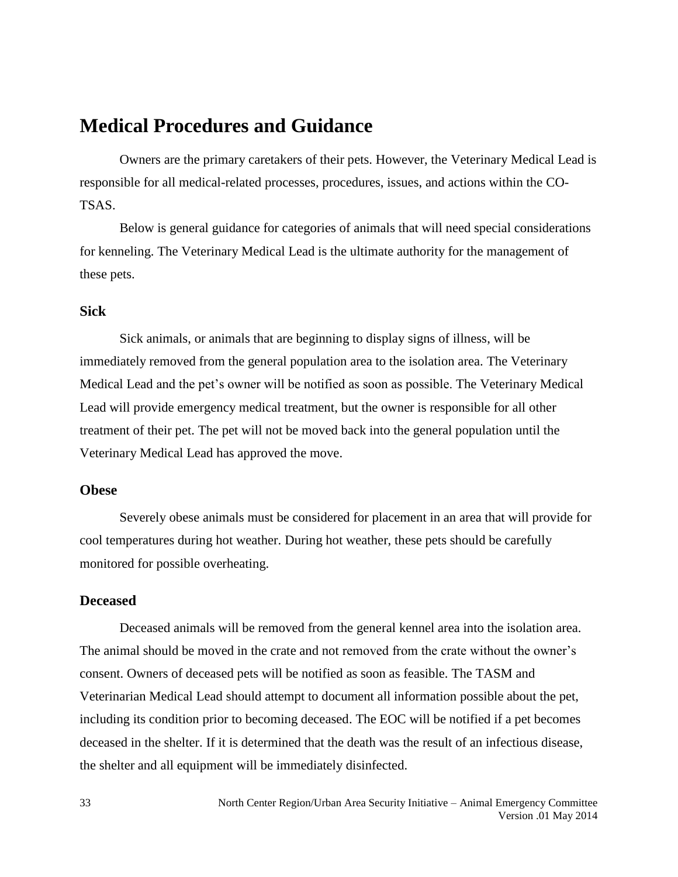# <span id="page-32-0"></span>**Medical Procedures and Guidance**

Owners are the primary caretakers of their pets. However, the Veterinary Medical Lead is responsible for all medical-related processes, procedures, issues, and actions within the CO-TSAS.

Below is general guidance for categories of animals that will need special considerations for kenneling. The Veterinary Medical Lead is the ultimate authority for the management of these pets.

# <span id="page-32-1"></span>**Sick**

Sick animals, or animals that are beginning to display signs of illness, will be immediately removed from the general population area to the isolation area. The Veterinary Medical Lead and the pet's owner will be notified as soon as possible. The Veterinary Medical Lead will provide emergency medical treatment, but the owner is responsible for all other treatment of their pet. The pet will not be moved back into the general population until the Veterinary Medical Lead has approved the move.

### <span id="page-32-2"></span>**Obese**

Severely obese animals must be considered for placement in an area that will provide for cool temperatures during hot weather. During hot weather, these pets should be carefully monitored for possible overheating.

## <span id="page-32-3"></span>**Deceased**

Deceased animals will be removed from the general kennel area into the isolation area. The animal should be moved in the crate and not removed from the crate without the owner's consent. Owners of deceased pets will be notified as soon as feasible. The TASM and Veterinarian Medical Lead should attempt to document all information possible about the pet, including its condition prior to becoming deceased. The EOC will be notified if a pet becomes deceased in the shelter. If it is determined that the death was the result of an infectious disease, the shelter and all equipment will be immediately disinfected.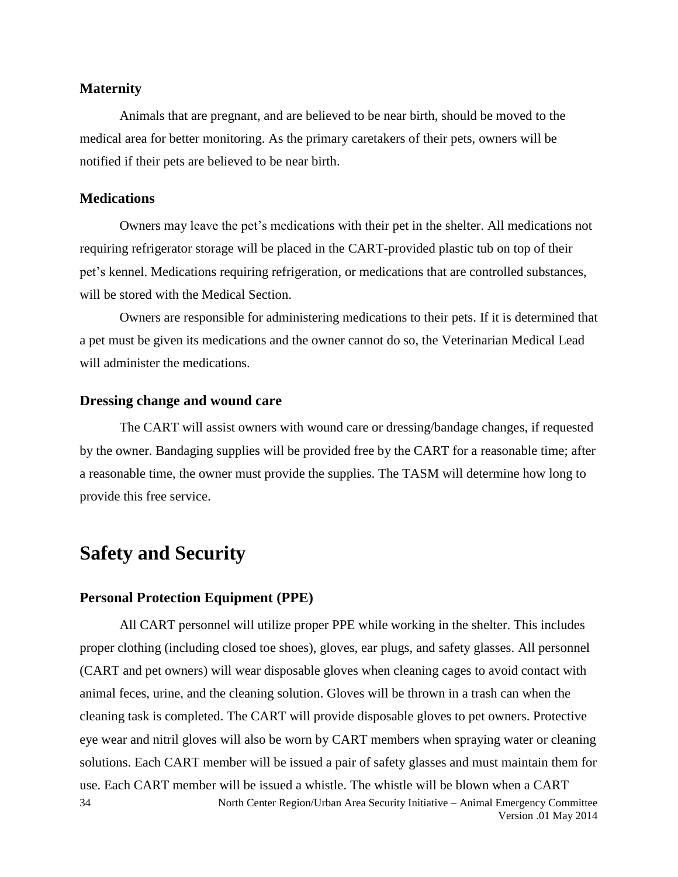#### <span id="page-33-0"></span>**Maternity**

Animals that are pregnant, and are believed to be near birth, should be moved to the medical area for better monitoring. As the primary caretakers of their pets, owners will be notified if their pets are believed to be near birth.

### <span id="page-33-1"></span>**Medications**

Owners may leave the pet's medications with their pet in the shelter. All medications not requiring refrigerator storage will be placed in the CART-provided plastic tub on top of their pet's kennel. Medications requiring refrigeration, or medications that are controlled substances, will be stored with the Medical Section.

Owners are responsible for administering medications to their pets. If it is determined that a pet must be given its medications and the owner cannot do so, the Veterinarian Medical Lead will administer the medications.

#### <span id="page-33-2"></span>**Dressing change and wound care**

The CART will assist owners with wound care or dressing/bandage changes, if requested by the owner. Bandaging supplies will be provided free by the CART for a reasonable time; after a reasonable time, the owner must provide the supplies. The TASM will determine how long to provide this free service.

# <span id="page-33-3"></span>**Safety and Security**

#### <span id="page-33-4"></span>**Personal Protection Equipment (PPE)**

North Center Region/Urban Area Security Initiative – Animal Emergency Committee Version .01 May 2014 34 All CART personnel will utilize proper PPE while working in the shelter. This includes proper clothing (including closed toe shoes), gloves, ear plugs, and safety glasses. All personnel (CART and pet owners) will wear disposable gloves when cleaning cages to avoid contact with animal feces, urine, and the cleaning solution. Gloves will be thrown in a trash can when the cleaning task is completed. The CART will provide disposable gloves to pet owners. Protective eye wear and nitril gloves will also be worn by CART members when spraying water or cleaning solutions. Each CART member will be issued a pair of safety glasses and must maintain them for use. Each CART member will be issued a whistle. The whistle will be blown when a CART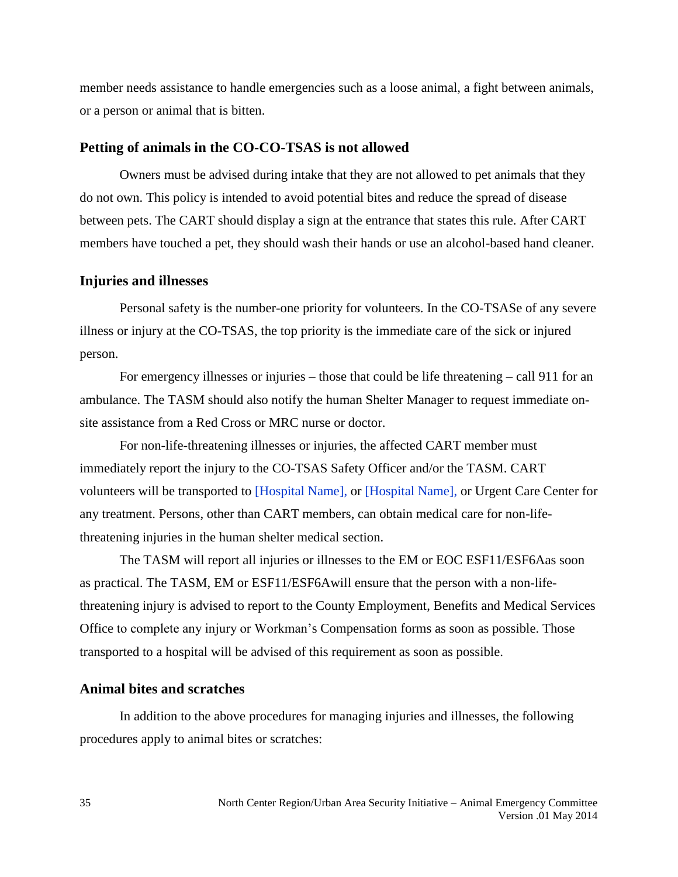member needs assistance to handle emergencies such as a loose animal, a fight between animals, or a person or animal that is bitten.

#### <span id="page-34-0"></span>**Petting of animals in the CO-CO-TSAS is not allowed**

Owners must be advised during intake that they are not allowed to pet animals that they do not own. This policy is intended to avoid potential bites and reduce the spread of disease between pets. The CART should display a sign at the entrance that states this rule. After CART members have touched a pet, they should wash their hands or use an alcohol-based hand cleaner.

#### <span id="page-34-1"></span>**Injuries and illnesses**

Personal safety is the number-one priority for volunteers. In the CO-TSASe of any severe illness or injury at the CO-TSAS, the top priority is the immediate care of the sick or injured person.

For emergency illnesses or injuries – those that could be life threatening – call 911 for an ambulance. The TASM should also notify the human Shelter Manager to request immediate onsite assistance from a Red Cross or MRC nurse or doctor.

For non-life-threatening illnesses or injuries, the affected CART member must immediately report the injury to the CO-TSAS Safety Officer and/or the TASM. CART volunteers will be transported to [Hospital Name], or [Hospital Name], or Urgent Care Center for any treatment. Persons, other than CART members, can obtain medical care for non-lifethreatening injuries in the human shelter medical section.

The TASM will report all injuries or illnesses to the EM or EOC ESF11/ESF6Aas soon as practical. The TASM, EM or ESF11/ESF6Awill ensure that the person with a non-lifethreatening injury is advised to report to the County Employment, Benefits and Medical Services Office to complete any injury or Workman's Compensation forms as soon as possible. Those transported to a hospital will be advised of this requirement as soon as possible.

#### <span id="page-34-2"></span>**Animal bites and scratches**

In addition to the above procedures for managing injuries and illnesses, the following procedures apply to animal bites or scratches: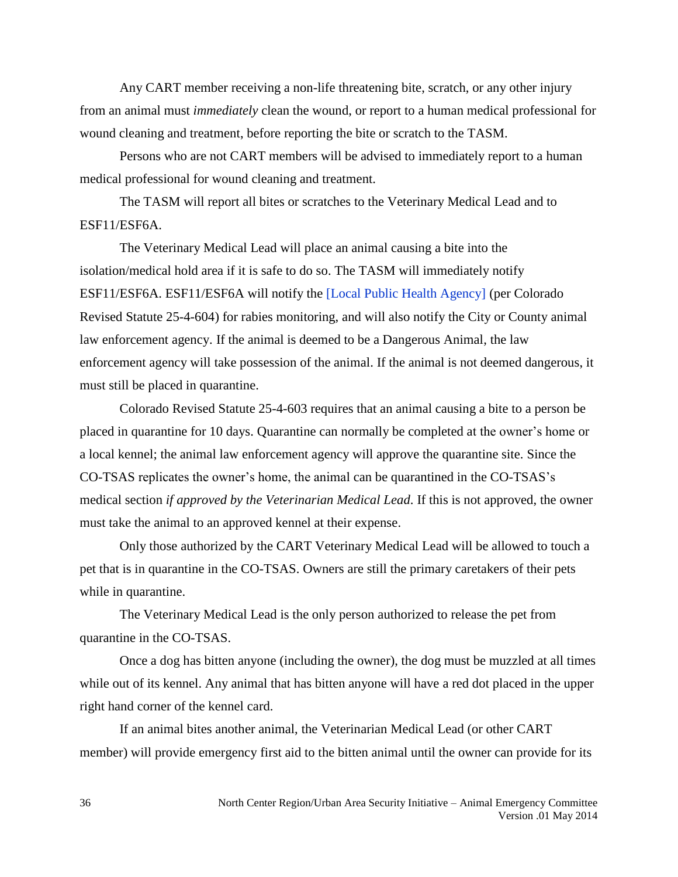Any CART member receiving a non-life threatening bite, scratch, or any other injury from an animal must *immediately* clean the wound, or report to a human medical professional for wound cleaning and treatment, before reporting the bite or scratch to the TASM.

Persons who are not CART members will be advised to immediately report to a human medical professional for wound cleaning and treatment.

The TASM will report all bites or scratches to the Veterinary Medical Lead and to ESF11/ESF6A.

The Veterinary Medical Lead will place an animal causing a bite into the isolation/medical hold area if it is safe to do so. The TASM will immediately notify ESF11/ESF6A. ESF11/ESF6A will notify the [Local Public Health Agency] (per Colorado Revised Statute 25-4-604) for rabies monitoring, and will also notify the City or County animal law enforcement agency. If the animal is deemed to be a Dangerous Animal, the law enforcement agency will take possession of the animal. If the animal is not deemed dangerous, it must still be placed in quarantine.

Colorado Revised Statute 25-4-603 requires that an animal causing a bite to a person be placed in quarantine for 10 days. Quarantine can normally be completed at the owner's home or a local kennel; the animal law enforcement agency will approve the quarantine site. Since the CO-TSAS replicates the owner's home, the animal can be quarantined in the CO-TSAS's medical section *if approved by the Veterinarian Medical Lead*. If this is not approved, the owner must take the animal to an approved kennel at their expense.

Only those authorized by the CART Veterinary Medical Lead will be allowed to touch a pet that is in quarantine in the CO-TSAS. Owners are still the primary caretakers of their pets while in quarantine.

The Veterinary Medical Lead is the only person authorized to release the pet from quarantine in the CO-TSAS.

Once a dog has bitten anyone (including the owner), the dog must be muzzled at all times while out of its kennel. Any animal that has bitten anyone will have a red dot placed in the upper right hand corner of the kennel card.

If an animal bites another animal, the Veterinarian Medical Lead (or other CART member) will provide emergency first aid to the bitten animal until the owner can provide for its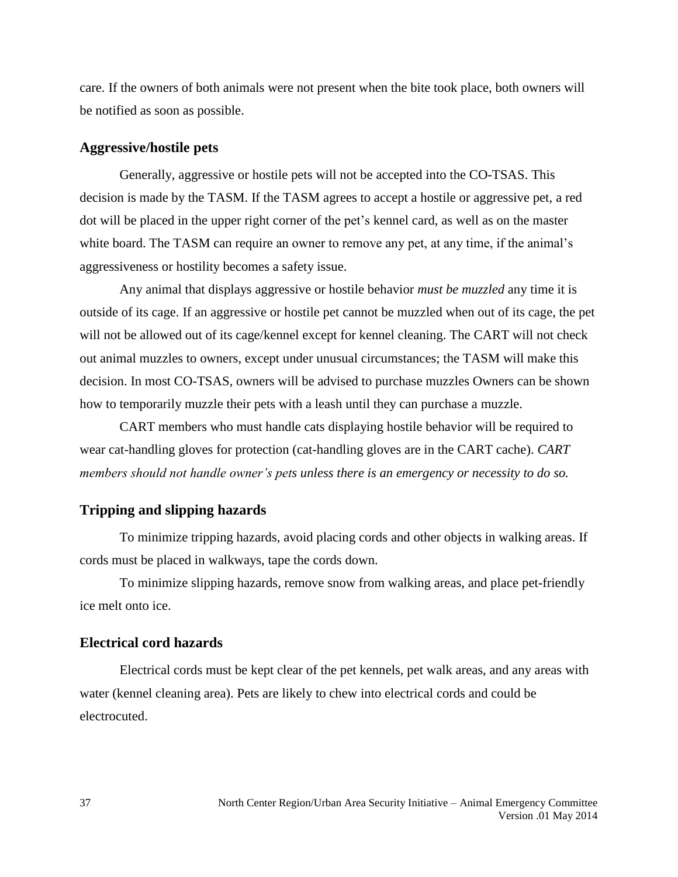care. If the owners of both animals were not present when the bite took place, both owners will be notified as soon as possible.

### **Aggressive/hostile pets**

Generally, aggressive or hostile pets will not be accepted into the CO-TSAS. This decision is made by the TASM. If the TASM agrees to accept a hostile or aggressive pet, a red dot will be placed in the upper right corner of the pet's kennel card, as well as on the master white board. The TASM can require an owner to remove any pet, at any time, if the animal's aggressiveness or hostility becomes a safety issue.

Any animal that displays aggressive or hostile behavior *must be muzzled* any time it is outside of its cage. If an aggressive or hostile pet cannot be muzzled when out of its cage, the pet will not be allowed out of its cage/kennel except for kennel cleaning. The CART will not check out animal muzzles to owners, except under unusual circumstances; the TASM will make this decision. In most CO-TSAS, owners will be advised to purchase muzzles Owners can be shown how to temporarily muzzle their pets with a leash until they can purchase a muzzle.

CART members who must handle cats displaying hostile behavior will be required to wear cat-handling gloves for protection (cat-handling gloves are in the CART cache). *CART members should not handle owner's pets unless there is an emergency or necessity to do so.*

### **Tripping and slipping hazards**

To minimize tripping hazards, avoid placing cords and other objects in walking areas. If cords must be placed in walkways, tape the cords down.

To minimize slipping hazards, remove snow from walking areas, and place pet-friendly ice melt onto ice.

### **Electrical cord hazards**

Electrical cords must be kept clear of the pet kennels, pet walk areas, and any areas with water (kennel cleaning area). Pets are likely to chew into electrical cords and could be electrocuted.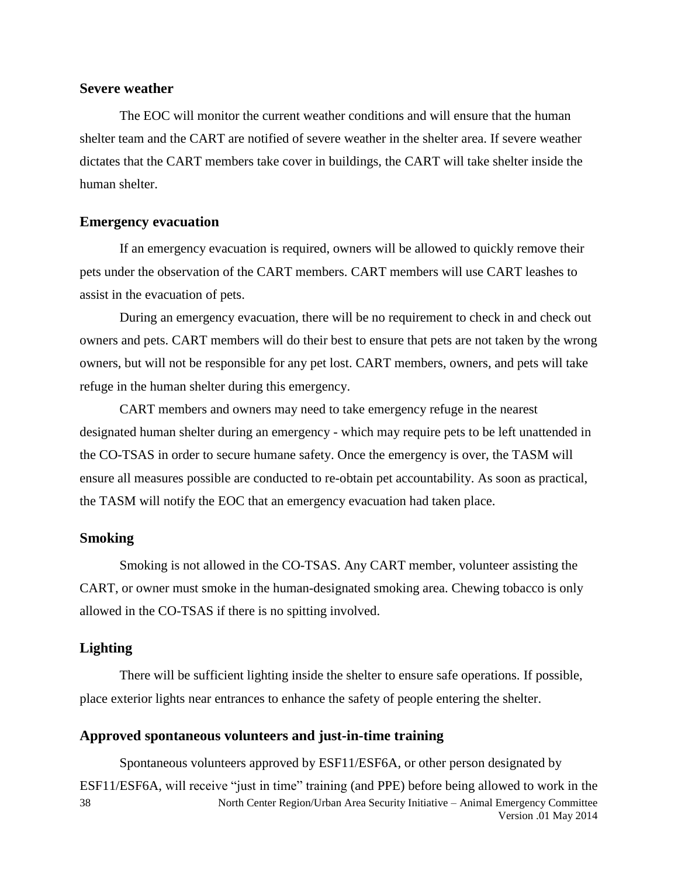### **Severe weather**

The EOC will monitor the current weather conditions and will ensure that the human shelter team and the CART are notified of severe weather in the shelter area. If severe weather dictates that the CART members take cover in buildings, the CART will take shelter inside the human shelter.

### **Emergency evacuation**

If an emergency evacuation is required, owners will be allowed to quickly remove their pets under the observation of the CART members. CART members will use CART leashes to assist in the evacuation of pets.

During an emergency evacuation, there will be no requirement to check in and check out owners and pets. CART members will do their best to ensure that pets are not taken by the wrong owners, but will not be responsible for any pet lost. CART members, owners, and pets will take refuge in the human shelter during this emergency.

CART members and owners may need to take emergency refuge in the nearest designated human shelter during an emergency - which may require pets to be left unattended in the CO-TSAS in order to secure humane safety. Once the emergency is over, the TASM will ensure all measures possible are conducted to re-obtain pet accountability. As soon as practical, the TASM will notify the EOC that an emergency evacuation had taken place.

### **Smoking**

Smoking is not allowed in the CO-TSAS. Any CART member, volunteer assisting the CART, or owner must smoke in the human-designated smoking area. Chewing tobacco is only allowed in the CO-TSAS if there is no spitting involved.

### **Lighting**

There will be sufficient lighting inside the shelter to ensure safe operations. If possible, place exterior lights near entrances to enhance the safety of people entering the shelter.

### <span id="page-37-0"></span>**Approved spontaneous volunteers and just-in-time training**

North Center Region/Urban Area Security Initiative – Animal Emergency Committee Version .01 May 2014 38 Spontaneous volunteers approved by ESF11/ESF6A, or other person designated by ESF11/ESF6A, will receive "just in time" training (and PPE) before being allowed to work in the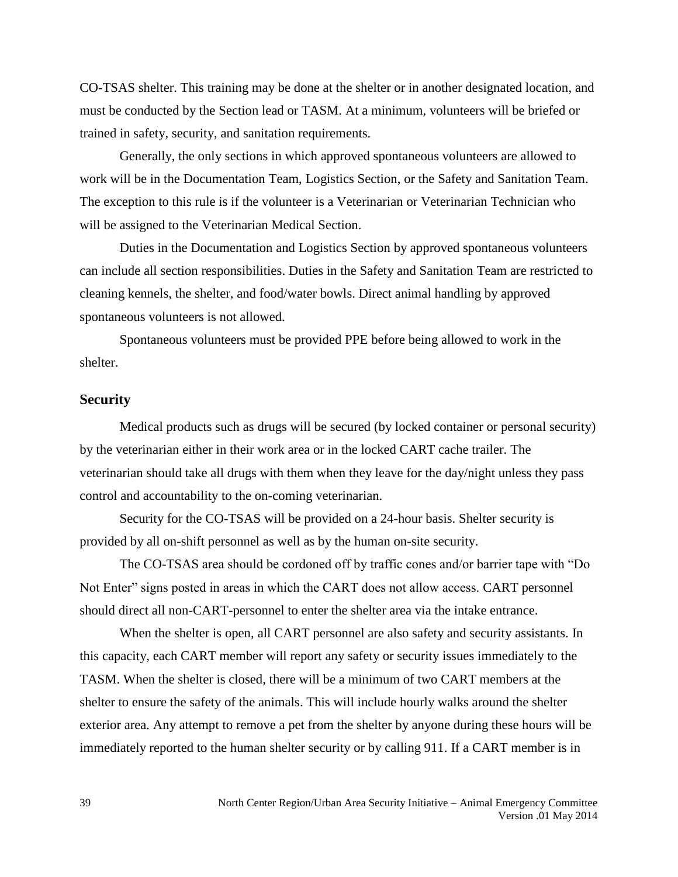CO-TSAS shelter. This training may be done at the shelter or in another designated location, and must be conducted by the Section lead or TASM. At a minimum, volunteers will be briefed or trained in safety, security, and sanitation requirements.

Generally, the only sections in which approved spontaneous volunteers are allowed to work will be in the Documentation Team, Logistics Section, or the Safety and Sanitation Team. The exception to this rule is if the volunteer is a Veterinarian or Veterinarian Technician who will be assigned to the Veterinarian Medical Section.

Duties in the Documentation and Logistics Section by approved spontaneous volunteers can include all section responsibilities. Duties in the Safety and Sanitation Team are restricted to cleaning kennels, the shelter, and food/water bowls. Direct animal handling by approved spontaneous volunteers is not allowed.

Spontaneous volunteers must be provided PPE before being allowed to work in the shelter.

### **Security**

Medical products such as drugs will be secured (by locked container or personal security) by the veterinarian either in their work area or in the locked CART cache trailer. The veterinarian should take all drugs with them when they leave for the day/night unless they pass control and accountability to the on-coming veterinarian.

Security for the CO-TSAS will be provided on a 24-hour basis. Shelter security is provided by all on-shift personnel as well as by the human on-site security.

The CO-TSAS area should be cordoned off by traffic cones and/or barrier tape with "Do Not Enter" signs posted in areas in which the CART does not allow access. CART personnel should direct all non-CART-personnel to enter the shelter area via the intake entrance.

When the shelter is open, all CART personnel are also safety and security assistants. In this capacity, each CART member will report any safety or security issues immediately to the TASM. When the shelter is closed, there will be a minimum of two CART members at the shelter to ensure the safety of the animals. This will include hourly walks around the shelter exterior area. Any attempt to remove a pet from the shelter by anyone during these hours will be immediately reported to the human shelter security or by calling 911. If a CART member is in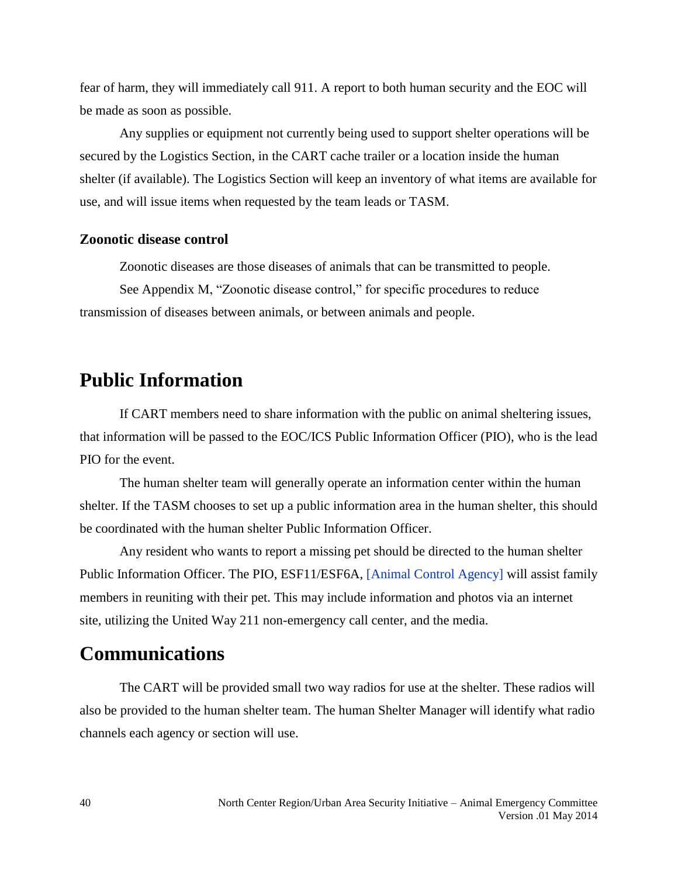fear of harm, they will immediately call 911. A report to both human security and the EOC will be made as soon as possible.

Any supplies or equipment not currently being used to support shelter operations will be secured by the Logistics Section, in the CART cache trailer or a location inside the human shelter (if available). The Logistics Section will keep an inventory of what items are available for use, and will issue items when requested by the team leads or TASM.

### **Zoonotic disease control**

Zoonotic diseases are those diseases of animals that can be transmitted to people.

See Appendix M, "Zoonotic disease control," for specific procedures to reduce transmission of diseases between animals, or between animals and people.

### **Public Information**

If CART members need to share information with the public on animal sheltering issues, that information will be passed to the EOC/ICS Public Information Officer (PIO), who is the lead PIO for the event.

The human shelter team will generally operate an information center within the human shelter. If the TASM chooses to set up a public information area in the human shelter, this should be coordinated with the human shelter Public Information Officer.

Any resident who wants to report a missing pet should be directed to the human shelter Public Information Officer. The PIO, ESF11/ESF6A, [Animal Control Agency] will assist family members in reuniting with their pet. This may include information and photos via an internet site, utilizing the United Way 211 non-emergency call center, and the media.

### **Communications**

The CART will be provided small two way radios for use at the shelter. These radios will also be provided to the human shelter team. The human Shelter Manager will identify what radio channels each agency or section will use.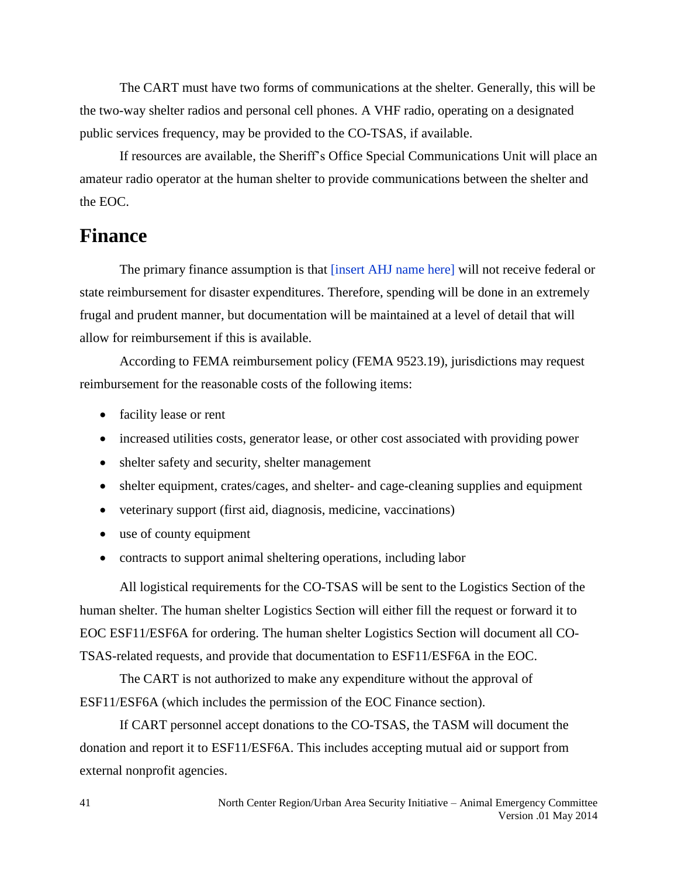The CART must have two forms of communications at the shelter. Generally, this will be the two-way shelter radios and personal cell phones. A VHF radio, operating on a designated public services frequency, may be provided to the CO-TSAS, if available.

If resources are available, the Sheriff's Office Special Communications Unit will place an amateur radio operator at the human shelter to provide communications between the shelter and the EOC.

### **Finance**

The primary finance assumption is that [insert AHJ name here] will not receive federal or state reimbursement for disaster expenditures. Therefore, spending will be done in an extremely frugal and prudent manner, but documentation will be maintained at a level of detail that will allow for reimbursement if this is available.

According to FEMA reimbursement policy (FEMA 9523.19), jurisdictions may request reimbursement for the reasonable costs of the following items:

- facility lease or rent
- increased utilities costs, generator lease, or other cost associated with providing power
- shelter safety and security, shelter management
- shelter equipment, crates/cages, and shelter- and cage-cleaning supplies and equipment
- veterinary support (first aid, diagnosis, medicine, vaccinations)
- use of county equipment
- contracts to support animal sheltering operations, including labor

All logistical requirements for the CO-TSAS will be sent to the Logistics Section of the human shelter. The human shelter Logistics Section will either fill the request or forward it to EOC ESF11/ESF6A for ordering. The human shelter Logistics Section will document all CO-TSAS-related requests, and provide that documentation to ESF11/ESF6A in the EOC.

The CART is not authorized to make any expenditure without the approval of ESF11/ESF6A (which includes the permission of the EOC Finance section).

If CART personnel accept donations to the CO-TSAS, the TASM will document the donation and report it to ESF11/ESF6A. This includes accepting mutual aid or support from external nonprofit agencies.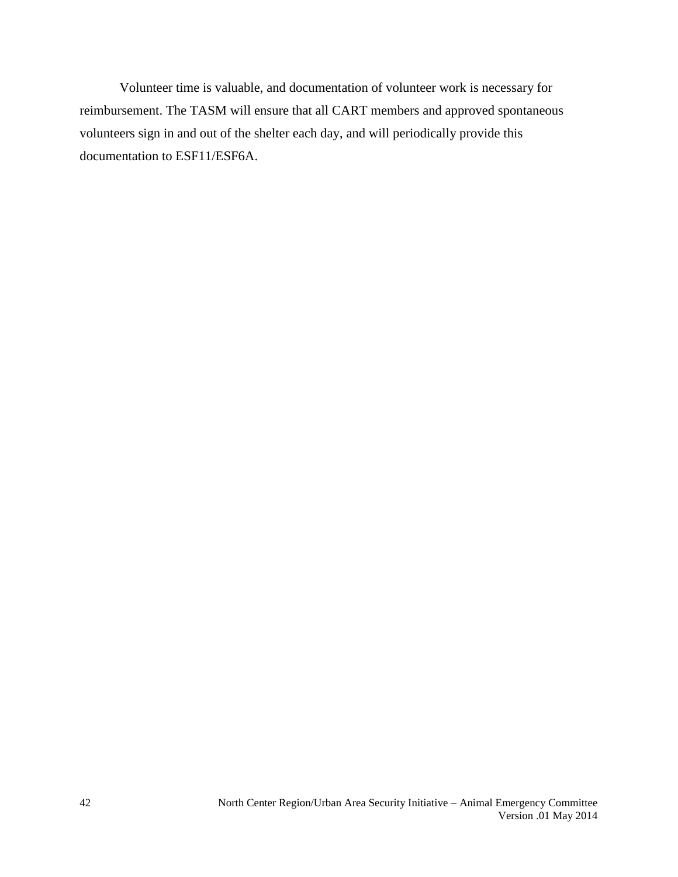Volunteer time is valuable, and documentation of volunteer work is necessary for reimbursement. The TASM will ensure that all CART members and approved spontaneous volunteers sign in and out of the shelter each day, and will periodically provide this documentation to ESF11/ESF6A.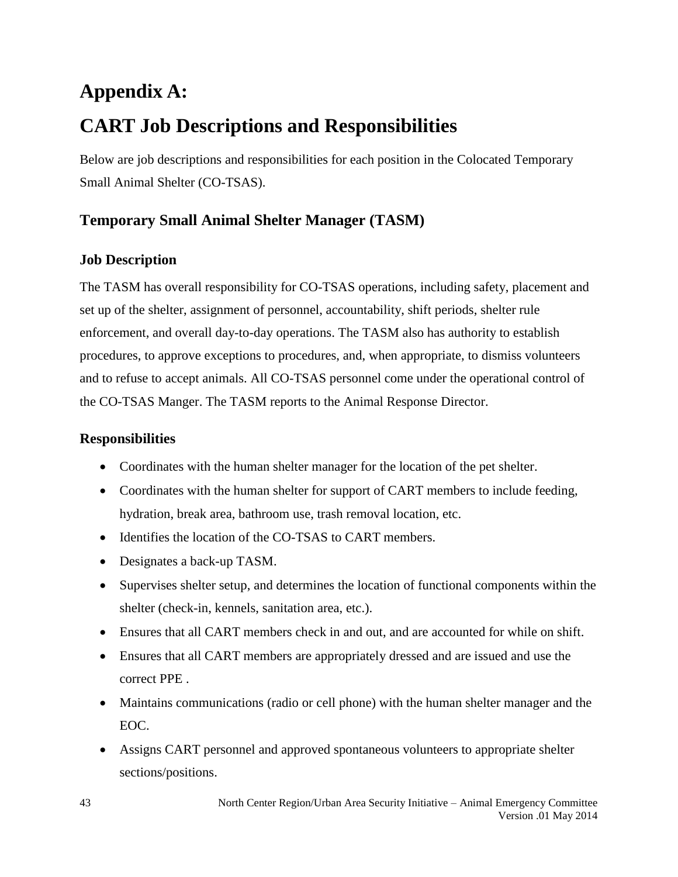### **Appendix A:**

### **CART Job Descriptions and Responsibilities**

Below are job descriptions and responsibilities for each position in the Colocated Temporary Small Animal Shelter (CO-TSAS).

### **Temporary Small Animal Shelter Manager (TASM)**

### **Job Description**

The TASM has overall responsibility for CO-TSAS operations, including safety, placement and set up of the shelter, assignment of personnel, accountability, shift periods, shelter rule enforcement, and overall day-to-day operations. The TASM also has authority to establish procedures, to approve exceptions to procedures, and, when appropriate, to dismiss volunteers and to refuse to accept animals. All CO-TSAS personnel come under the operational control of the CO-TSAS Manger. The TASM reports to the Animal Response Director.

- Coordinates with the human shelter manager for the location of the pet shelter.
- Coordinates with the human shelter for support of CART members to include feeding, hydration, break area, bathroom use, trash removal location, etc.
- Identifies the location of the CO-TSAS to CART members.
- Designates a back-up TASM.
- Supervises shelter setup, and determines the location of functional components within the shelter (check-in, kennels, sanitation area, etc.).
- Ensures that all CART members check in and out, and are accounted for while on shift.
- Ensures that all CART members are appropriately dressed and are issued and use the [correct PPE](#page-33-0) .
- Maintains communications (radio or cell phone) with the human shelter manager and the EOC.
- Assigns CART personnel and approved spontaneous volunteers to appropriate shelter sections/positions.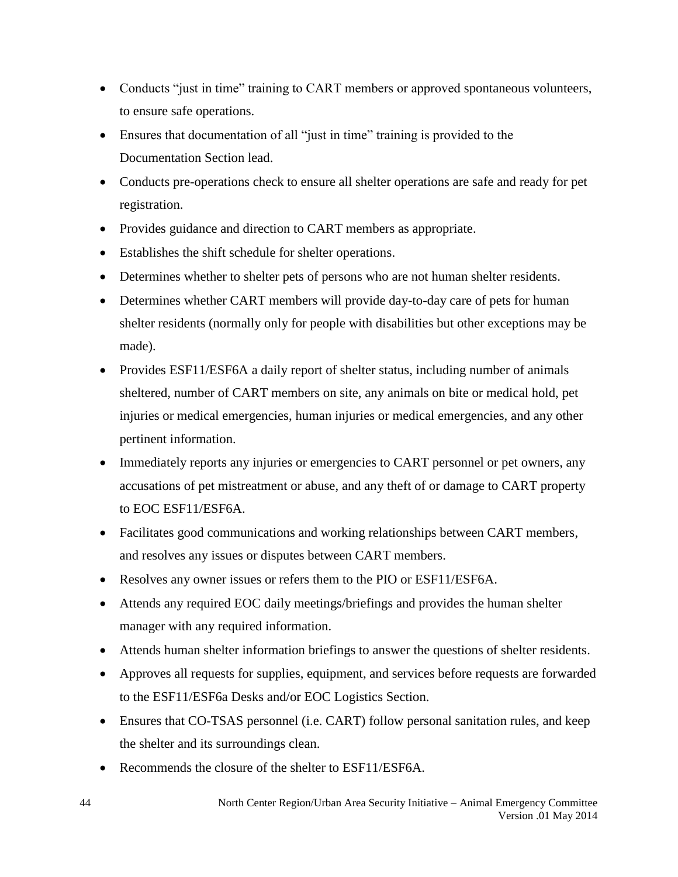- Conducts "just in time" training to CART members or approved spontaneous volunteers, to ensure safe operations.
- Ensures that documentation of all "just in time" training is provided to the Documentation Section lead.
- Conducts pre-operations check to ensure all shelter operations are safe and ready for pet registration.
- Provides guidance and direction to CART members as appropriate.
- Establishes the shift schedule for shelter operations.
- Determines whether to shelter pets of persons who are not human shelter residents.
- Determines whether CART members will provide day-to-day care of pets for human shelter residents (normally only for people with disabilities but other exceptions may be made).
- Provides ESF11/ESF6A a daily report of shelter status, including number of animals sheltered, number of CART members on site, any animals on bite or medical hold, pet injuries or medical emergencies, human injuries or medical emergencies, and any other pertinent information.
- Immediately reports any injuries or emergencies to CART personnel or pet owners, any accusations of pet mistreatment or abuse, and any theft of or damage to CART property to EOC ESF11/ESF6A.
- Facilitates good communications and working relationships between CART members, and resolves any issues or disputes between CART members.
- Resolves any owner issues or refers them to the PIO or ESF11/ESF6A.
- Attends any required EOC daily meetings/briefings and provides the human shelter manager with any required information.
- Attends human shelter information briefings to answer the questions of shelter residents.
- Approves all requests for supplies, equipment, and services before requests are forwarded to the ESF11/ESF6a Desks and/or EOC Logistics Section.
- Ensures that CO-TSAS personnel (i.e. CART) follow personal sanitation rules, and keep the shelter and its surroundings clean.
- Recommends the closure of the shelter to ESF11/ESF6A.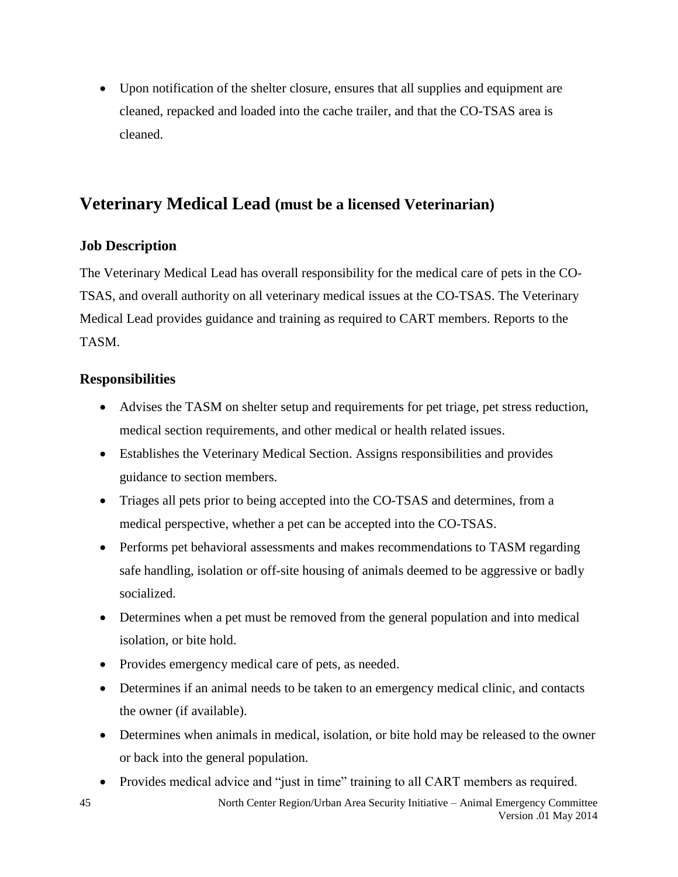Upon notification of the shelter closure, ensures that all supplies and equipment are cleaned, repacked and loaded into the cache trailer, and that the CO-TSAS area is cleaned.

### **Veterinary Medical Lead (must be a licensed Veterinarian)**

### **Job Description**

The Veterinary Medical Lead has overall responsibility for the medical care of pets in the CO-TSAS, and overall authority on all veterinary medical issues at the CO-TSAS. The Veterinary Medical Lead provides guidance and training as required to CART members. Reports to the TASM.

### **Responsibilities**

- Advises the TASM on shelter setup and requirements for pet triage, pet stress reduction, medical section requirements, and other medical or health related issues.
- Establishes the Veterinary Medical Section. Assigns responsibilities and provides guidance to section members.
- Triages all pets prior to being accepted into the CO-TSAS and determines, from a medical perspective, whether a pet can be accepted into the CO-TSAS.
- Performs pet behavioral assessments and makes recommendations to TASM regarding safe handling, isolation or off-site housing of animals deemed to be aggressive or badly socialized.
- Determines when a pet must be removed from the general population and into medical isolation, or bite hold.
- Provides emergency medical care of pets, as needed.
- Determines if an animal needs to be taken to an emergency medical clinic, and contacts the owner (if available).
- Determines when animals in medical, isolation, or bite hold may be released to the owner or back into the general population.
- Provides medical advice and "just in time" training to all CART members as required.

45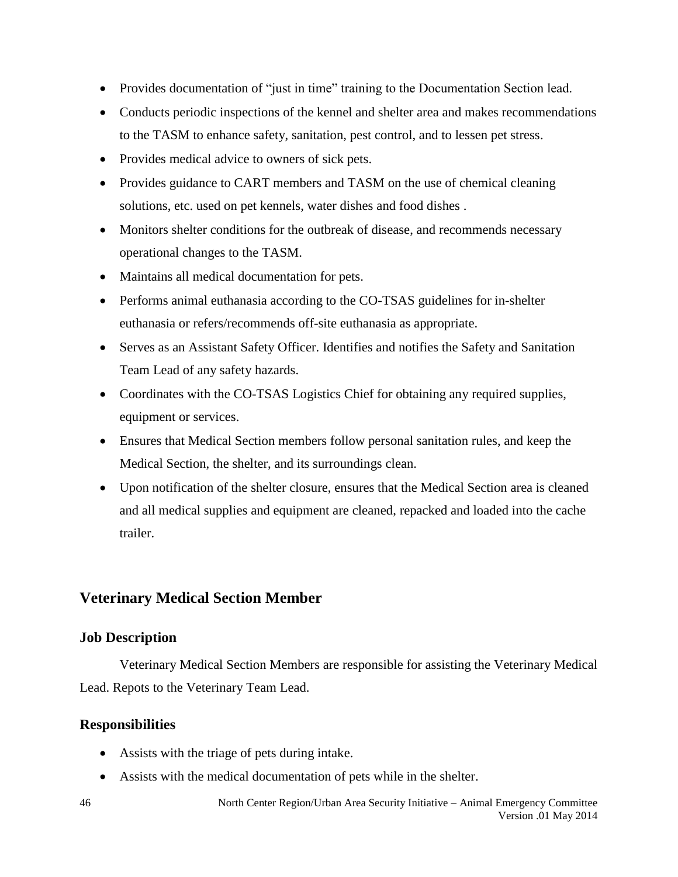- Provides documentation of "just in time" training to the Documentation Section lead.
- Conducts periodic inspections of the kennel and shelter area and makes recommendations to the TASM to enhance safety, sanitation, pest control, and to lessen pet stress.
- Provides medical advice to owners of sick pets.
- Provides guidance to CART members and TASM on the use of chemical cleaning solutions, etc. used on pet kennels, water dishes and food dishes.
- Monitors shelter conditions for the outbreak of disease, and recommends necessary operational changes to the TASM.
- Maintains all medical documentation for pets.
- Performs animal euthanasia according to the CO-TSAS guidelines for in-shelter euthanasia or refers/recommends off-site euthanasia as appropriate.
- Serves as an Assistant Safety Officer. Identifies and notifies the Safety and Sanitation Team Lead of any safety hazards.
- Coordinates with the CO-TSAS Logistics Chief for obtaining any required supplies, equipment or services.
- Ensures that Medical Section members follow personal sanitation rules, and keep the Medical Section, the shelter, and its surroundings clean.
- Upon notification of the shelter closure, ensures that the Medical Section area is cleaned and all medical supplies and equipment are cleaned, repacked and loaded into the cache trailer.

### **Veterinary Medical Section Member**

### **Job Description**

Veterinary Medical Section Members are responsible for assisting the Veterinary Medical Lead. Repots to the Veterinary Team Lead.

- Assists with the triage of pets during intake.
- Assists with the medical documentation of pets while in the shelter.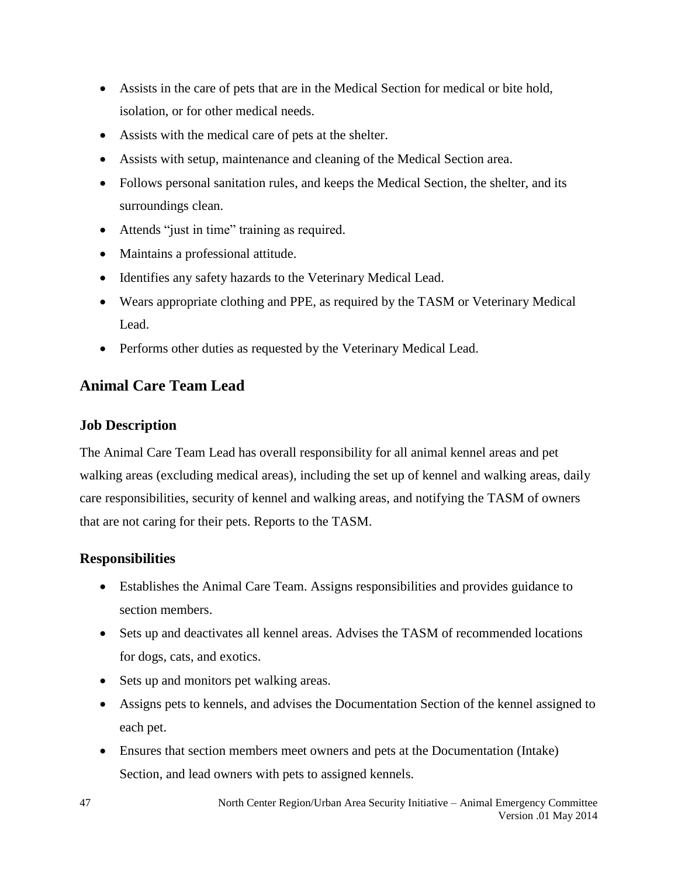- Assists in the care of pets that are in the Medical Section for medical or bite hold, isolation, or for other medical needs.
- Assists with the medical care of pets at the shelter.
- Assists with setup, maintenance and cleaning of the Medical Section area.
- Follows personal sanitation rules, and keeps the Medical Section, the shelter, and its surroundings clean.
- Attends "just in time" training as required.
- Maintains a professional attitude.
- Identifies any safety hazards to the Veterinary Medical Lead.
- Wears appropriate clothing and PPE, as required by the TASM or Veterinary Medical Lead.
- Performs other duties as requested by the Veterinary Medical Lead.

### **Animal Care Team Lead**

### **Job Description**

The Animal Care Team Lead has overall responsibility for all animal kennel areas and pet walking areas (excluding medical areas), including the set up of kennel and walking areas, daily care responsibilities, security of kennel and walking areas, and notifying the TASM of owners that are not caring for their pets. Reports to the TASM.

- Establishes the Animal Care Team. Assigns responsibilities and provides guidance to section members.
- Sets up and deactivates all kennel areas. Advises the TASM of recommended locations for dogs, cats, and exotics.
- Sets up and monitors pet walking areas.
- Assigns pets to kennels, and advises the Documentation Section of the kennel assigned to each pet.
- Ensures that section members meet owners and pets at the Documentation (Intake) Section, and lead owners with pets to assigned kennels.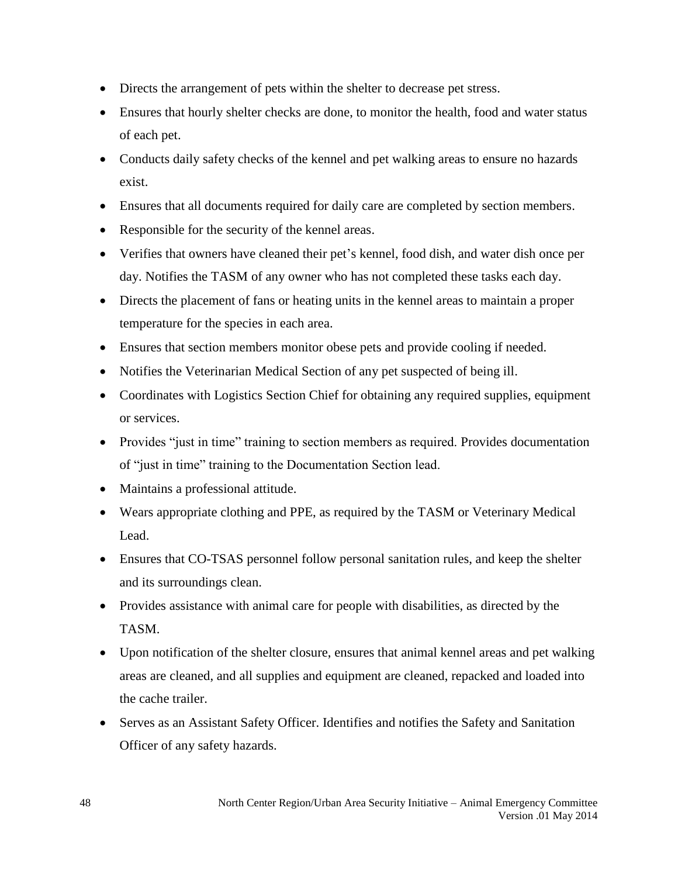- Directs the arrangement of pets within the shelter to decrease pet stress.
- Ensures that hourly shelter checks are done, to monitor the health, food and water status of each pet.
- Conducts daily safety checks of the kennel and pet walking areas to ensure no hazards exist.
- Ensures that all documents required for daily care are completed by section members.
- Responsible for the security of the kennel areas.
- Verifies that owners have cleaned their pet's kennel, food dish, and water dish once per day. Notifies the TASM of any owner who has not completed these tasks each day.
- Directs the placement of fans or heating units in the kennel areas to maintain a proper temperature for the species in each area.
- Ensures that section members monitor obese pets and provide cooling if needed.
- Notifies the Veterinarian Medical Section of any pet suspected of being ill.
- Coordinates with Logistics Section Chief for obtaining any required supplies, equipment or services.
- Provides "just in time" training to section members as required. Provides documentation of "just in time" training to the Documentation Section lead.
- Maintains a professional attitude.
- Wears appropriate clothing and PPE, as required by the TASM or Veterinary Medical Lead.
- Ensures that CO-TSAS personnel follow personal sanitation rules, and keep the shelter and its surroundings clean.
- Provides assistance with animal care for people with disabilities, as directed by the TASM.
- Upon notification of the shelter closure, ensures that animal kennel areas and pet walking areas are cleaned, and all supplies and equipment are cleaned, repacked and loaded into the cache trailer.
- Serves as an Assistant Safety Officer. Identifies and notifies the Safety and Sanitation Officer of any safety hazards.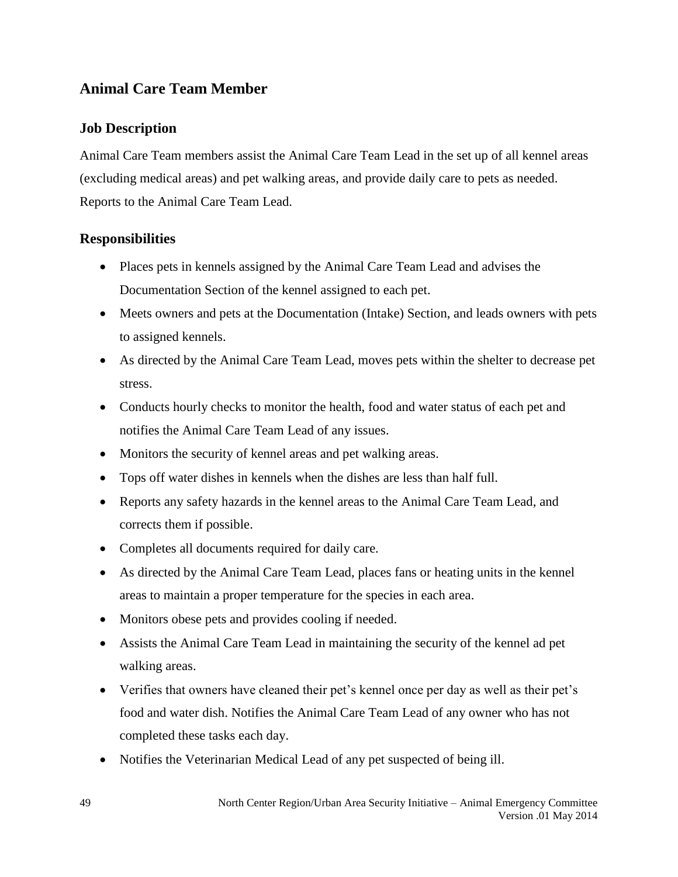### **Animal Care Team Member**

### **Job Description**

Animal Care Team members assist the Animal Care Team Lead in the set up of all kennel areas (excluding medical areas) and pet walking areas, and provide daily care to pets as needed. Reports to the Animal Care Team Lead.

- Places pets in kennels assigned by the Animal Care Team Lead and advises the Documentation Section of the kennel assigned to each pet.
- Meets owners and pets at the Documentation (Intake) Section, and leads owners with pets to assigned kennels.
- As directed by the Animal Care Team Lead, moves pets within the shelter to decrease pet stress.
- Conducts hourly checks to monitor the health, food and water status of each pet and notifies the Animal Care Team Lead of any issues.
- Monitors the security of kennel areas and pet walking areas.
- Tops off water dishes in kennels when the dishes are less than half full.
- Reports any safety hazards in the kennel areas to the Animal Care Team Lead, and corrects them if possible.
- Completes all documents required for daily care.
- As directed by the Animal Care Team Lead, places fans or heating units in the kennel areas to maintain a proper temperature for the species in each area.
- Monitors obese pets and provides cooling if needed.
- Assists the Animal Care Team Lead in maintaining the security of the kennel ad pet walking areas.
- Verifies that owners have cleaned their pet's kennel once per day as well as their pet's food and water dish. Notifies the Animal Care Team Lead of any owner who has not completed these tasks each day.
- Notifies the Veterinarian Medical Lead of any pet suspected of being ill.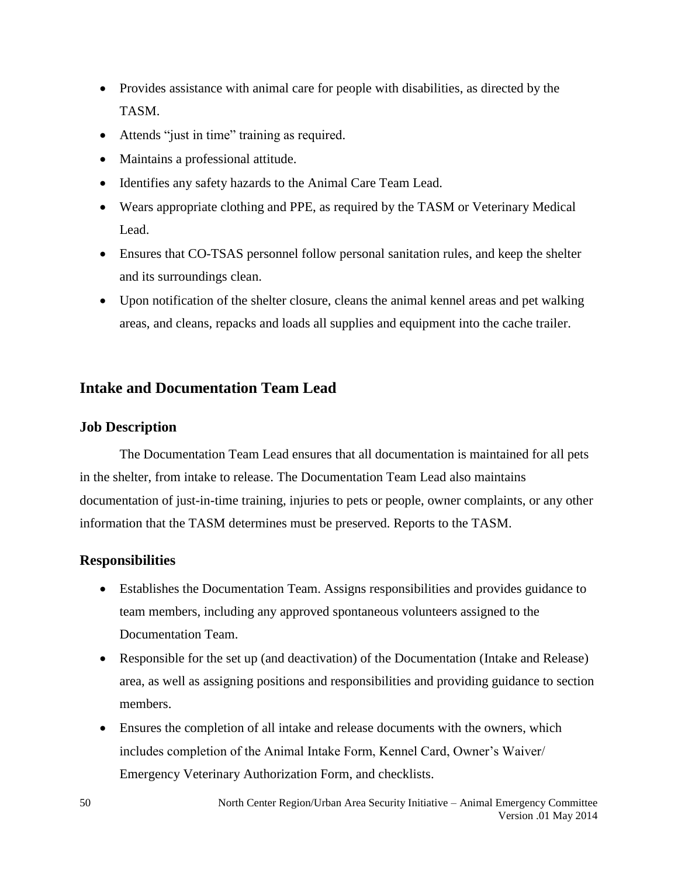- Provides assistance with animal care for people with disabilities, as directed by the TASM.
- Attends "just in time" training as required.
- Maintains a professional attitude.
- Identifies any safety hazards to the Animal Care Team Lead.
- Wears appropriate clothing and PPE, as required by the TASM or Veterinary Medical Lead.
- Ensures that CO-TSAS personnel follow personal sanitation rules, and keep the shelter and its surroundings clean.
- Upon notification of the shelter closure, cleans the animal kennel areas and pet walking areas, and cleans, repacks and loads all supplies and equipment into the cache trailer.

### **Intake and Documentation Team Lead**

### **Job Description**

The Documentation Team Lead ensures that all documentation is maintained for all pets in the shelter, from intake to release. The Documentation Team Lead also maintains documentation of just-in-time training, injuries to pets or people, owner complaints, or any other information that the TASM determines must be preserved. Reports to the TASM.

- Establishes the Documentation Team. Assigns responsibilities and provides guidance to team members, including any approved spontaneous volunteers assigned to the Documentation Team.
- Responsible for the set up (and deactivation) of the Documentation (Intake and Release) area, as well as assigning positions and responsibilities and providing guidance to section members.
- Ensures the completion of all intake and release documents with the owners, which includes completion of the Animal Intake Form, Kennel Card, Owner's Waiver/ Emergency Veterinary Authorization Form, and checklists.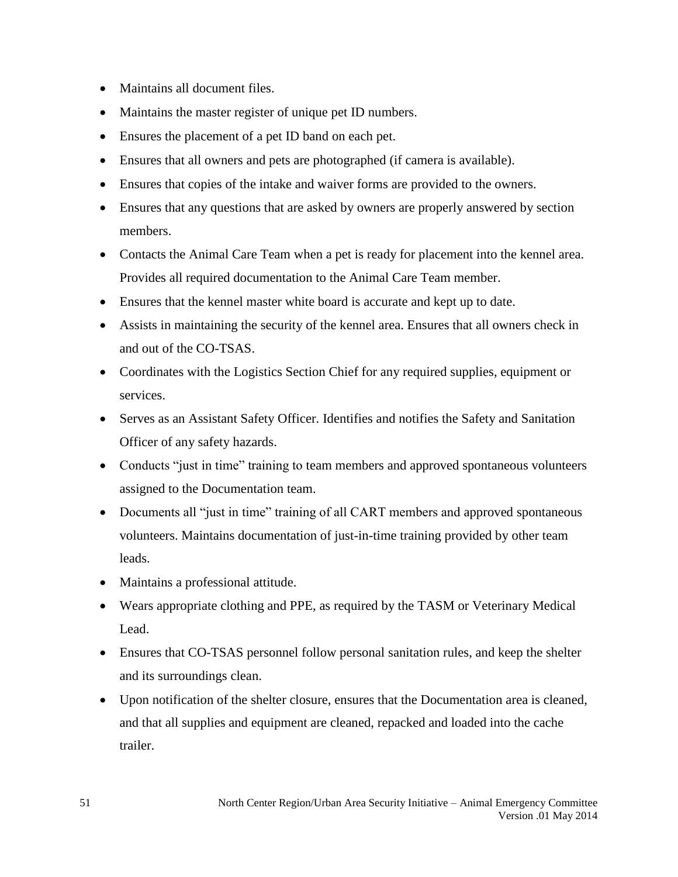- Maintains all document files.
- Maintains the master register of unique pet ID numbers.
- Ensures the placement of a pet ID band on each pet.
- Ensures that all owners and pets are photographed (if camera is available).
- Ensures that copies of the intake and waiver forms are provided to the owners.
- Ensures that any questions that are asked by owners are properly answered by section members.
- Contacts the Animal Care Team when a pet is ready for placement into the kennel area. Provides all required documentation to the Animal Care Team member.
- Ensures that the kennel master white board is accurate and kept up to date.
- Assists in maintaining the security of the kennel area. Ensures that all owners check in and out of the CO-TSAS.
- Coordinates with the Logistics Section Chief for any required supplies, equipment or services.
- Serves as an Assistant Safety Officer. Identifies and notifies the Safety and Sanitation Officer of any safety hazards.
- Conducts "just in time" training to team members and approved spontaneous volunteers assigned to the Documentation team.
- Documents all "just in time" training of all CART members and approved spontaneous volunteers. Maintains documentation of just-in-time training provided by other team leads.
- Maintains a professional attitude.
- Wears appropriate clothing and PPE, as required by the TASM or Veterinary Medical Lead.
- Ensures that CO-TSAS personnel follow personal sanitation rules, and keep the shelter and its surroundings clean.
- Upon notification of the shelter closure, ensures that the Documentation area is cleaned, and that all supplies and equipment are cleaned, repacked and loaded into the cache trailer.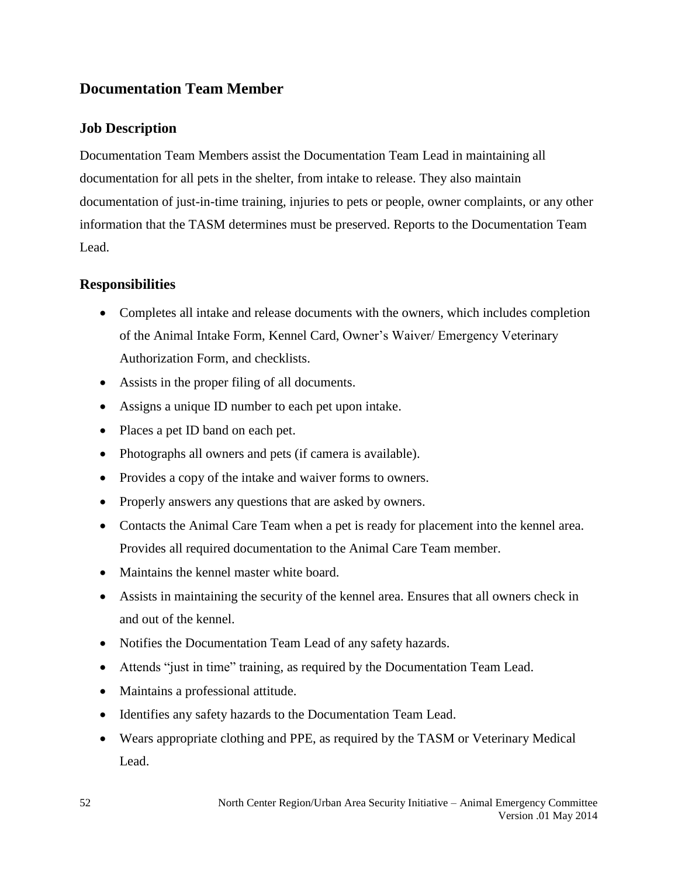### **Documentation Team Member**

### **Job Description**

Documentation Team Members assist the Documentation Team Lead in maintaining all documentation for all pets in the shelter, from intake to release. They also maintain documentation of just-in-time training, injuries to pets or people, owner complaints, or any other information that the TASM determines must be preserved. Reports to the Documentation Team Lead.

- Completes all intake and release documents with the owners, which includes completion of the Animal Intake Form, Kennel Card, Owner's Waiver/ Emergency Veterinary Authorization Form, and checklists.
- Assists in the proper filing of all documents.
- Assigns a unique ID number to each pet upon intake.
- Places a pet ID band on each pet.
- Photographs all owners and pets (if camera is available).
- Provides a copy of the intake and waiver forms to owners.
- Properly answers any questions that are asked by owners.
- Contacts the Animal Care Team when a pet is ready for placement into the kennel area. Provides all required documentation to the Animal Care Team member.
- Maintains the kennel master white board.
- Assists in maintaining the security of the kennel area. Ensures that all owners check in and out of the kennel.
- Notifies the Documentation Team Lead of any safety hazards.
- Attends "just in time" training, as required by the Documentation Team Lead.
- Maintains a professional attitude.
- Identifies any safety hazards to the Documentation Team Lead.
- Wears appropriate clothing and PPE, as required by the TASM or Veterinary Medical Lead.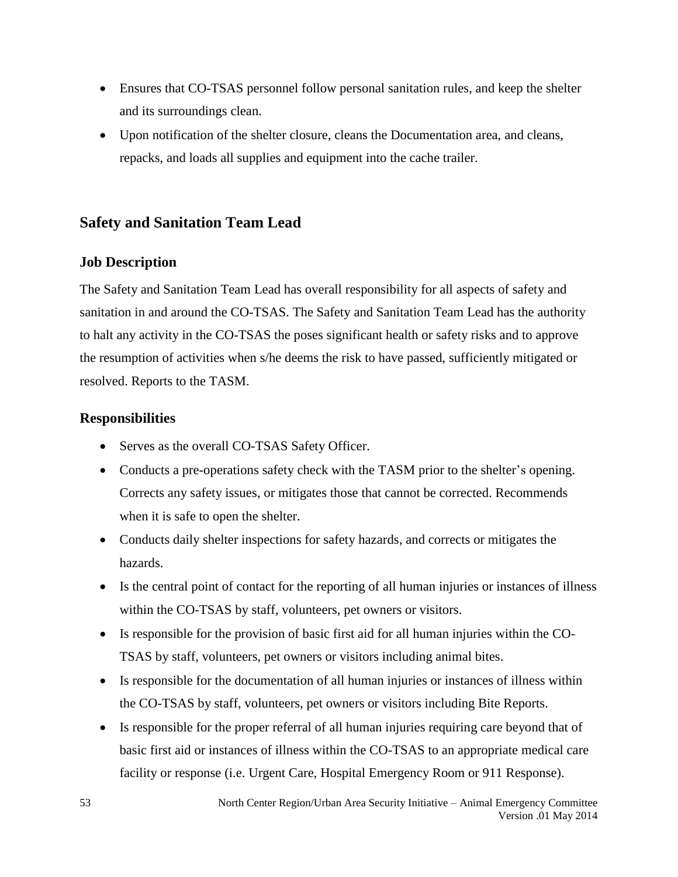- Ensures that CO-TSAS personnel follow personal sanitation rules, and keep the shelter and its surroundings clean.
- Upon notification of the shelter closure, cleans the Documentation area, and cleans, repacks, and loads all supplies and equipment into the cache trailer.

### **Safety and Sanitation Team Lead**

### **Job Description**

The Safety and Sanitation Team Lead has overall responsibility for all aspects of safety and sanitation in and around the CO-TSAS. The Safety and Sanitation Team Lead has the authority to halt any activity in the CO-TSAS the poses significant health or safety risks and to approve the resumption of activities when s/he deems the risk to have passed, sufficiently mitigated or resolved. Reports to the TASM.

- Serves as the overall CO-TSAS Safety Officer.
- Conducts a pre-operations safety check with the TASM prior to the shelter's opening. Corrects any safety issues, or mitigates those that cannot be corrected. Recommends when it is safe to open the shelter.
- Conducts daily shelter inspections for safety hazards, and corrects or mitigates the hazards.
- Is the central point of contact for the reporting of all human injuries or instances of illness within the CO-TSAS by staff, volunteers, pet owners or visitors.
- Is responsible for the provision of basic first aid for all human injuries within the CO-TSAS by staff, volunteers, pet owners or visitors including animal bites.
- Is responsible for the documentation of all human injuries or instances of illness within the CO-TSAS by staff, volunteers, pet owners or visitors including Bite Reports.
- Is responsible for the proper referral of all human injuries requiring care beyond that of basic first aid or instances of illness within the CO-TSAS to an appropriate medical care facility or response (i.e. Urgent Care, Hospital Emergency Room or 911 Response).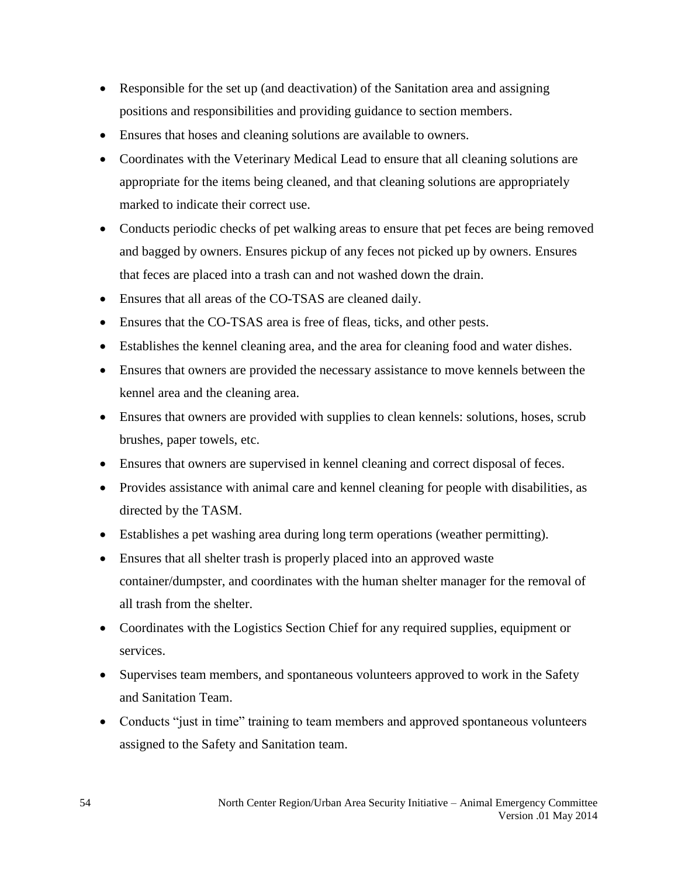- Responsible for the set up (and deactivation) of the Sanitation area and assigning positions and responsibilities and providing guidance to section members.
- Ensures that hoses and cleaning solutions are available to owners.
- Coordinates with the Veterinary Medical Lead to ensure that all cleaning solutions are appropriate for the items being cleaned, and that cleaning solutions are appropriately marked to indicate their correct use.
- Conducts periodic checks of pet walking areas to ensure that pet feces are being removed and bagged by owners. Ensures pickup of any feces not picked up by owners. Ensures that feces are placed into a trash can and not washed down the drain.
- Ensures that all areas of the CO-TSAS are cleaned daily.
- Ensures that the CO-TSAS area is free of fleas, ticks, and other pests.
- Establishes the kennel cleaning area, and the area for cleaning food and water dishes.
- Ensures that owners are provided the necessary assistance to move kennels between the kennel area and the cleaning area.
- Ensures that owners are provided with supplies to clean kennels: solutions, hoses, scrub brushes, paper towels, etc.
- Ensures that owners are supervised in kennel cleaning and correct disposal of feces.
- Provides assistance with animal care and kennel cleaning for people with disabilities, as directed by the TASM.
- Establishes a pet washing area during long term operations (weather permitting).
- Ensures that all shelter trash is properly placed into an approved waste container/dumpster, and coordinates with the human shelter manager for the removal of all trash from the shelter.
- Coordinates with the Logistics Section Chief for any required supplies, equipment or services.
- Supervises team members, and spontaneous volunteers approved to work in the Safety and Sanitation Team.
- Conducts "just in time" training to team members and approved spontaneous volunteers assigned to the Safety and Sanitation team.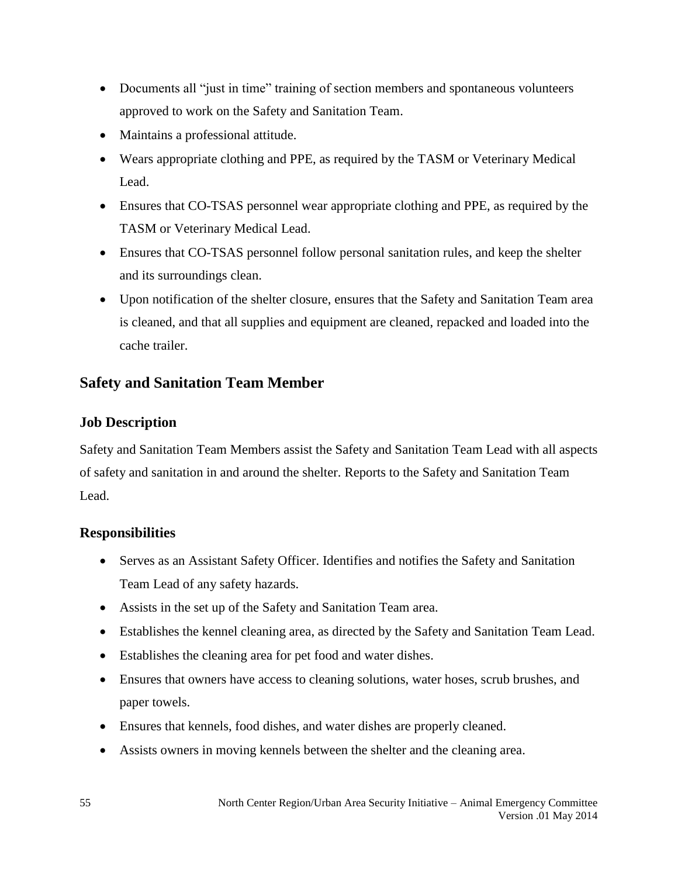- Documents all "just in time" training of section members and spontaneous volunteers approved to work on the Safety and Sanitation Team.
- Maintains a professional attitude.
- Wears appropriate clothing and PPE, as required by the TASM or Veterinary Medical Lead.
- Ensures that CO-TSAS personnel wear appropriate clothing and PPE, as required by the TASM or Veterinary Medical Lead.
- Ensures that CO-TSAS personnel follow personal sanitation rules, and keep the shelter and its surroundings clean.
- Upon notification of the shelter closure, ensures that the Safety and Sanitation Team area is cleaned, and that all supplies and equipment are cleaned, repacked and loaded into the cache trailer.

### **Safety and Sanitation Team Member**

### **Job Description**

Safety and Sanitation Team Members assist the Safety and Sanitation Team Lead with all aspects of safety and sanitation in and around the shelter. Reports to the Safety and Sanitation Team Lead.

- Serves as an Assistant Safety Officer. Identifies and notifies the Safety and Sanitation Team Lead of any safety hazards.
- Assists in the set up of the Safety and Sanitation Team area.
- Establishes the kennel cleaning area, as directed by the Safety and Sanitation Team Lead.
- Establishes the cleaning area for pet food and water dishes.
- Ensures that owners have access to cleaning solutions, water hoses, scrub brushes, and paper towels.
- Ensures that kennels, food dishes, and water dishes are properly cleaned.
- Assists owners in moving kennels between the shelter and the cleaning area.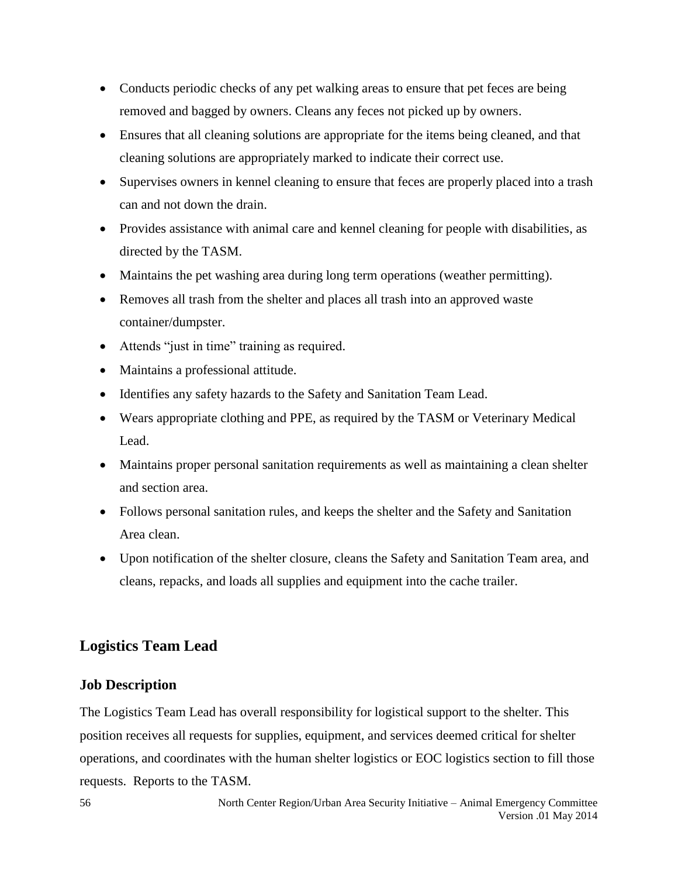- Conducts periodic checks of any pet walking areas to ensure that pet feces are being removed and bagged by owners. Cleans any feces not picked up by owners.
- Ensures that all cleaning solutions are appropriate for the items being cleaned, and that cleaning solutions are appropriately marked to indicate their correct use.
- Supervises owners in kennel cleaning to ensure that feces are properly placed into a trash can and not down the drain.
- Provides assistance with animal care and kennel cleaning for people with disabilities, as directed by the TASM.
- Maintains the pet washing area during long term operations (weather permitting).
- Removes all trash from the shelter and places all trash into an approved waste container/dumpster.
- Attends "just in time" training as required.
- Maintains a professional attitude.
- Identifies any safety hazards to the Safety and Sanitation Team Lead.
- Wears appropriate clothing and PPE, as required by the TASM or Veterinary Medical Lead.
- Maintains proper personal sanitation requirements as well as maintaining a clean shelter and section area.
- Follows personal sanitation rules, and keeps the shelter and the Safety and Sanitation Area clean.
- Upon notification of the shelter closure, cleans the Safety and Sanitation Team area, and cleans, repacks, and loads all supplies and equipment into the cache trailer.

### **Logistics Team Lead**

### **Job Description**

The Logistics Team Lead has overall responsibility for logistical support to the shelter. This position receives all requests for supplies, equipment, and services deemed critical for shelter operations, and coordinates with the human shelter logistics or EOC logistics section to fill those requests. Reports to the TASM.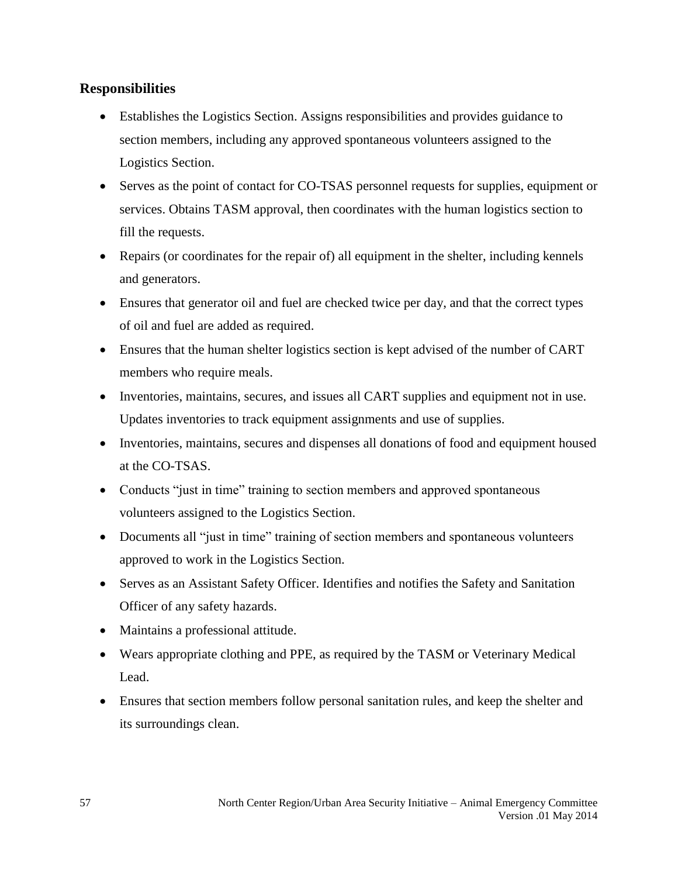- Establishes the Logistics Section. Assigns responsibilities and provides guidance to section members, including any approved spontaneous volunteers assigned to the Logistics Section.
- Serves as the point of contact for CO-TSAS personnel requests for supplies, equipment or services. Obtains TASM approval, then coordinates with the human logistics section to fill the requests.
- Repairs (or coordinates for the repair of) all equipment in the shelter, including kennels and generators.
- Ensures that generator oil and fuel are checked twice per day, and that the correct types of oil and fuel are added as required.
- Ensures that the human shelter logistics section is kept advised of the number of CART members who require meals.
- Inventories, maintains, secures, and issues all CART supplies and equipment not in use. Updates inventories to track equipment assignments and use of supplies.
- Inventories, maintains, secures and dispenses all donations of food and equipment housed at the CO-TSAS.
- Conducts "just in time" training to section members and approved spontaneous volunteers assigned to the Logistics Section.
- Documents all "just in time" training of section members and spontaneous volunteers approved to work in the Logistics Section.
- Serves as an Assistant Safety Officer. Identifies and notifies the Safety and Sanitation Officer of any safety hazards.
- Maintains a professional attitude.
- Wears appropriate clothing and PPE, as required by the TASM or Veterinary Medical Lead.
- Ensures that section members follow personal sanitation rules, and keep the shelter and its surroundings clean.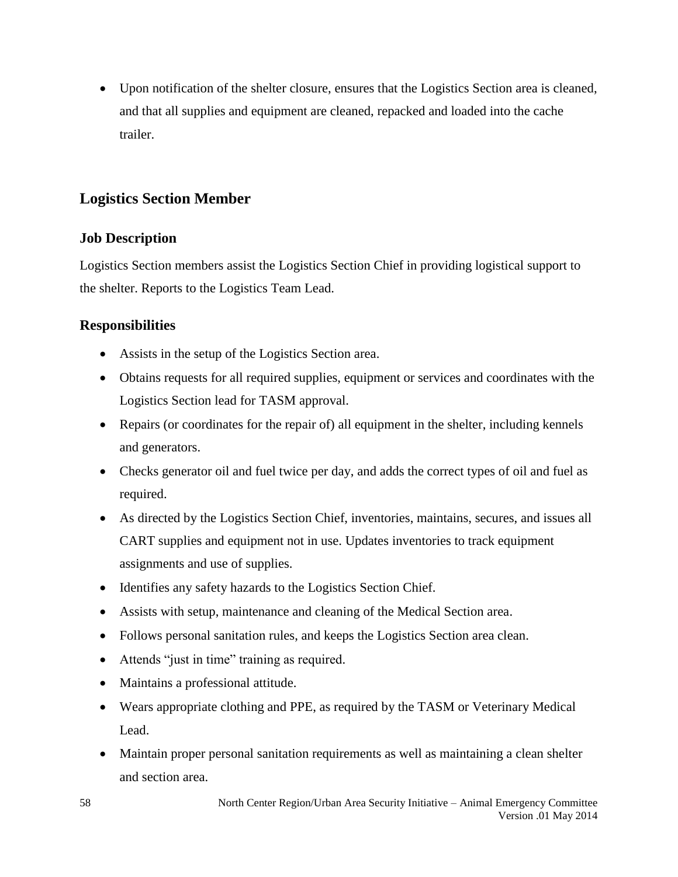Upon notification of the shelter closure, ensures that the Logistics Section area is cleaned, and that all supplies and equipment are cleaned, repacked and loaded into the cache trailer.

### **Logistics Section Member**

### **Job Description**

Logistics Section members assist the Logistics Section Chief in providing logistical support to the shelter. Reports to the Logistics Team Lead.

- Assists in the setup of the Logistics Section area.
- Obtains requests for all required supplies, equipment or services and coordinates with the Logistics Section lead for TASM approval.
- Repairs (or coordinates for the repair of) all equipment in the shelter, including kennels and generators.
- Checks generator oil and fuel twice per day, and adds the correct types of oil and fuel as required.
- As directed by the Logistics Section Chief, inventories, maintains, secures, and issues all CART supplies and equipment not in use. Updates inventories to track equipment assignments and use of supplies.
- Identifies any safety hazards to the Logistics Section Chief.
- Assists with setup, maintenance and cleaning of the Medical Section area.
- Follows personal sanitation rules, and keeps the Logistics Section area clean.
- Attends "just in time" training as required.
- Maintains a professional attitude.
- Wears appropriate clothing and PPE, as required by the TASM or Veterinary Medical Lead.
- Maintain proper personal sanitation requirements as well as maintaining a clean shelter and section area.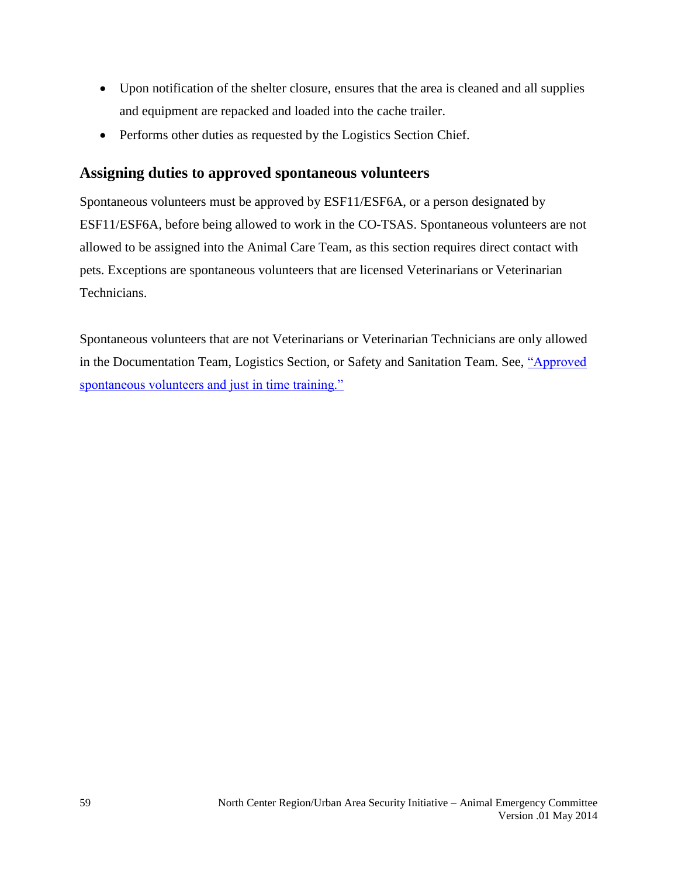- Upon notification of the shelter closure, ensures that the area is cleaned and all supplies and equipment are repacked and loaded into the cache trailer.
- Performs other duties as requested by the Logistics Section Chief.

### **Assigning duties to approved spontaneous volunteers**

Spontaneous volunteers must be approved by ESF11/ESF6A, or a person designated by ESF11/ESF6A, before being allowed to work in the CO-TSAS. Spontaneous volunteers are not allowed to be assigned into the Animal Care Team, as this section requires direct contact with pets. Exceptions are spontaneous volunteers that are licensed Veterinarians or Veterinarian Technicians.

Spontaneous volunteers that are not Veterinarians or Veterinarian Technicians are only allowed in the Documentation Team, Logistics Section, or Safety and Sanitation Team. See, ["Approved](#page-37-0)  [spontaneous volunteers and just in time training."](#page-37-0)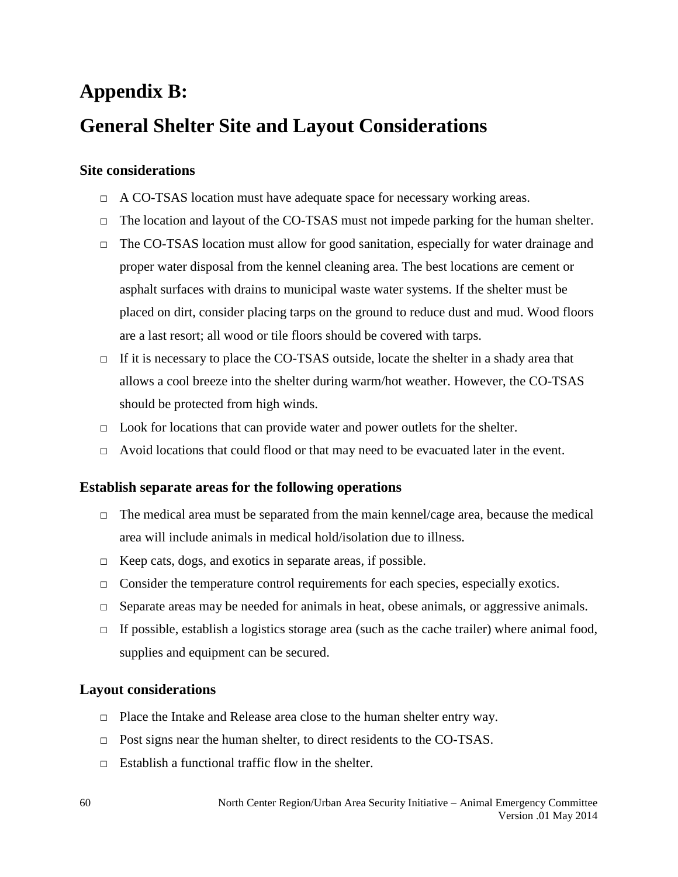### **Appendix B: General Shelter Site and Layout Considerations**

### **Site considerations**

- □ A CO-TSAS location must have adequate space for necessary working areas.
- $\Box$  The location and layout of the CO-TSAS must not impede parking for the human shelter.
- □ The CO-TSAS location must allow for good sanitation, especially for water drainage and proper water disposal from the kennel cleaning area. The best locations are cement or asphalt surfaces with drains to municipal waste water systems. If the shelter must be placed on dirt, consider placing tarps on the ground to reduce dust and mud. Wood floors are a last resort; all wood or tile floors should be covered with tarps.
- $\Box$  If it is necessary to place the CO-TSAS outside, locate the shelter in a shady area that allows a cool breeze into the shelter during warm/hot weather. However, the CO-TSAS should be protected from high winds.
- $\Box$  Look for locations that can provide water and power outlets for the shelter.
- □ Avoid locations that could flood or that may need to be evacuated later in the event.

### **Establish separate areas for the following operations**

- □ The medical area must be separated from the main kennel/cage area, because the medical area will include animals in medical hold/isolation due to illness.
- □ Keep cats, dogs, and exotics in separate areas, if possible.
- $\Box$  Consider the temperature control requirements for each species, especially exotics.
- $\Box$  Separate areas may be needed for animals in heat, obese animals, or aggressive animals.
- $\Box$  If possible, establish a logistics storage area (such as the cache trailer) where animal food, supplies and equipment can be secured.

### **Layout considerations**

- □ Place the Intake and Release area close to the human shelter entry way.
- □ Post signs near the human shelter, to direct residents to the CO-TSAS.
- $\Box$  Establish a functional traffic flow in the shelter.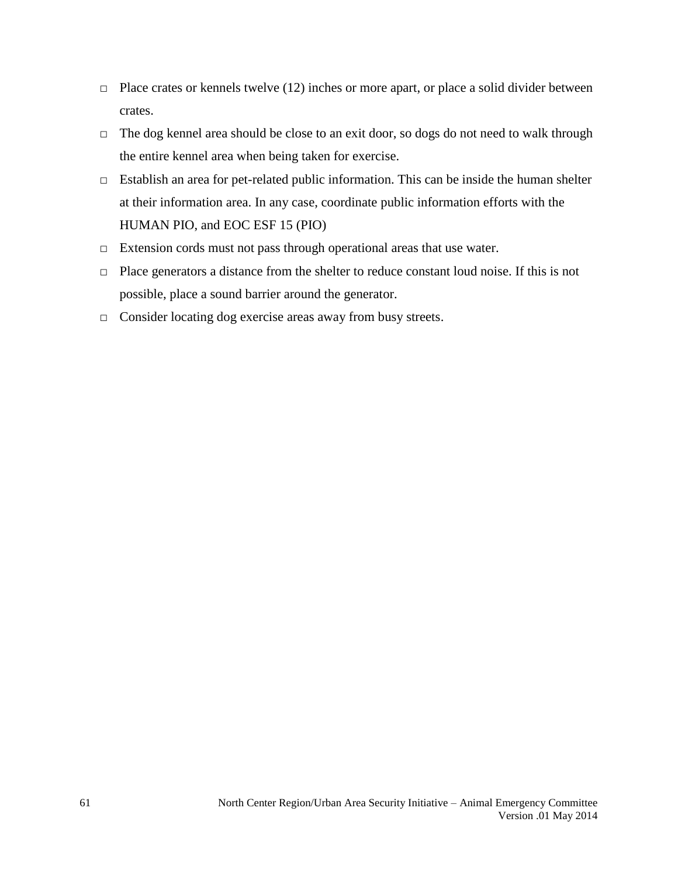- $\Box$  Place crates or kennels twelve (12) inches or more apart, or place a solid divider between crates.
- □ The dog kennel area should be close to an exit door, so dogs do not need to walk through the entire kennel area when being taken for exercise.
- □ Establish an area for pet-related public information. This can be inside the human shelter at their information area. In any case, coordinate public information efforts with the HUMAN PIO, and EOC ESF 15 (PIO)
- $\Box$  Extension cords must not pass through operational areas that use water.
- □ Place generators a distance from the shelter to reduce constant loud noise. If this is not possible, place a sound barrier around the generator.
- □ Consider locating dog exercise areas away from busy streets.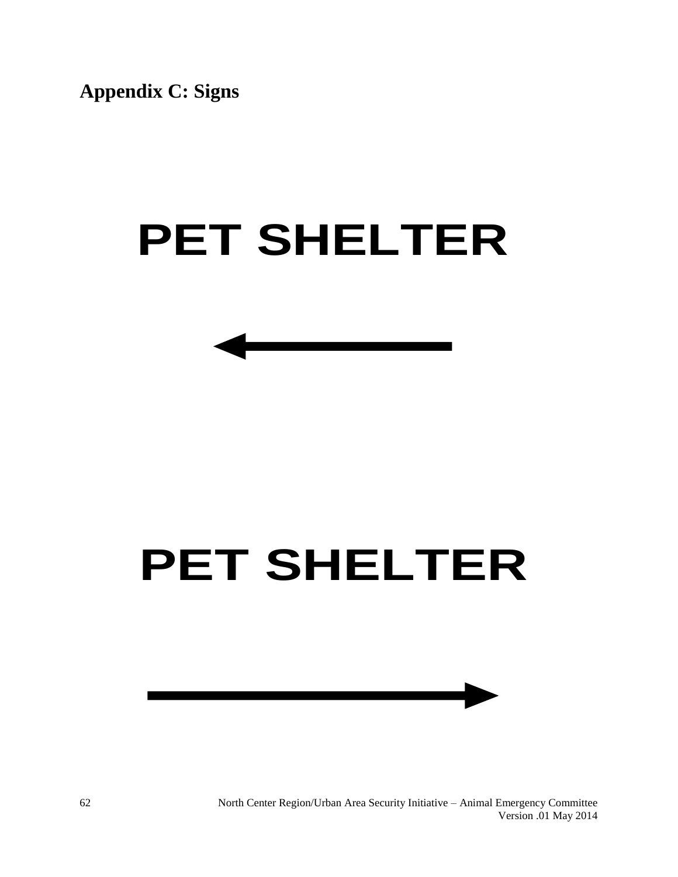**Appendix C: Signs**

# **PET SHELTER**

## **PET SHELTER**



North Center Region/Urban Area Security Initiative – Animal Emergency Committee Version .01 May 2014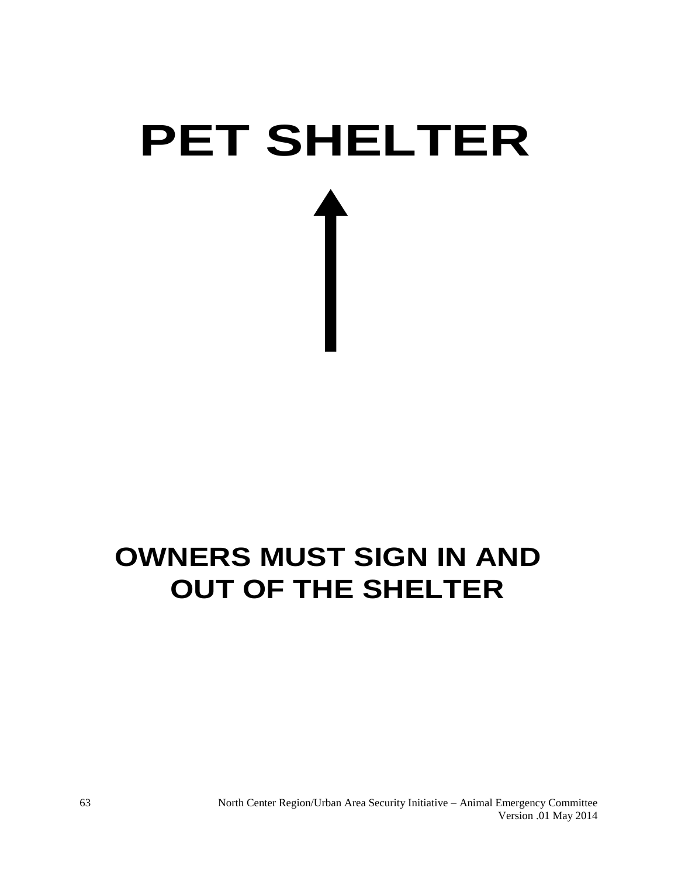# **PET SHELTER<br>←<br>
OWNERS MUST SIGN IN AND<br>
OUT OF THE SHELTER<br>
North Coure Region Titlers Assets Triangle Course Region Titlers Assets Triangle Course<br>
North Coure Region Titlers Assets Triangle - Animal Energy<br>
North Coure**

### **OWNERS MUST SIGN IN AND OUT OF THE SHELTER**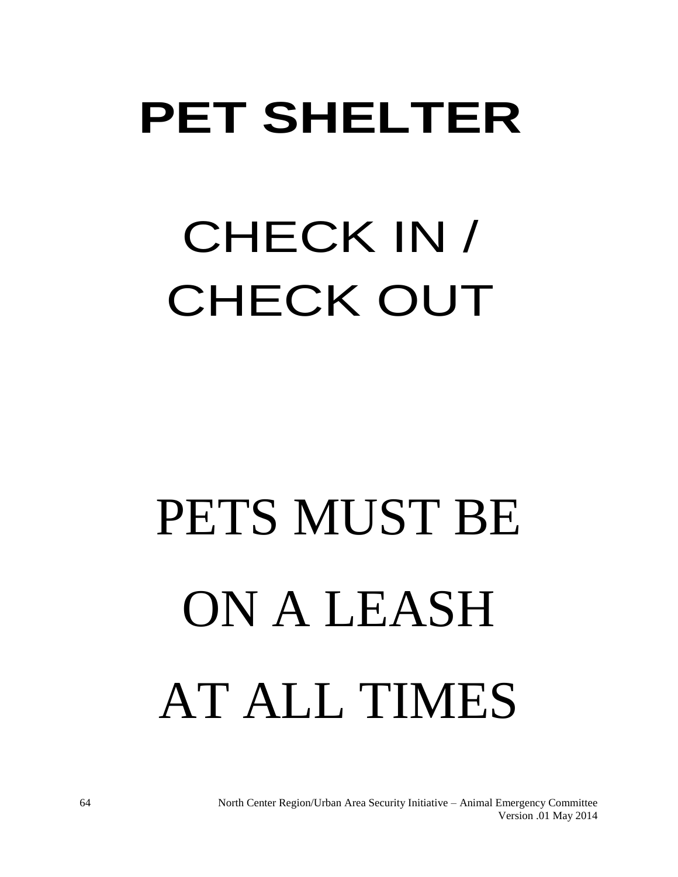# CHECK IN / CHECK OUT

# PET SHELTER<br>
CHECK IN /<br>
CHECK OUT<br>
PETS MUST BE<br>
ON A LEASH<br>
AT ALL TIMES PETS MUST BE ON A LEASH AT ALL TIMES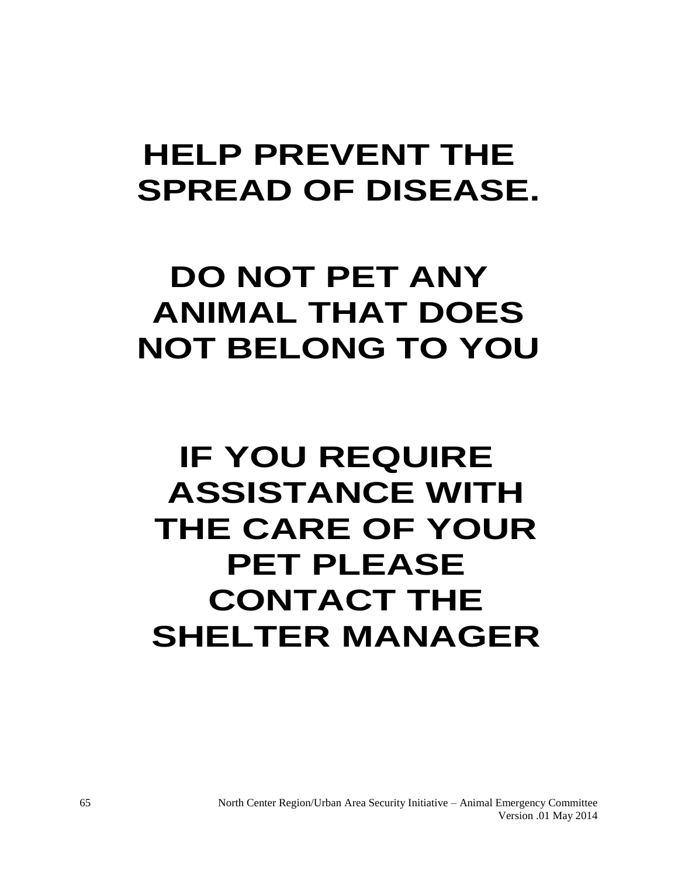# **SPREAD OF DISEASE.**

### **DO NOT PET ANY ANIMAL THAT DOES NOT BELONG TO YOU**

# HELP PREVENT THE<br>SPREAD OF DISEASE<br>DO NOT PET ANY<br>ANIMAL THAT DOES<br>NOT BELONG TO YOU<br>IF YOU REQUIRE<br>ASSISTANCE WITH<br>THE CARE OF YOUF<br>PET PLEASE<br>CONTACT THE<br>SHELTER MANAGEF<br>SHELTER MANAGEF **IF YOU REQUIRE ASSISTANCE WITH THE CARE OF YOUR PET PLEASE CONTACT THE SHELTER MANAGER**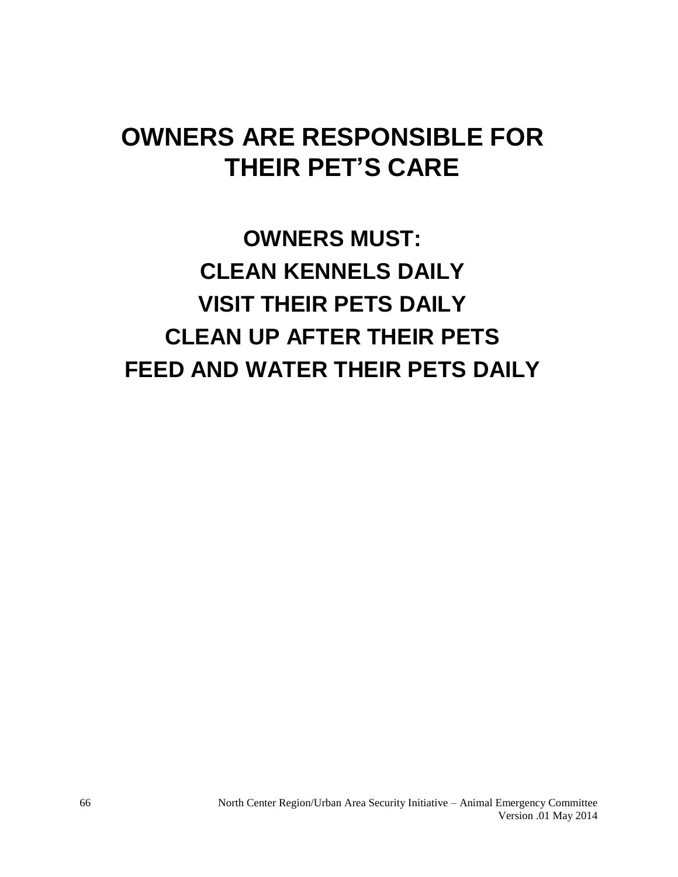### **OWNERS ARE RESPONSIBLE FOR THEIR PET'S CARE**

**OWNERS MUST: CLEAN KENNELS DAILY VISIT THEIR PETS DAILY CLEAN UP AFTER THEIR PETS FEED AND WATER THEIR PETS DAILY**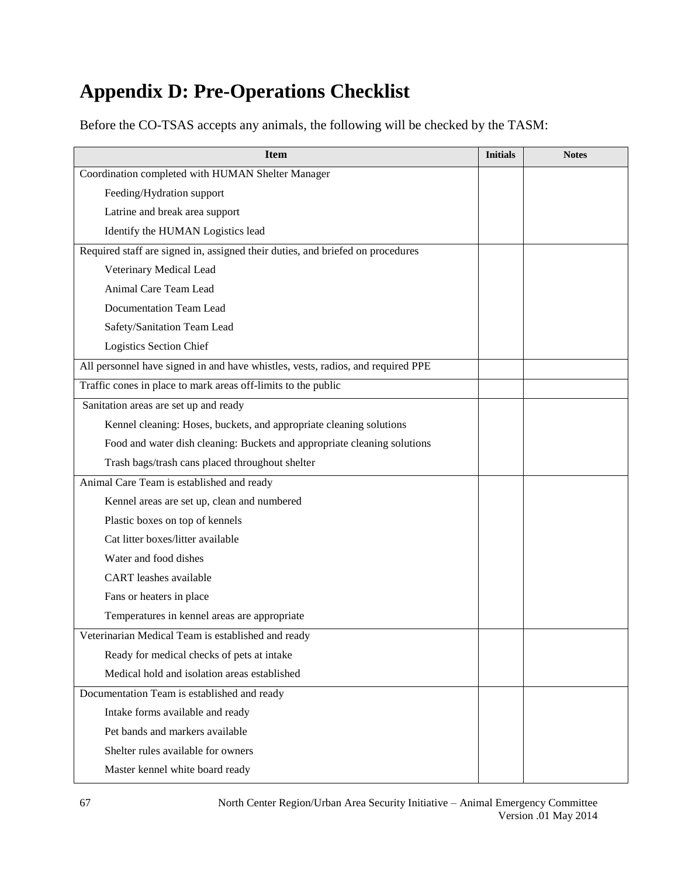### **Appendix D: Pre-Operations Checklist**

Before the CO-TSAS accepts any animals, the following will be checked by the TASM:

| <b>Item</b>                                                                     | <b>Initials</b> | <b>Notes</b> |
|---------------------------------------------------------------------------------|-----------------|--------------|
| Coordination completed with HUMAN Shelter Manager                               |                 |              |
| Feeding/Hydration support                                                       |                 |              |
| Latrine and break area support                                                  |                 |              |
| Identify the HUMAN Logistics lead                                               |                 |              |
| Required staff are signed in, assigned their duties, and briefed on procedures  |                 |              |
| Veterinary Medical Lead                                                         |                 |              |
| Animal Care Team Lead                                                           |                 |              |
| Documentation Team Lead                                                         |                 |              |
| Safety/Sanitation Team Lead                                                     |                 |              |
| Logistics Section Chief                                                         |                 |              |
| All personnel have signed in and have whistles, vests, radios, and required PPE |                 |              |
| Traffic cones in place to mark areas off-limits to the public                   |                 |              |
| Sanitation areas are set up and ready                                           |                 |              |
| Kennel cleaning: Hoses, buckets, and appropriate cleaning solutions             |                 |              |
| Food and water dish cleaning: Buckets and appropriate cleaning solutions        |                 |              |
| Trash bags/trash cans placed throughout shelter                                 |                 |              |
| Animal Care Team is established and ready                                       |                 |              |
| Kennel areas are set up, clean and numbered                                     |                 |              |
| Plastic boxes on top of kennels                                                 |                 |              |
| Cat litter boxes/litter available                                               |                 |              |
| Water and food dishes                                                           |                 |              |
| <b>CART</b> leashes available                                                   |                 |              |
| Fans or heaters in place                                                        |                 |              |
| Temperatures in kennel areas are appropriate                                    |                 |              |
| Veterinarian Medical Team is established and ready                              |                 |              |
| Ready for medical checks of pets at intake                                      |                 |              |
| Medical hold and isolation areas established                                    |                 |              |
| Documentation Team is established and ready                                     |                 |              |
| Intake forms available and ready                                                |                 |              |
| Pet bands and markers available                                                 |                 |              |
| Shelter rules available for owners                                              |                 |              |
| Master kennel white board ready                                                 |                 |              |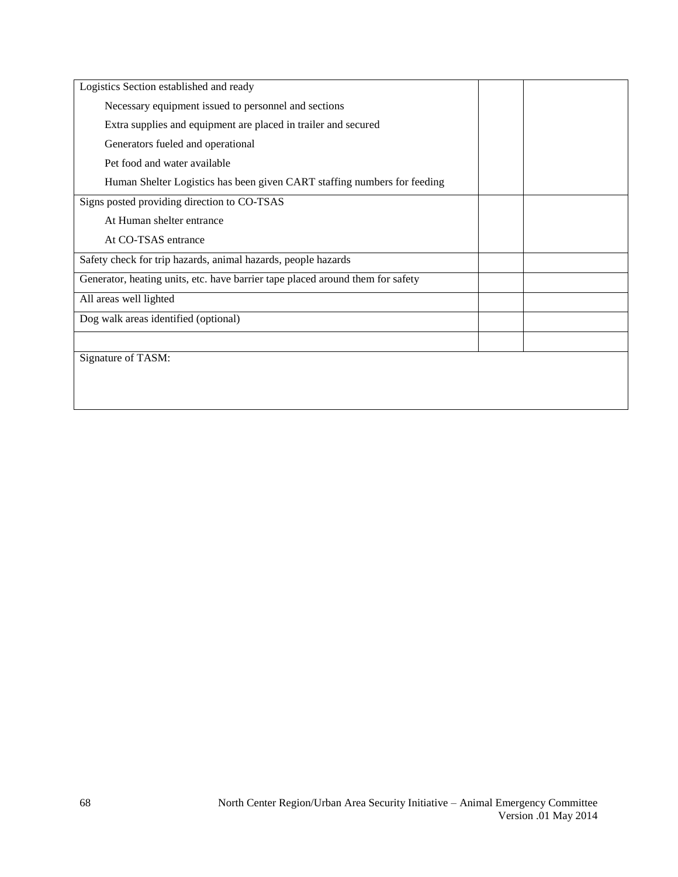| Logistics Section established and ready                                        |  |
|--------------------------------------------------------------------------------|--|
| Necessary equipment issued to personnel and sections                           |  |
| Extra supplies and equipment are placed in trailer and secured                 |  |
| Generators fueled and operational                                              |  |
| Pet food and water available                                                   |  |
| Human Shelter Logistics has been given CART staffing numbers for feeding       |  |
| Signs posted providing direction to CO-TSAS                                    |  |
| At Human shelter entrance                                                      |  |
| At CO-TSAS entrance                                                            |  |
| Safety check for trip hazards, animal hazards, people hazards                  |  |
| Generator, heating units, etc. have barrier tape placed around them for safety |  |
| All areas well lighted                                                         |  |
| Dog walk areas identified (optional)                                           |  |
|                                                                                |  |
| Signature of TASM:                                                             |  |
|                                                                                |  |
|                                                                                |  |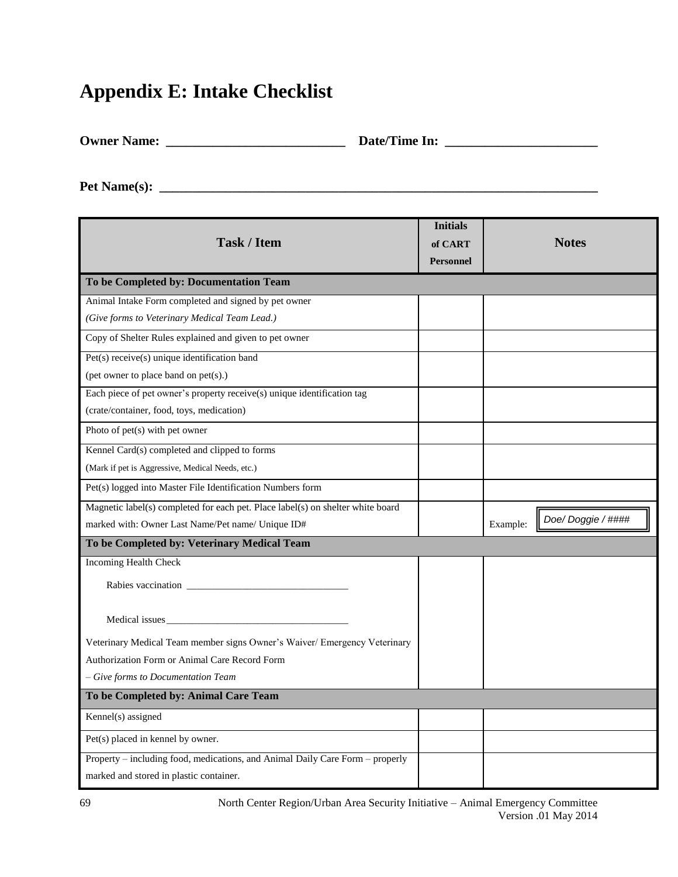### **Appendix E: Intake Checklist**

**Owner Name: \_\_\_\_\_\_\_\_\_\_\_\_\_\_\_\_\_\_\_\_\_\_\_\_\_\_\_ Date/Time In: \_\_\_\_\_\_\_\_\_\_\_\_\_\_\_\_\_\_\_\_\_\_\_**

**Pet Name(s): \_\_\_\_\_\_\_\_\_\_\_\_\_\_\_\_\_\_\_\_\_\_\_\_\_\_\_\_\_\_\_\_\_\_\_\_\_\_\_\_\_\_\_\_\_\_\_\_\_\_\_\_\_\_\_\_\_\_\_\_\_\_\_\_\_\_**

| <b>Task / Item</b>                                                              | <b>Initials</b><br>of CART<br><b>Personnel</b> | <b>Notes</b>                  |
|---------------------------------------------------------------------------------|------------------------------------------------|-------------------------------|
| To be Completed by: Documentation Team                                          |                                                |                               |
| Animal Intake Form completed and signed by pet owner                            |                                                |                               |
| (Give forms to Veterinary Medical Team Lead.)                                   |                                                |                               |
| Copy of Shelter Rules explained and given to pet owner                          |                                                |                               |
| Pet(s) receive(s) unique identification band                                    |                                                |                               |
| (pet owner to place band on pet(s).)                                            |                                                |                               |
| Each piece of pet owner's property receive(s) unique identification tag         |                                                |                               |
| (crate/container, food, toys, medication)                                       |                                                |                               |
| Photo of $pet(s)$ with pet owner                                                |                                                |                               |
| Kennel Card(s) completed and clipped to forms                                   |                                                |                               |
| (Mark if pet is Aggressive, Medical Needs, etc.)                                |                                                |                               |
| Pet(s) logged into Master File Identification Numbers form                      |                                                |                               |
| Magnetic label(s) completed for each pet. Place label(s) on shelter white board |                                                |                               |
| marked with: Owner Last Name/Pet name/ Unique ID#                               |                                                | Doe/Doggie / ####<br>Example: |
| To be Completed by: Veterinary Medical Team                                     |                                                |                               |
| <b>Incoming Health Check</b>                                                    |                                                |                               |
| Rabies vaccination                                                              |                                                |                               |
| Medical issues                                                                  |                                                |                               |
| Veterinary Medical Team member signs Owner's Waiver/ Emergency Veterinary       |                                                |                               |
| Authorization Form or Animal Care Record Form                                   |                                                |                               |
| - Give forms to Documentation Team                                              |                                                |                               |
| To be Completed by: Animal Care Team                                            |                                                |                               |
| Kennel(s) assigned                                                              |                                                |                               |
| Pet(s) placed in kennel by owner.                                               |                                                |                               |
| Property – including food, medications, and Animal Daily Care Form – properly   |                                                |                               |
| marked and stored in plastic container.                                         |                                                |                               |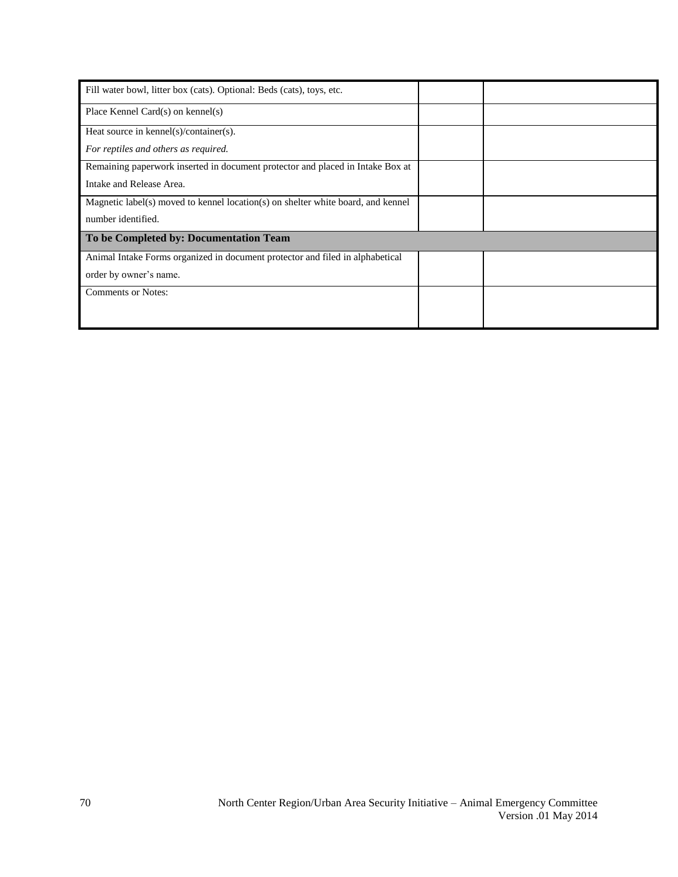| Fill water bowl, litter box (cats). Optional: Beds (cats), toys, etc.            |  |
|----------------------------------------------------------------------------------|--|
| Place Kennel Card $(s)$ on kennel $(s)$                                          |  |
| Heat source in kennel(s)/container(s).                                           |  |
| For reptiles and others as required.                                             |  |
| Remaining paperwork inserted in document protector and placed in Intake Box at   |  |
| Intake and Release Area.                                                         |  |
| Magnetic label(s) moved to kennel location(s) on shelter white board, and kennel |  |
| number identified.                                                               |  |
| To be Completed by: Documentation Team                                           |  |
| Animal Intake Forms organized in document protector and filed in alphabetical    |  |
| order by owner's name.                                                           |  |
| <b>Comments or Notes:</b>                                                        |  |
|                                                                                  |  |
|                                                                                  |  |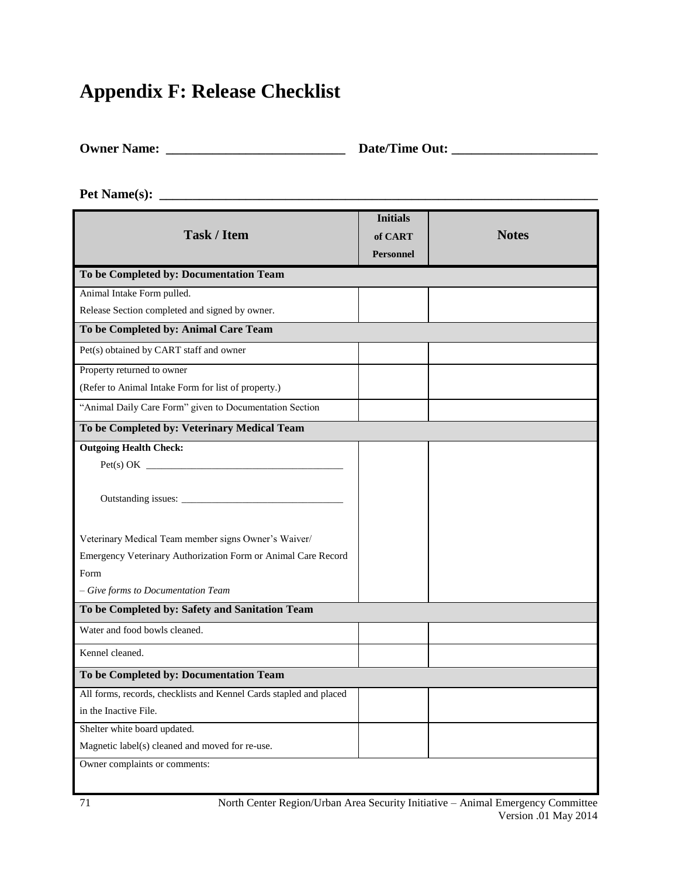### **Appendix F: Release Checklist**

| <b>Owner Name:</b> | Date/Time Out: |
|--------------------|----------------|
|                    |                |

**Pet Name(s): \_\_\_\_\_\_\_\_\_\_\_\_\_\_\_\_\_\_\_\_\_\_\_\_\_\_\_\_\_\_\_\_\_\_\_\_\_\_\_\_\_\_\_\_\_\_\_\_\_\_\_\_\_\_\_\_\_\_\_\_\_\_\_\_\_\_**

|                                                                    | <b>Initials</b>  |              |
|--------------------------------------------------------------------|------------------|--------------|
| <b>Task / Item</b>                                                 | of CART          | <b>Notes</b> |
|                                                                    | <b>Personnel</b> |              |
| To be Completed by: Documentation Team                             |                  |              |
| Animal Intake Form pulled.                                         |                  |              |
| Release Section completed and signed by owner.                     |                  |              |
| To be Completed by: Animal Care Team                               |                  |              |
| Pet(s) obtained by CART staff and owner                            |                  |              |
| Property returned to owner                                         |                  |              |
| (Refer to Animal Intake Form for list of property.)                |                  |              |
| "Animal Daily Care Form" given to Documentation Section            |                  |              |
| To be Completed by: Veterinary Medical Team                        |                  |              |
| <b>Outgoing Health Check:</b>                                      |                  |              |
|                                                                    |                  |              |
|                                                                    |                  |              |
| Outstanding issues:                                                |                  |              |
|                                                                    |                  |              |
| Veterinary Medical Team member signs Owner's Waiver/               |                  |              |
| Emergency Veterinary Authorization Form or Animal Care Record      |                  |              |
| Form                                                               |                  |              |
| - Give forms to Documentation Team                                 |                  |              |
| To be Completed by: Safety and Sanitation Team                     |                  |              |
| Water and food bowls cleaned.                                      |                  |              |
| Kennel cleaned.                                                    |                  |              |
| To be Completed by: Documentation Team                             |                  |              |
| All forms, records, checklists and Kennel Cards stapled and placed |                  |              |
| in the Inactive File.                                              |                  |              |
| Shelter white board updated.                                       |                  |              |
| Magnetic label(s) cleaned and moved for re-use.                    |                  |              |
| Owner complaints or comments:                                      |                  |              |
|                                                                    |                  |              |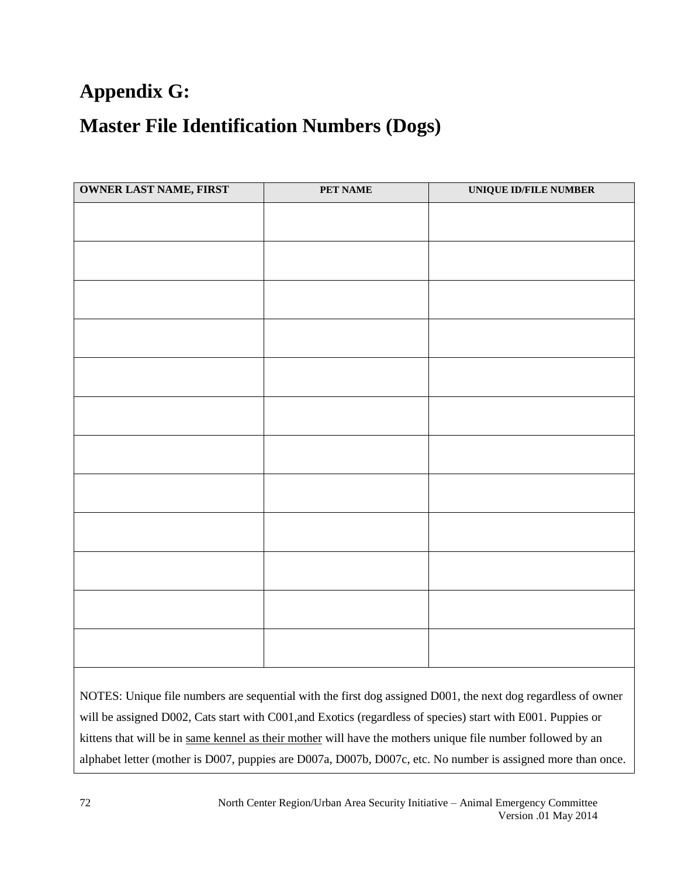### **Appendix G:**

### **Master File Identification Numbers (Dogs)**

| <b>OWNER LAST NAME, FIRST</b> | PET NAME | UNIQUE ID/FILE NUMBER |
|-------------------------------|----------|-----------------------|
|                               |          |                       |
|                               |          |                       |
|                               |          |                       |
|                               |          |                       |
|                               |          |                       |
|                               |          |                       |
|                               |          |                       |
|                               |          |                       |
|                               |          |                       |
|                               |          |                       |
|                               |          |                       |
|                               |          |                       |
|                               |          |                       |
|                               |          |                       |
|                               |          |                       |
|                               |          |                       |
|                               |          |                       |
|                               |          |                       |
|                               |          |                       |
|                               |          |                       |
|                               |          |                       |

NOTES: Unique file numbers are sequential with the first dog assigned D001, the next dog regardless of owner will be assigned D002, Cats start with C001,and Exotics (regardless of species) start with E001. Puppies or kittens that will be in same kennel as their mother will have the mothers unique file number followed by an alphabet letter (mother is D007, puppies are D007a, D007b, D007c, etc. No number is assigned more than once.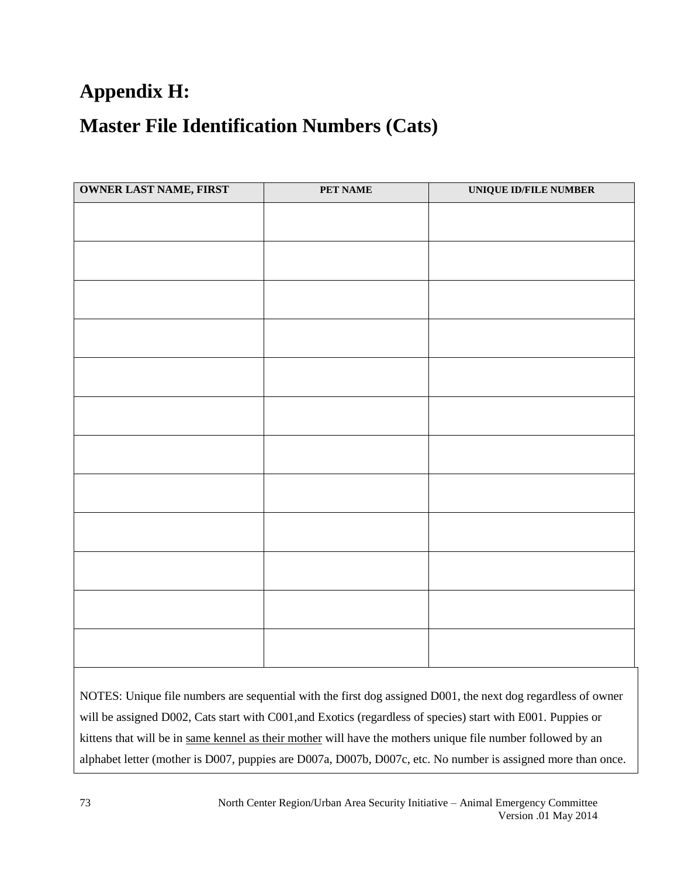# **Appendix H:**

## **Master File Identification Numbers (Cats)**

| <b>OWNER LAST NAME, FIRST</b> | PET NAME | <b>UNIQUE ID/FILE NUMBER</b> |
|-------------------------------|----------|------------------------------|
|                               |          |                              |
|                               |          |                              |
|                               |          |                              |
|                               |          |                              |
|                               |          |                              |
|                               |          |                              |
|                               |          |                              |
|                               |          |                              |
|                               |          |                              |
|                               |          |                              |
|                               |          |                              |
|                               |          |                              |
|                               |          |                              |
|                               |          |                              |
|                               |          |                              |
|                               |          |                              |
|                               |          |                              |
|                               |          |                              |
|                               |          |                              |
|                               |          |                              |
|                               |          |                              |
|                               |          |                              |
|                               |          |                              |
|                               |          |                              |

NOTES: Unique file numbers are sequential with the first dog assigned D001, the next dog regardless of owner will be assigned D002, Cats start with C001,and Exotics (regardless of species) start with E001. Puppies or kittens that will be in same kennel as their mother will have the mothers unique file number followed by an alphabet letter (mother is D007, puppies are D007a, D007b, D007c, etc. No number is assigned more than once.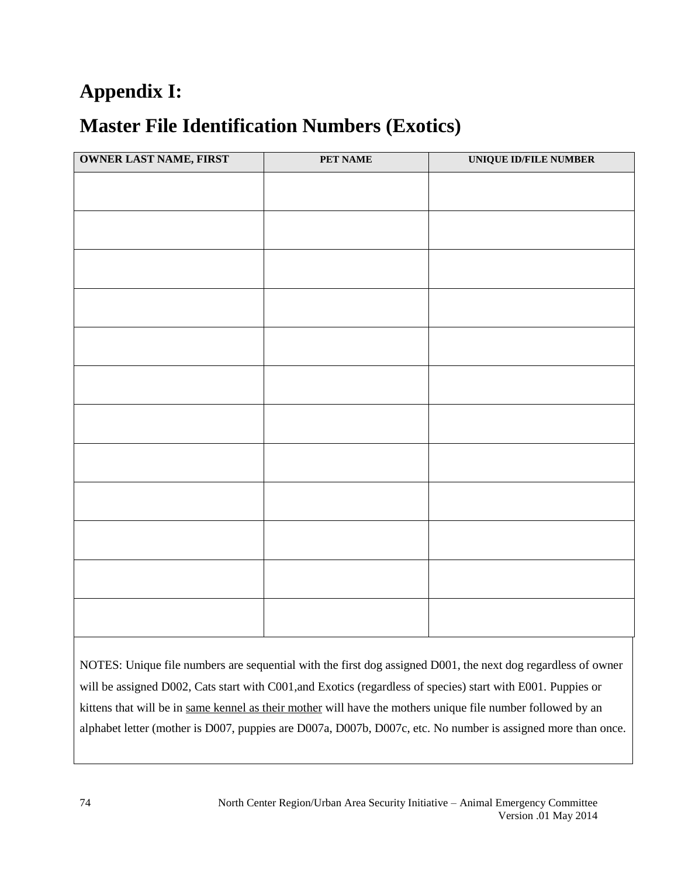# **Appendix I:**

# **Master File Identification Numbers (Exotics)**

| <b>OWNER LAST NAME, FIRST</b> | <b>PET NAME</b> | UNIQUE ID/FILE NUMBER |
|-------------------------------|-----------------|-----------------------|
|                               |                 |                       |
|                               |                 |                       |
|                               |                 |                       |
|                               |                 |                       |
|                               |                 |                       |
|                               |                 |                       |
|                               |                 |                       |
|                               |                 |                       |
|                               |                 |                       |
|                               |                 |                       |
|                               |                 |                       |
|                               |                 |                       |
|                               |                 |                       |
|                               |                 |                       |
|                               |                 |                       |
|                               |                 |                       |
|                               |                 |                       |
|                               |                 |                       |
|                               |                 |                       |
|                               |                 |                       |
|                               |                 |                       |
|                               |                 |                       |

NOTES: Unique file numbers are sequential with the first dog assigned D001, the next dog regardless of owner will be assigned D002, Cats start with C001,and Exotics (regardless of species) start with E001. Puppies or kittens that will be in same kennel as their mother will have the mothers unique file number followed by an alphabet letter (mother is D007, puppies are D007a, D007b, D007c, etc. No number is assigned more than once.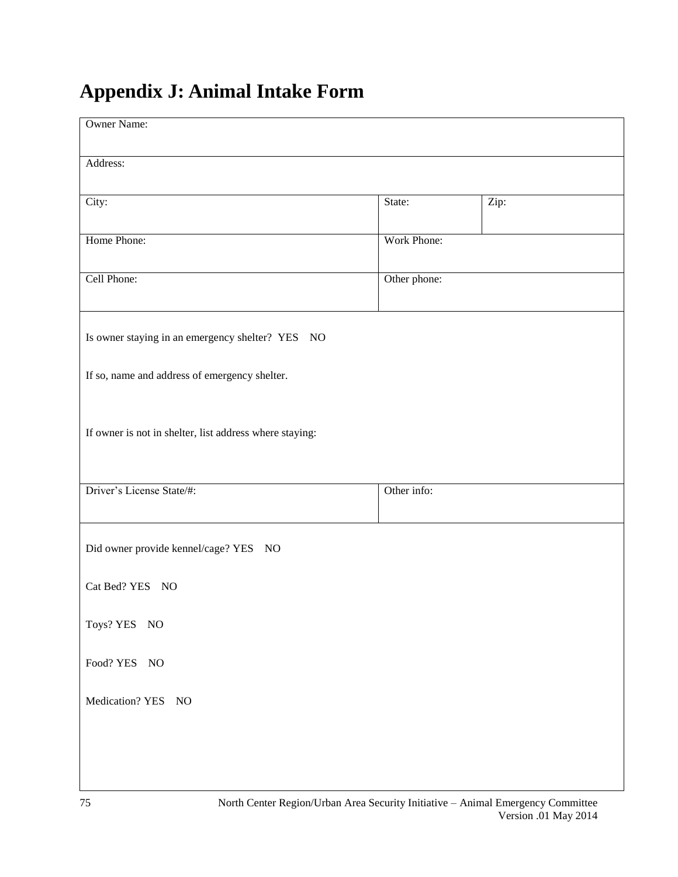# **Appendix J: Animal Intake Form**

| <b>Owner Name:</b>                                      |              |      |
|---------------------------------------------------------|--------------|------|
| Address:                                                |              |      |
| City:                                                   | State:       | Zip: |
| Home Phone:                                             | Work Phone:  |      |
| Cell Phone:                                             | Other phone: |      |
| Is owner staying in an emergency shelter? YES NO        |              |      |
| If so, name and address of emergency shelter.           |              |      |
| If owner is not in shelter, list address where staying: |              |      |
| Driver's License State/#:                               | Other info:  |      |
| Did owner provide kennel/cage? YES NO                   |              |      |
| Cat Bed? YES NO                                         |              |      |
| Toys? YES NO                                            |              |      |
| Food? YES NO                                            |              |      |
| Medication? YES NO                                      |              |      |
|                                                         |              |      |
|                                                         |              |      |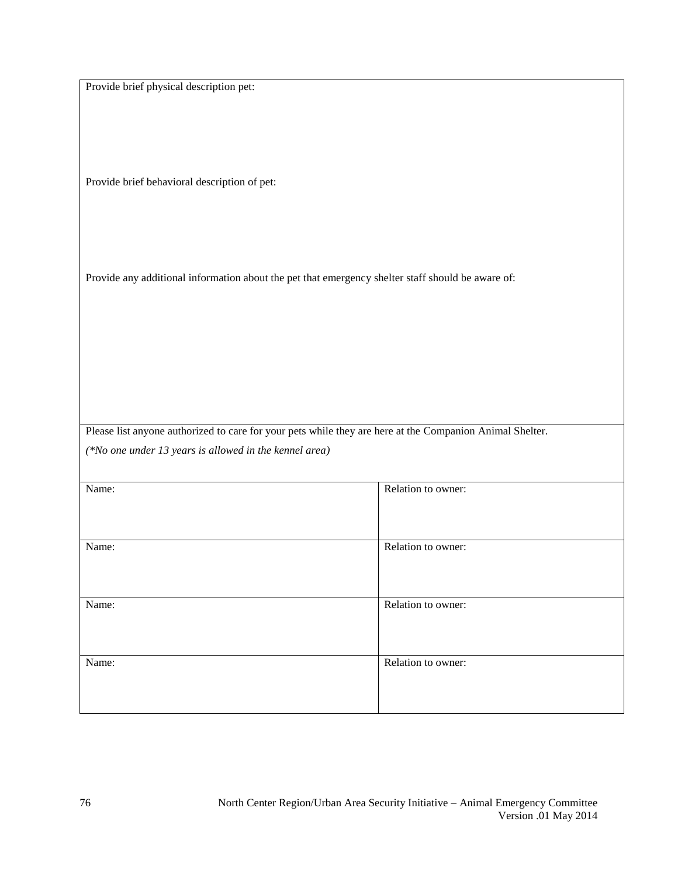Provide brief physical description pet:

Provide brief behavioral description of pet:

Provide any additional information about the pet that emergency shelter staff should be aware of:

Please list anyone authorized to care for your pets while they are here at the Companion Animal Shelter. *(\*No one under 13 years is allowed in the kennel area)*

| Name: | Relation to owner: |
|-------|--------------------|
| Name: | Relation to owner: |
| Name: | Relation to owner: |
| Name: | Relation to owner: |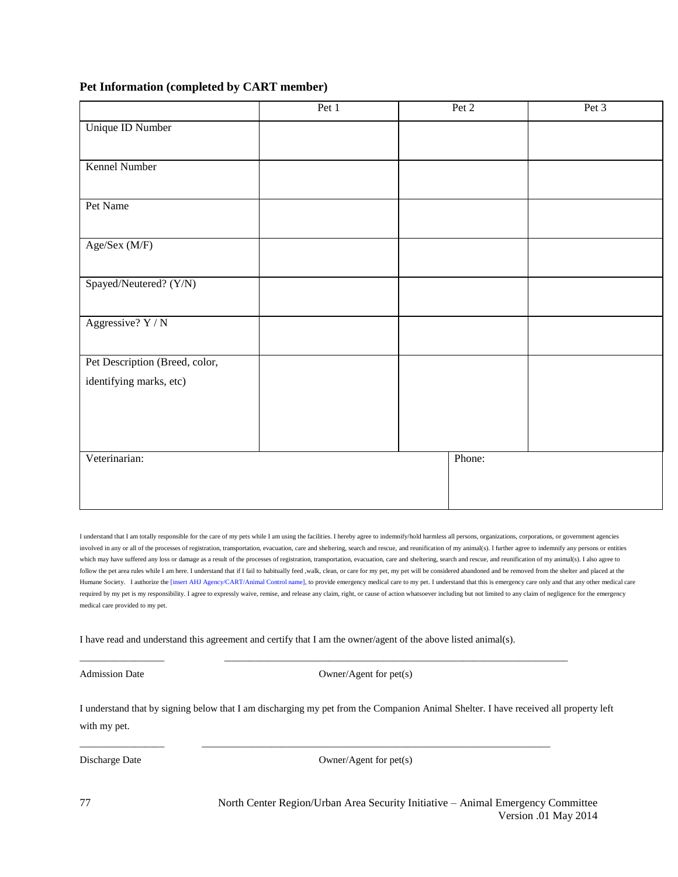#### **Pet Information (completed by CART member)**

|                                | Pet 1 | $\overline{P}$ et 2 | Pet 3 |
|--------------------------------|-------|---------------------|-------|
| Unique ID Number               |       |                     |       |
|                                |       |                     |       |
| Kennel Number                  |       |                     |       |
|                                |       |                     |       |
| Pet Name                       |       |                     |       |
|                                |       |                     |       |
| Age/Sex (M/F)                  |       |                     |       |
|                                |       |                     |       |
| Spayed/Neutered? (Y/N)         |       |                     |       |
|                                |       |                     |       |
| Aggressive? Y / N              |       |                     |       |
|                                |       |                     |       |
| Pet Description (Breed, color, |       |                     |       |
| identifying marks, etc)        |       |                     |       |
|                                |       |                     |       |
|                                |       |                     |       |
| Veterinarian:                  |       | Phone:              |       |
|                                |       |                     |       |
|                                |       |                     |       |
|                                |       |                     |       |

I understand that I am totally responsible for the care of my pets while I am using the facilities. I hereby agree to indemnify/hold harmless all persons, organizations, corporations, or government agencies involved in any or all of the processes of registration, transportation, evacuation, care and sheltering, search and rescue, and reunification of my animal(s). I further agree to indemnify any persons or entities which may have suffered any loss or damage as a result of the processes of registration, transportation, evacuation, care and sheltering, search and rescue, and reunification of my animal(s). I also agree to follow the pet area rules while I am here. I understand that if I fail to habitually feed ,walk, clean, or care for my pet, my pet will be considered abandoned and be removed from the shelter and placed at the Humane Society. I authorize the [insert AHJ Agency/CART/Animal Control name], to provide emergency medical care to my pet. I understand that this is emergency care only and that any other medical care required by my pet is my responsibility. I agree to expressly waive, remise, and release any claim, right, or cause of action whatsoever including but not limited to any claim of negligence for the emergency medical care provided to my pet.

I have read and understand this agreement and certify that I am the owner/agent of the above listed animal(s).

\_\_\_\_\_\_\_\_\_\_\_\_\_\_\_\_\_ \_\_\_\_\_\_\_\_\_\_\_\_\_\_\_\_\_\_\_\_\_\_\_\_\_\_\_\_\_\_\_\_\_\_\_\_\_\_\_\_\_\_\_\_\_\_\_\_\_\_\_\_\_\_\_\_\_\_\_\_\_\_\_\_\_\_\_\_\_

\_\_\_\_\_\_\_\_\_\_\_\_\_\_\_\_\_ \_\_\_\_\_\_\_\_\_\_\_\_\_\_\_\_\_\_\_\_\_\_\_\_\_\_\_\_\_\_\_\_\_\_\_\_\_\_\_\_\_\_\_\_\_\_\_\_\_\_\_\_\_\_\_\_\_\_\_\_\_\_\_\_\_\_\_\_\_\_

Admission Date Owner/Agent for pet(s)

I understand that by signing below that I am discharging my pet from the Companion Animal Shelter. I have received all property left with my pet.

Discharge Date Owner/Agent for pet(s)

North Center Region/Urban Area Security Initiative – Animal Emergency Committee Version .01 May 2014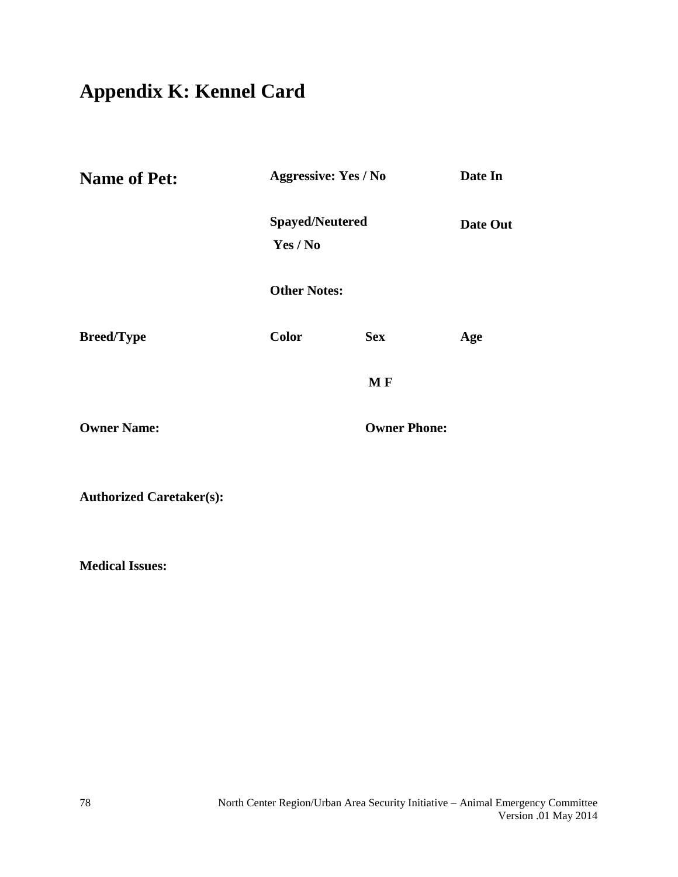# **Appendix K: Kennel Card**

| <b>Name of Pet:</b> | <b>Aggressive: Yes / No</b>        |                     | Date In  |  |
|---------------------|------------------------------------|---------------------|----------|--|
|                     | <b>Spayed/Neutered</b><br>Yes / No |                     | Date Out |  |
|                     | <b>Other Notes:</b>                |                     |          |  |
| <b>Breed/Type</b>   | <b>Color</b>                       | <b>Sex</b>          | Age      |  |
|                     |                                    | MF                  |          |  |
| <b>Owner Name:</b>  |                                    | <b>Owner Phone:</b> |          |  |
|                     |                                    |                     |          |  |

**Authorized Caretaker(s):** 

**Medical Issues:**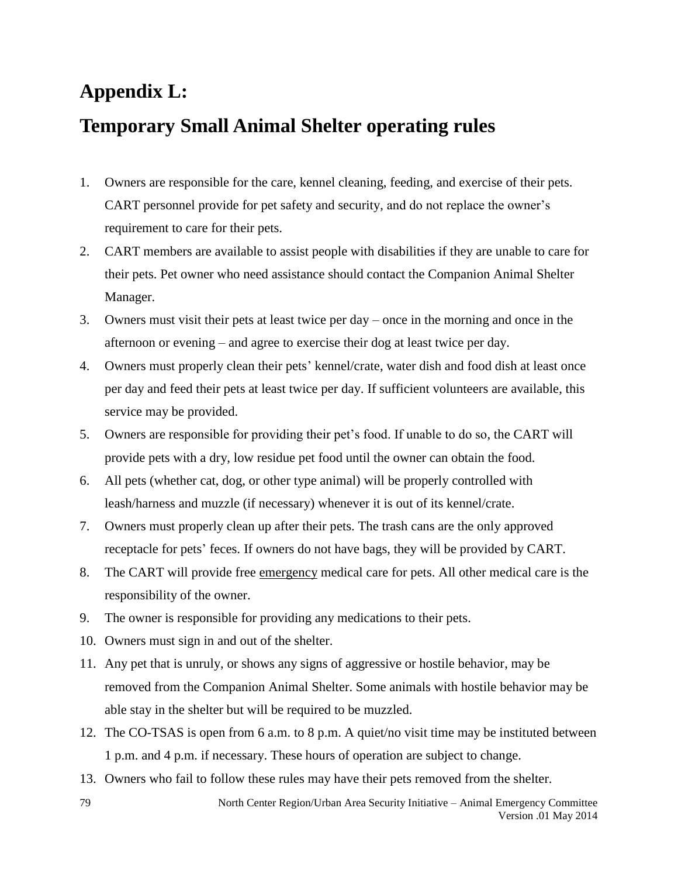## **Appendix L:**

## **Temporary Small Animal Shelter operating rules**

- 1. Owners are responsible for the care, kennel cleaning, feeding, and exercise of their pets. CART personnel provide for pet safety and security, and do not replace the owner's requirement to care for their pets.
- 2. CART members are available to assist people with disabilities if they are unable to care for their pets. Pet owner who need assistance should contact the Companion Animal Shelter Manager.
- 3. Owners must visit their pets at least twice per day once in the morning and once in the afternoon or evening – and agree to exercise their dog at least twice per day.
- 4. Owners must properly clean their pets' kennel/crate, water dish and food dish at least once per day and feed their pets at least twice per day. If sufficient volunteers are available, this service may be provided.
- 5. Owners are responsible for providing their pet's food. If unable to do so, the CART will provide pets with a dry, low residue pet food until the owner can obtain the food.
- 6. All pets (whether cat, dog, or other type animal) will be properly controlled with leash/harness and muzzle (if necessary) whenever it is out of its kennel/crate.
- 7. Owners must properly clean up after their pets. The trash cans are the only approved receptacle for pets' feces. If owners do not have bags, they will be provided by CART.
- 8. The CART will provide free emergency medical care for pets. All other medical care is the responsibility of the owner.
- 9. The owner is responsible for providing any medications to their pets.
- 10. Owners must sign in and out of the shelter.
- 11. Any pet that is unruly, or shows any signs of aggressive or hostile behavior, may be removed from the Companion Animal Shelter. Some animals with hostile behavior may be able stay in the shelter but will be required to be muzzled.
- 12. The CO-TSAS is open from 6 a.m. to 8 p.m. A quiet/no visit time may be instituted between 1 p.m. and 4 p.m. if necessary. These hours of operation are subject to change.
- 13. Owners who fail to follow these rules may have their pets removed from the shelter.

79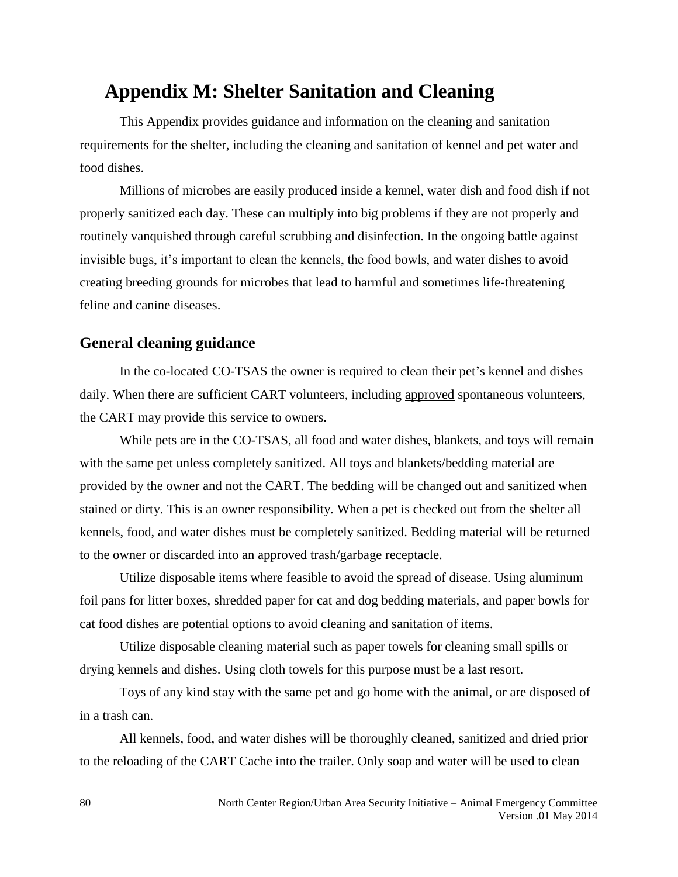## **Appendix M: Shelter Sanitation and Cleaning**

This Appendix provides guidance and information on the cleaning and sanitation requirements for the shelter, including the cleaning and sanitation of kennel and pet water and food dishes.

Millions of microbes are easily produced inside a kennel, water dish and food dish if not properly sanitized each day. These can multiply into big problems if they are not properly and routinely vanquished through careful scrubbing and disinfection. In the ongoing battle against invisible bugs, it's important to clean the kennels, the food bowls, and water dishes to avoid creating breeding grounds for microbes that lead to harmful and sometimes life-threatening feline and canine diseases.

#### **General cleaning guidance**

In the co-located CO-TSAS the owner is required to clean their pet's kennel and dishes daily. When there are sufficient CART volunteers, including approved spontaneous volunteers, the CART may provide this service to owners.

While pets are in the CO-TSAS, all food and water dishes, blankets, and toys will remain with the same pet unless completely sanitized. All toys and blankets/bedding material are provided by the owner and not the CART. The bedding will be changed out and sanitized when stained or dirty. This is an owner responsibility. When a pet is checked out from the shelter all kennels, food, and water dishes must be completely sanitized. Bedding material will be returned to the owner or discarded into an approved trash/garbage receptacle.

Utilize disposable items where feasible to avoid the spread of disease. Using aluminum foil pans for litter boxes, shredded paper for cat and dog bedding materials, and paper bowls for cat food dishes are potential options to avoid cleaning and sanitation of items.

Utilize disposable cleaning material such as paper towels for cleaning small spills or drying kennels and dishes. Using cloth towels for this purpose must be a last resort.

Toys of any kind stay with the same pet and go home with the animal, or are disposed of in a trash can.

All kennels, food, and water dishes will be thoroughly cleaned, sanitized and dried prior to the reloading of the CART Cache into the trailer. Only soap and water will be used to clean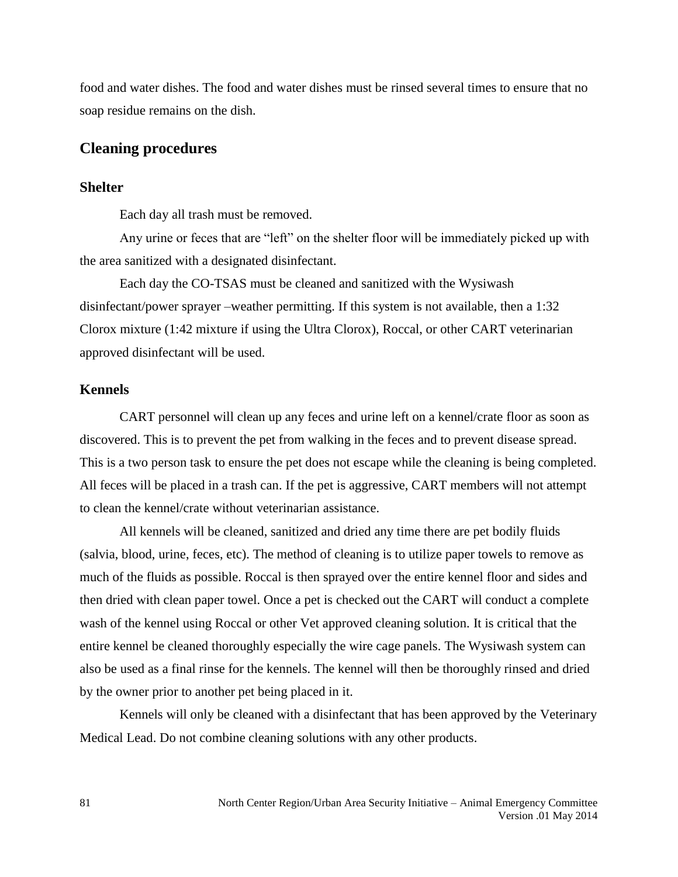food and water dishes. The food and water dishes must be rinsed several times to ensure that no soap residue remains on the dish.

#### **Cleaning procedures**

#### **Shelter**

Each day all trash must be removed.

Any urine or feces that are "left" on the shelter floor will be immediately picked up with the area sanitized with a designated disinfectant.

Each day the CO-TSAS must be cleaned and sanitized with the Wysiwash disinfectant/power sprayer –weather permitting. If this system is not available, then a 1:32 Clorox mixture (1:42 mixture if using the Ultra Clorox), Roccal, or other CART veterinarian approved disinfectant will be used.

#### **Kennels**

CART personnel will clean up any feces and urine left on a kennel/crate floor as soon as discovered. This is to prevent the pet from walking in the feces and to prevent disease spread. This is a two person task to ensure the pet does not escape while the cleaning is being completed. All feces will be placed in a trash can. If the pet is aggressive, CART members will not attempt to clean the kennel/crate without veterinarian assistance.

All kennels will be cleaned, sanitized and dried any time there are pet bodily fluids (salvia, blood, urine, feces, etc). The method of cleaning is to utilize paper towels to remove as much of the fluids as possible. Roccal is then sprayed over the entire kennel floor and sides and then dried with clean paper towel. Once a pet is checked out the CART will conduct a complete wash of the kennel using Roccal or other Vet approved cleaning solution. It is critical that the entire kennel be cleaned thoroughly especially the wire cage panels. The Wysiwash system can also be used as a final rinse for the kennels. The kennel will then be thoroughly rinsed and dried by the owner prior to another pet being placed in it.

Kennels will only be cleaned with a disinfectant that has been approved by the Veterinary Medical Lead. Do not combine cleaning solutions with any other products.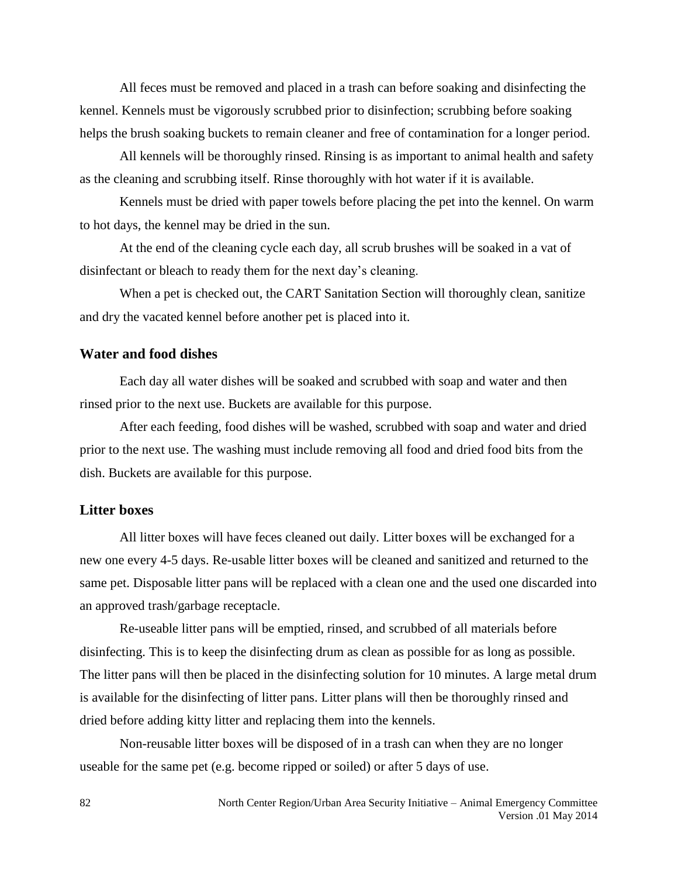All feces must be removed and placed in a trash can before soaking and disinfecting the kennel. Kennels must be vigorously scrubbed prior to disinfection; scrubbing before soaking helps the brush soaking buckets to remain cleaner and free of contamination for a longer period.

All kennels will be thoroughly rinsed. Rinsing is as important to animal health and safety as the cleaning and scrubbing itself. Rinse thoroughly with hot water if it is available.

Kennels must be dried with paper towels before placing the pet into the kennel. On warm to hot days, the kennel may be dried in the sun.

At the end of the cleaning cycle each day, all scrub brushes will be soaked in a vat of disinfectant or bleach to ready them for the next day's cleaning.

When a pet is checked out, the CART Sanitation Section will thoroughly clean, sanitize and dry the vacated kennel before another pet is placed into it.

#### **Water and food dishes**

Each day all water dishes will be soaked and scrubbed with soap and water and then rinsed prior to the next use. Buckets are available for this purpose.

After each feeding, food dishes will be washed, scrubbed with soap and water and dried prior to the next use. The washing must include removing all food and dried food bits from the dish. Buckets are available for this purpose.

#### **Litter boxes**

All litter boxes will have feces cleaned out daily. Litter boxes will be exchanged for a new one every 4-5 days. Re-usable litter boxes will be cleaned and sanitized and returned to the same pet. Disposable litter pans will be replaced with a clean one and the used one discarded into an approved trash/garbage receptacle.

Re-useable litter pans will be emptied, rinsed, and scrubbed of all materials before disinfecting. This is to keep the disinfecting drum as clean as possible for as long as possible. The litter pans will then be placed in the disinfecting solution for 10 minutes. A large metal drum is available for the disinfecting of litter pans. Litter plans will then be thoroughly rinsed and dried before adding kitty litter and replacing them into the kennels.

Non-reusable litter boxes will be disposed of in a trash can when they are no longer useable for the same pet (e.g. become ripped or soiled) or after 5 days of use.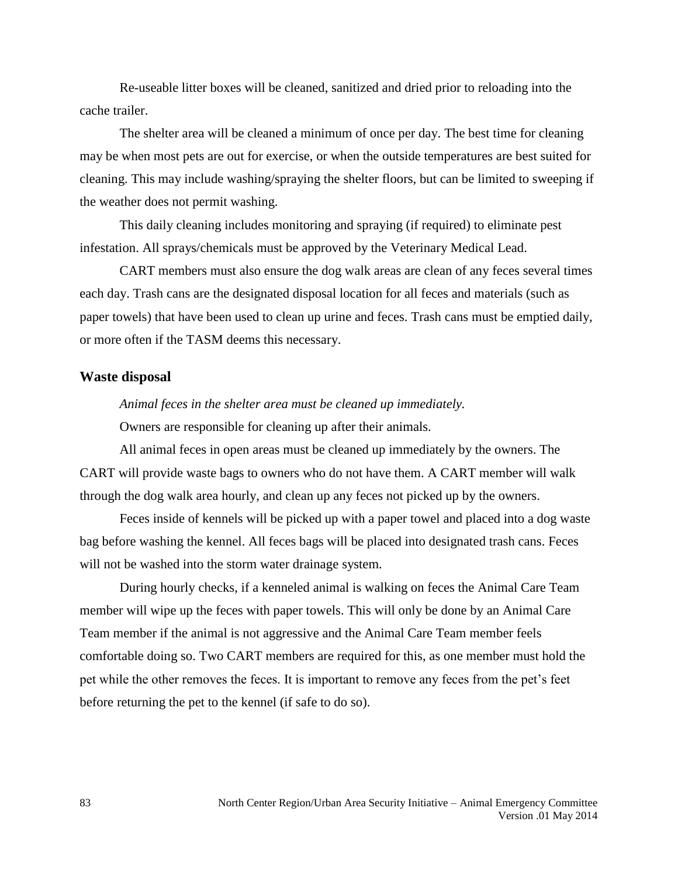Re-useable litter boxes will be cleaned, sanitized and dried prior to reloading into the cache trailer.

The shelter area will be cleaned a minimum of once per day. The best time for cleaning may be when most pets are out for exercise, or when the outside temperatures are best suited for cleaning. This may include washing/spraying the shelter floors, but can be limited to sweeping if the weather does not permit washing.

This daily cleaning includes monitoring and spraying (if required) to eliminate pest infestation. All sprays/chemicals must be approved by the Veterinary Medical Lead.

CART members must also ensure the dog walk areas are clean of any feces several times each day. Trash cans are the designated disposal location for all feces and materials (such as paper towels) that have been used to clean up urine and feces. Trash cans must be emptied daily, or more often if the TASM deems this necessary.

#### **Waste disposal**

*Animal feces in the shelter area must be cleaned up immediately.* Owners are responsible for cleaning up after their animals.

All animal feces in open areas must be cleaned up immediately by the owners. The CART will provide waste bags to owners who do not have them. A CART member will walk through the dog walk area hourly, and clean up any feces not picked up by the owners.

Feces inside of kennels will be picked up with a paper towel and placed into a dog waste bag before washing the kennel. All feces bags will be placed into designated trash cans. Feces will not be washed into the storm water drainage system.

During hourly checks, if a kenneled animal is walking on feces the Animal Care Team member will wipe up the feces with paper towels. This will only be done by an Animal Care Team member if the animal is not aggressive and the Animal Care Team member feels comfortable doing so. Two CART members are required for this, as one member must hold the pet while the other removes the feces. It is important to remove any feces from the pet's feet before returning the pet to the kennel (if safe to do so).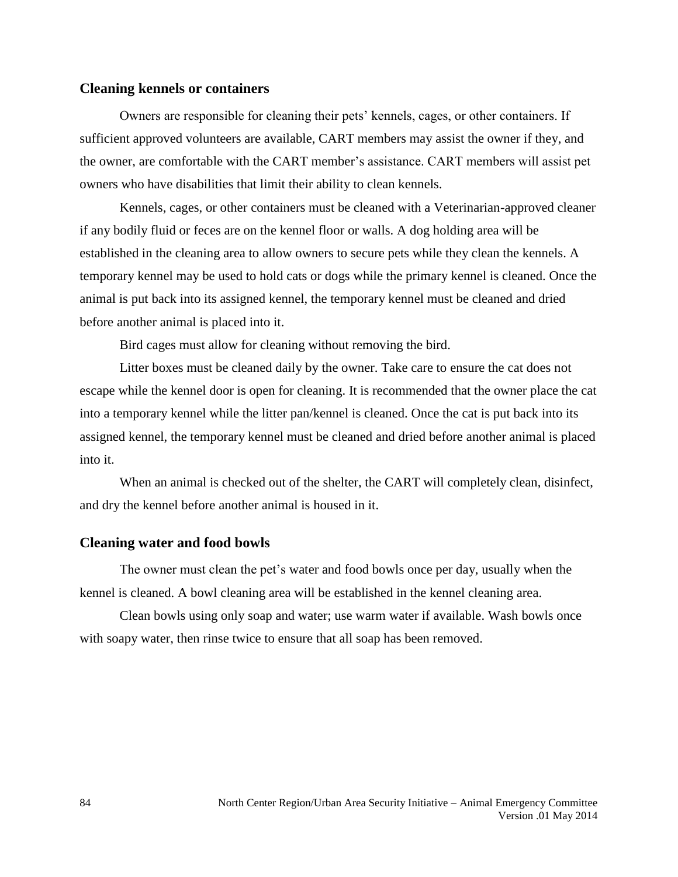#### **Cleaning kennels or containers**

Owners are responsible for cleaning their pets' kennels, cages, or other containers. If sufficient approved volunteers are available, CART members may assist the owner if they, and the owner, are comfortable with the CART member's assistance. CART members will assist pet owners who have disabilities that limit their ability to clean kennels.

Kennels, cages, or other containers must be cleaned with a Veterinarian-approved cleaner if any bodily fluid or feces are on the kennel floor or walls. A dog holding area will be established in the cleaning area to allow owners to secure pets while they clean the kennels. A temporary kennel may be used to hold cats or dogs while the primary kennel is cleaned. Once the animal is put back into its assigned kennel, the temporary kennel must be cleaned and dried before another animal is placed into it.

Bird cages must allow for cleaning without removing the bird.

Litter boxes must be cleaned daily by the owner. Take care to ensure the cat does not escape while the kennel door is open for cleaning. It is recommended that the owner place the cat into a temporary kennel while the litter pan/kennel is cleaned. Once the cat is put back into its assigned kennel, the temporary kennel must be cleaned and dried before another animal is placed into it.

When an animal is checked out of the shelter, the CART will completely clean, disinfect, and dry the kennel before another animal is housed in it.

#### **Cleaning water and food bowls**

The owner must clean the pet's water and food bowls once per day, usually when the kennel is cleaned. A bowl cleaning area will be established in the kennel cleaning area.

Clean bowls using only soap and water; use warm water if available. Wash bowls once with soapy water, then rinse twice to ensure that all soap has been removed.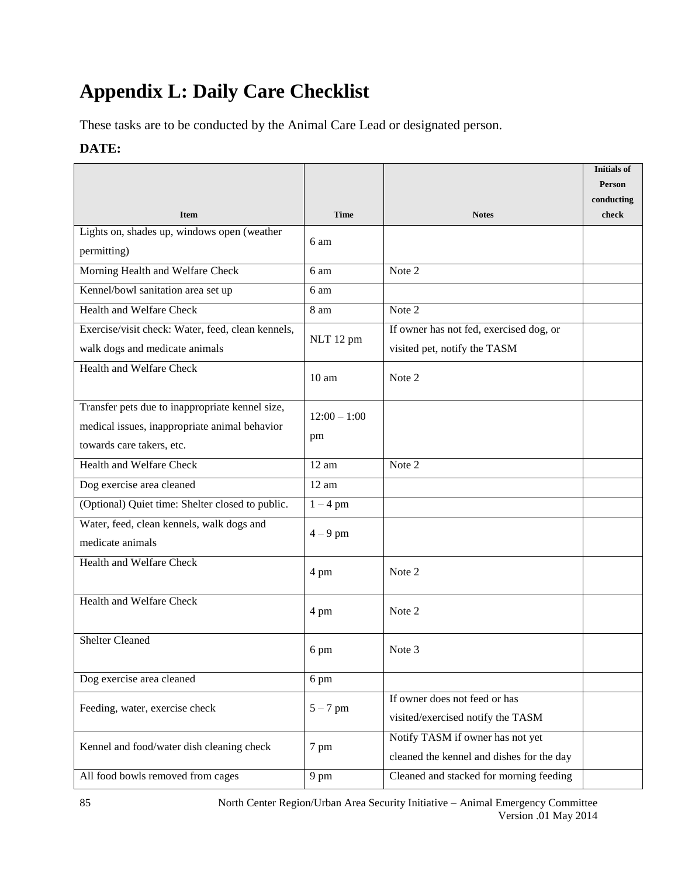# **Appendix L: Daily Care Checklist**

These tasks are to be conducted by the Animal Care Lead or designated person.

#### **DATE:**

|                                                   |                  |                                           | <b>Initials of</b>          |
|---------------------------------------------------|------------------|-------------------------------------------|-----------------------------|
|                                                   |                  |                                           | <b>Person</b><br>conducting |
| <b>Item</b>                                       | <b>Time</b>      | <b>Notes</b>                              | check                       |
| Lights on, shades up, windows open (weather       |                  |                                           |                             |
| permitting)                                       | 6 am             |                                           |                             |
| Morning Health and Welfare Check                  | 6 am             | Note 2                                    |                             |
| Kennel/bowl sanitation area set up                | 6 am             |                                           |                             |
| Health and Welfare Check                          | 8 am             | Note 2                                    |                             |
| Exercise/visit check: Water, feed, clean kennels, | NLT 12 pm        | If owner has not fed, exercised dog, or   |                             |
| walk dogs and medicate animals                    |                  | visited pet, notify the TASM              |                             |
| Health and Welfare Check                          | 10 <sub>am</sub> | Note 2                                    |                             |
| Transfer pets due to inappropriate kennel size,   | $12:00 - 1:00$   |                                           |                             |
| medical issues, inappropriate animal behavior     |                  |                                           |                             |
| towards care takers, etc.                         | pm               |                                           |                             |
| <b>Health and Welfare Check</b>                   | 12 am            | Note 2                                    |                             |
| Dog exercise area cleaned                         | 12 am            |                                           |                             |
| (Optional) Quiet time: Shelter closed to public.  | $1 - 4$ pm       |                                           |                             |
| Water, feed, clean kennels, walk dogs and         | $4-9$ pm         |                                           |                             |
| medicate animals                                  |                  |                                           |                             |
| Health and Welfare Check                          | 4 pm             | Note 2                                    |                             |
| <b>Health and Welfare Check</b>                   | 4 pm             | Note 2                                    |                             |
| <b>Shelter Cleaned</b>                            | 6 pm             | Note 3                                    |                             |
| Dog exercise area cleaned                         | 6 pm             |                                           |                             |
| Feeding, water, exercise check                    | $5 - 7$ pm       | If owner does not feed or has             |                             |
|                                                   |                  | visited/exercised notify the TASM         |                             |
| Kennel and food/water dish cleaning check         | 7 pm             | Notify TASM if owner has not yet          |                             |
|                                                   |                  | cleaned the kennel and dishes for the day |                             |
| All food bowls removed from cages                 | 9 pm             | Cleaned and stacked for morning feeding   |                             |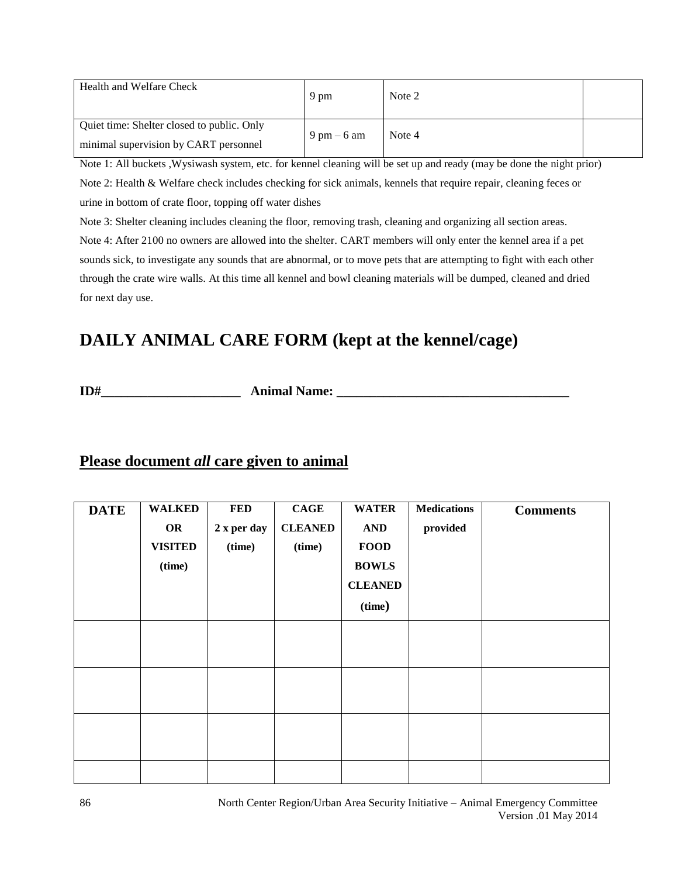| Health and Welfare Check                                                            | 9 pm                          | Note 2 |  |
|-------------------------------------------------------------------------------------|-------------------------------|--------|--|
| Quiet time: Shelter closed to public. Only<br>minimal supervision by CART personnel | $9 \text{ pm} - 6 \text{ am}$ | Note 4 |  |

Note 1: All buckets ,Wysiwash system, etc. for kennel cleaning will be set up and ready (may be done the night prior) Note 2: Health & Welfare check includes checking for sick animals, kennels that require repair, cleaning feces or urine in bottom of crate floor, topping off water dishes

Note 3: Shelter cleaning includes cleaning the floor, removing trash, cleaning and organizing all section areas.

Note 4: After 2100 no owners are allowed into the shelter. CART members will only enter the kennel area if a pet sounds sick, to investigate any sounds that are abnormal, or to move pets that are attempting to fight with each other through the crate wire walls. At this time all kennel and bowl cleaning materials will be dumped, cleaned and dried for next day use.

## **DAILY ANIMAL CARE FORM (kept at the kennel/cage)**

**ID#** Animal Name:

## **Please document** *all* **care given to animal**

| <b>DATE</b> | <b>WALKED</b><br>OR<br><b>VISITED</b><br>(time) | <b>FED</b><br>2 x per day<br>(time) | CAGE<br><b>CLEANED</b><br>(time) | <b>WATER</b><br><b>AND</b><br><b>FOOD</b><br><b>BOWLS</b><br><b>CLEANED</b> | <b>Medications</b><br>provided | <b>Comments</b> |
|-------------|-------------------------------------------------|-------------------------------------|----------------------------------|-----------------------------------------------------------------------------|--------------------------------|-----------------|
|             |                                                 |                                     |                                  | (time)                                                                      |                                |                 |
|             |                                                 |                                     |                                  |                                                                             |                                |                 |
|             |                                                 |                                     |                                  |                                                                             |                                |                 |
|             |                                                 |                                     |                                  |                                                                             |                                |                 |
|             |                                                 |                                     |                                  |                                                                             |                                |                 |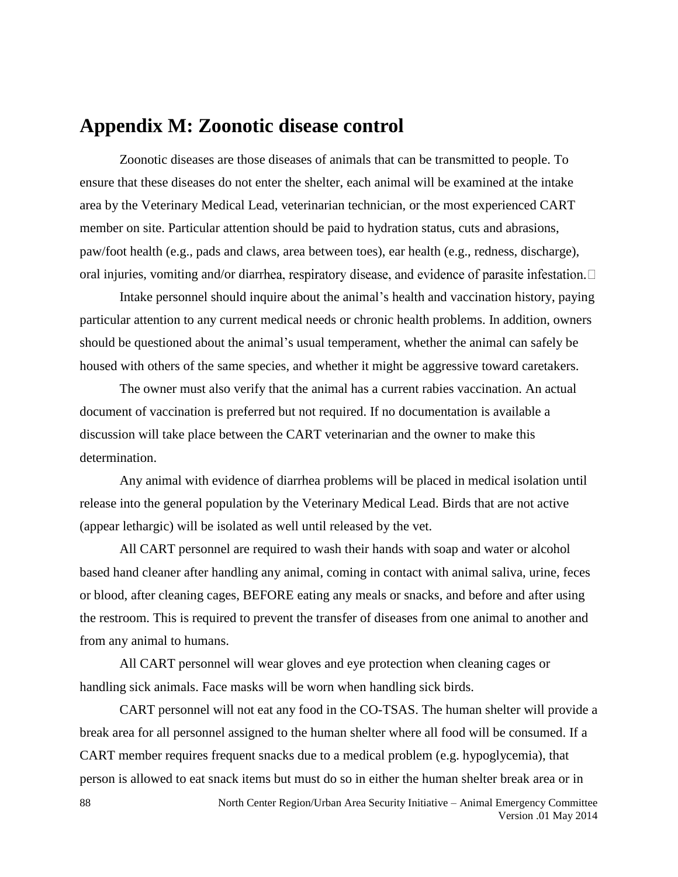## **Appendix M: Zoonotic disease control**

Zoonotic diseases are those diseases of animals that can be transmitted to people. To ensure that these diseases do not enter the shelter, each animal will be examined at the intake area by the Veterinary Medical Lead, veterinarian technician, or the most experienced CART member on site. Particular attention should be paid to hydration status, cuts and abrasions, paw/foot health (e.g., pads and claws, area between toes), ear health (e.g., redness, discharge), oral injuries, vomiting and/or diarrhea, respiratory disease, and evidence of parasite infestation.  $\Box$ 

Intake personnel should inquire about the animal's health and vaccination history, paying particular attention to any current medical needs or chronic health problems. In addition, owners should be questioned about the animal's usual temperament, whether the animal can safely be housed with others of the same species, and whether it might be aggressive toward caretakers.

The owner must also verify that the animal has a current rabies vaccination. An actual document of vaccination is preferred but not required. If no documentation is available a discussion will take place between the CART veterinarian and the owner to make this determination.

Any animal with evidence of diarrhea problems will be placed in medical isolation until release into the general population by the Veterinary Medical Lead. Birds that are not active (appear lethargic) will be isolated as well until released by the vet.

All CART personnel are required to wash their hands with soap and water or alcohol based hand cleaner after handling any animal, coming in contact with animal saliva, urine, feces or blood, after cleaning cages, BEFORE eating any meals or snacks, and before and after using the restroom. This is required to prevent the transfer of diseases from one animal to another and from any animal to humans.

All CART personnel will wear gloves and eye protection when cleaning cages or handling sick animals. Face masks will be worn when handling sick birds.

CART personnel will not eat any food in the CO-TSAS. The human shelter will provide a break area for all personnel assigned to the human shelter where all food will be consumed. If a CART member requires frequent snacks due to a medical problem (e.g. hypoglycemia), that person is allowed to eat snack items but must do so in either the human shelter break area or in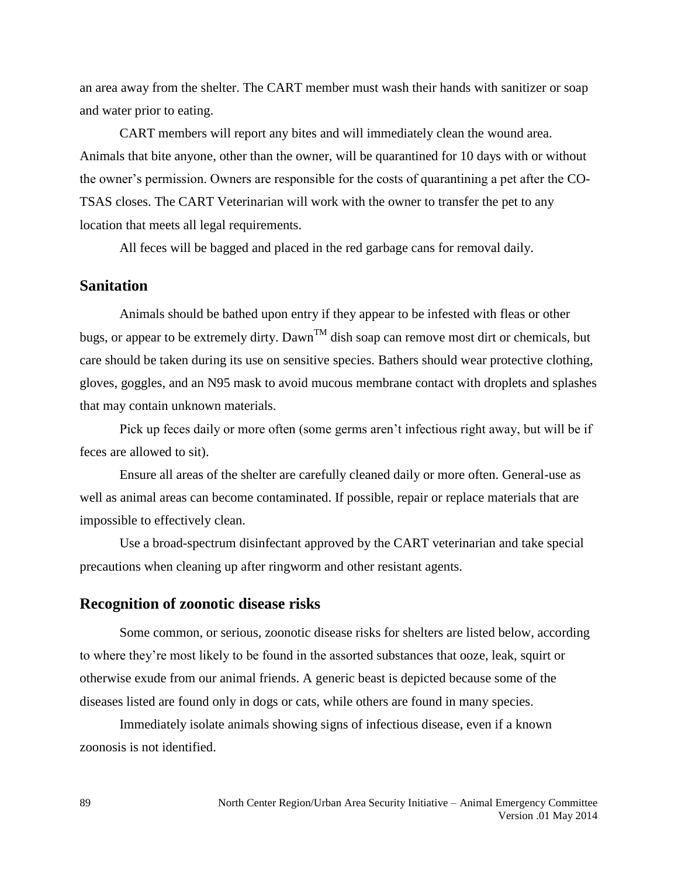an area away from the shelter. The CART member must wash their hands with sanitizer or soap and water prior to eating.

CART members will report any bites and will immediately clean the wound area. Animals that bite anyone, other than the owner, will be quarantined for 10 days with or without the owner's permission. Owners are responsible for the costs of quarantining a pet after the CO-TSAS closes. The CART Veterinarian will work with the owner to transfer the pet to any location that meets all legal requirements.

All feces will be bagged and placed in the red garbage cans for removal daily.

#### **Sanitation**

Animals should be bathed upon entry if they appear to be infested with fleas or other bugs, or appear to be extremely dirty. Dawn<sup>TM</sup> dish soap can remove most dirt or chemicals, but care should be taken during its use on sensitive species. Bathers should wear protective clothing, gloves, goggles, and an N95 mask to avoid mucous membrane contact with droplets and splashes that may contain unknown materials.

Pick up feces daily or more often (some germs aren't infectious right away, but will be if feces are allowed to sit).

Ensure all areas of the shelter are carefully cleaned daily or more often. General-use as well as animal areas can become contaminated. If possible, repair or replace materials that are impossible to effectively clean.

Use a broad-spectrum disinfectant approved by the CART veterinarian and take special precautions when cleaning up after ringworm and other resistant agents.

#### **Recognition of zoonotic disease risks**

Some common, or serious, zoonotic disease risks for shelters are listed below, according to where they're most likely to be found in the assorted substances that ooze, leak, squirt or otherwise exude from our animal friends. A generic beast is depicted because some of the diseases listed are found only in dogs or cats, while others are found in many species.

Immediately isolate animals showing signs of infectious disease, even if a known zoonosis is not identified.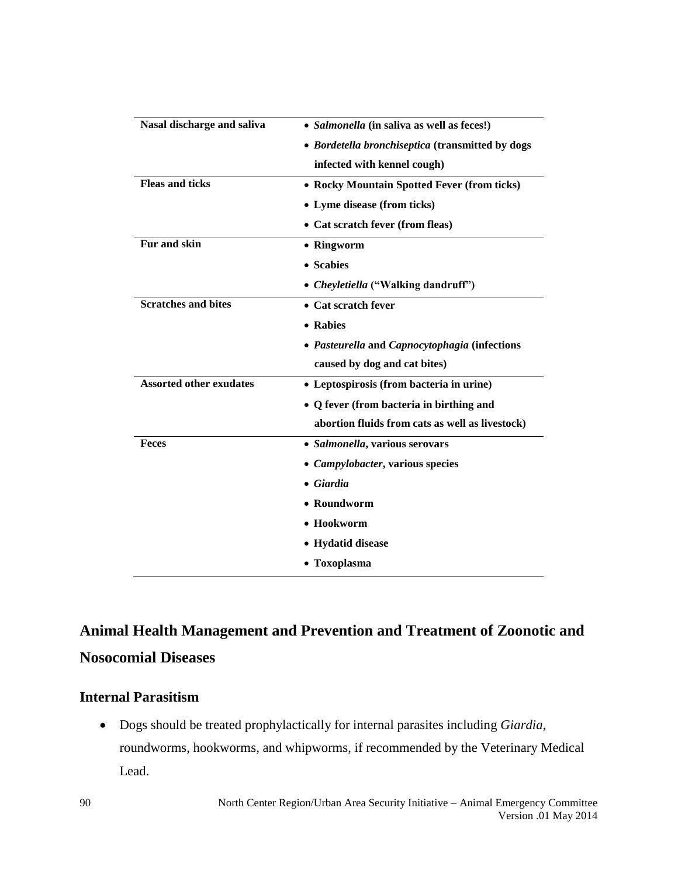| Nasal discharge and saliva     | • Salmonella (in saliva as well as feces!)       |  |  |  |
|--------------------------------|--------------------------------------------------|--|--|--|
|                                | • Bordetella bronchiseptica (transmitted by dogs |  |  |  |
|                                | infected with kennel cough)                      |  |  |  |
| <b>Fleas and ticks</b>         | • Rocky Mountain Spotted Fever (from ticks)      |  |  |  |
|                                | • Lyme disease (from ticks)                      |  |  |  |
|                                | • Cat scratch fever (from fleas)                 |  |  |  |
| Fur and skin                   | • Ringworm                                       |  |  |  |
|                                | • Scabies                                        |  |  |  |
|                                | • Cheyletiella ("Walking dandruff")              |  |  |  |
| <b>Scratches and bites</b>     | • Cat scratch fever                              |  |  |  |
|                                | • Rabies                                         |  |  |  |
|                                | · Pasteurella and Capnocytophagia (infections    |  |  |  |
|                                | caused by dog and cat bites)                     |  |  |  |
| <b>Assorted other exudates</b> | • Leptospirosis (from bacteria in urine)         |  |  |  |
|                                | • Q fever (from bacteria in birthing and         |  |  |  |
|                                | abortion fluids from cats as well as livestock)  |  |  |  |
| <b>Feces</b>                   | • Salmonella, various serovars                   |  |  |  |
|                                | • Campylobacter, various species                 |  |  |  |
|                                | • Giardia                                        |  |  |  |
|                                | • Roundworm                                      |  |  |  |
|                                | $\bullet$ Hookworm                               |  |  |  |
|                                | • Hydatid disease                                |  |  |  |
|                                | • Toxoplasma                                     |  |  |  |

## **Animal Health Management and Prevention and Treatment of Zoonotic and Nosocomial Diseases**

#### **Internal Parasitism**

 Dogs should be treated prophylactically for internal parasites including *Giardia*, roundworms, hookworms, and whipworms, if recommended by the Veterinary Medical Lead.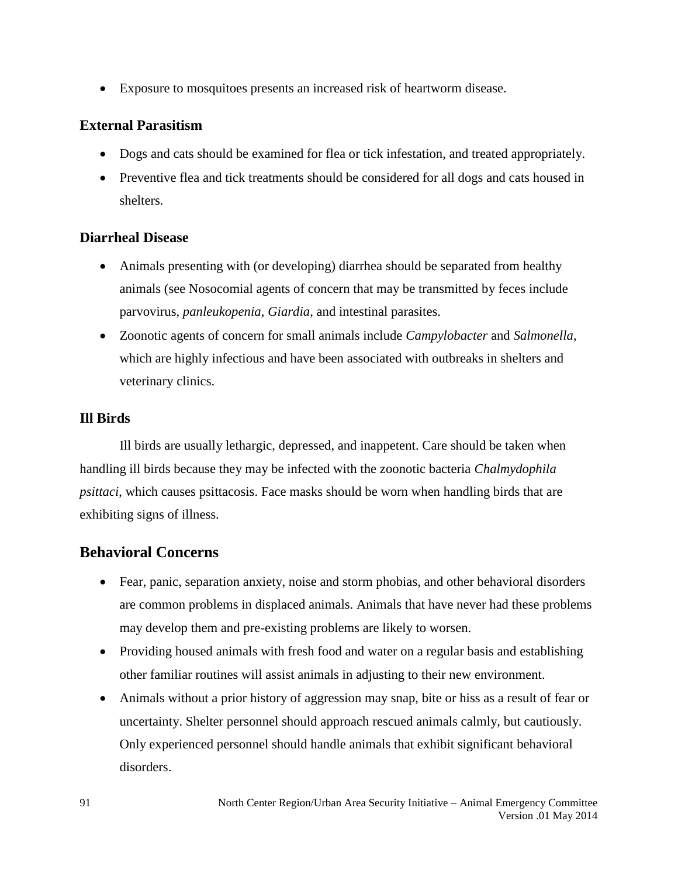Exposure to mosquitoes presents an increased risk of heartworm disease.

#### **External Parasitism**

- Dogs and cats should be examined for flea or tick infestation, and treated appropriately.
- Preventive flea and tick treatments should be considered for all dogs and cats housed in shelters.

#### **Diarrheal Disease**

- Animals presenting with (or developing) diarrhea should be separated from healthy animals (see Nosocomial agents of concern that may be transmitted by feces include parvovirus, *panleukopenia*, *Giardia*, and intestinal parasites.
- Zoonotic agents of concern for small animals include *Campylobacter* and *Salmonella*, which are highly infectious and have been associated with outbreaks in shelters and veterinary clinics.

#### **Ill Birds**

Ill birds are usually lethargic, depressed, and inappetent. Care should be taken when handling ill birds because they may be infected with the zoonotic bacteria *Chalmydophila psittaci*, which causes psittacosis. Face masks should be worn when handling birds that are exhibiting signs of illness.

### **Behavioral Concerns**

- Fear, panic, separation anxiety, noise and storm phobias, and other behavioral disorders are common problems in displaced animals. Animals that have never had these problems may develop them and pre-existing problems are likely to worsen.
- Providing housed animals with fresh food and water on a regular basis and establishing other familiar routines will assist animals in adjusting to their new environment.
- Animals without a prior history of aggression may snap, bite or hiss as a result of fear or uncertainty. Shelter personnel should approach rescued animals calmly, but cautiously. Only experienced personnel should handle animals that exhibit significant behavioral disorders.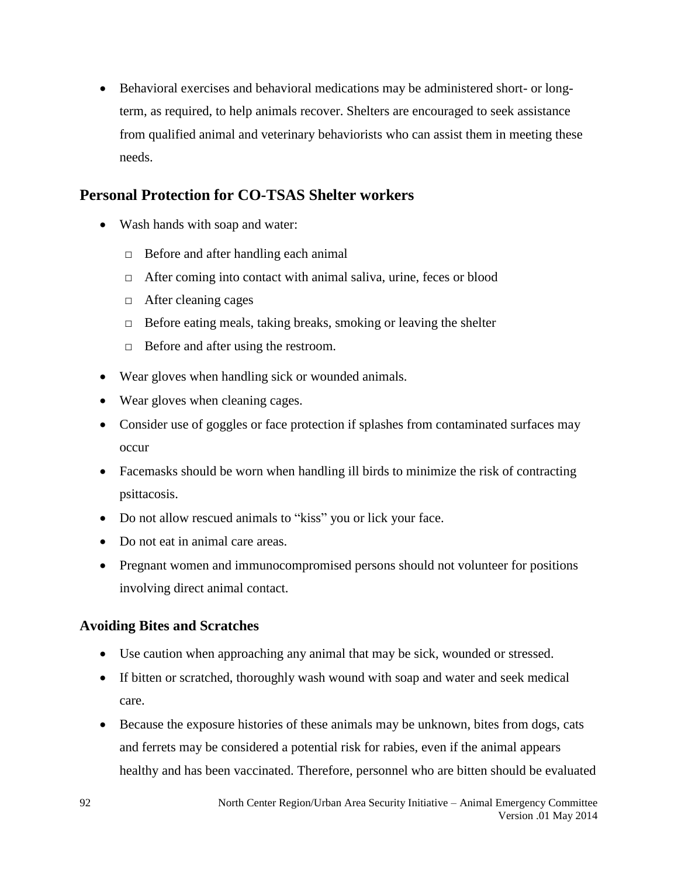Behavioral exercises and behavioral medications may be administered short- or longterm, as required, to help animals recover. Shelters are encouraged to seek assistance from qualified animal and veterinary behaviorists who can assist them in meeting these needs.

### **Personal Protection for CO-TSAS Shelter workers**

- Wash hands with soap and water:
	- □ Before and after handling each animal
	- $\Box$  After coming into contact with animal saliva, urine, feces or blood
	- □ After cleaning cages
	- $\Box$  Before eating meals, taking breaks, smoking or leaving the shelter
	- □ Before and after using the restroom.
- Wear gloves when handling sick or wounded animals.
- Wear gloves when cleaning cages.
- Consider use of goggles or face protection if splashes from contaminated surfaces may occur
- Facemasks should be worn when handling ill birds to minimize the risk of contracting psittacosis.
- Do not allow rescued animals to "kiss" you or lick your face.
- Do not eat in animal care areas.
- Pregnant women and immunocompromised persons should not volunteer for positions involving direct animal contact.

#### **Avoiding Bites and Scratches**

- Use caution when approaching any animal that may be sick, wounded or stressed.
- If bitten or scratched, thoroughly wash wound with soap and water and seek medical care.
- Because the exposure histories of these animals may be unknown, bites from dogs, cats and ferrets may be considered a potential risk for rabies, even if the animal appears healthy and has been vaccinated. Therefore, personnel who are bitten should be evaluated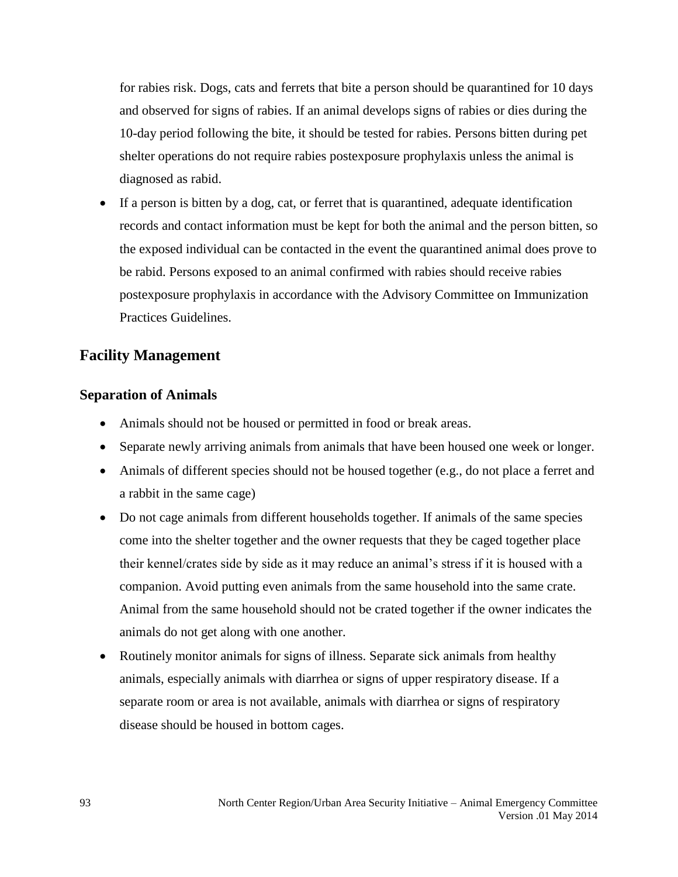for rabies risk. Dogs, cats and ferrets that bite a person should be quarantined for 10 days and observed for signs of rabies. If an animal develops signs of rabies or dies during the 10-day period following the bite, it should be tested for rabies. Persons bitten during pet shelter operations do not require rabies postexposure prophylaxis unless the animal is diagnosed as rabid.

 If a person is bitten by a dog, cat, or ferret that is quarantined, adequate identification records and contact information must be kept for both the animal and the person bitten, so the exposed individual can be contacted in the event the quarantined animal does prove to be rabid. Persons exposed to an animal confirmed with rabies should receive rabies postexposure prophylaxis in accordance with the Advisory Committee on Immunization Practices Guidelines.

### **Facility Management**

#### **Separation of Animals**

- Animals should not be housed or permitted in food or break areas.
- Separate newly arriving animals from animals that have been housed one week or longer.
- Animals of different species should not be housed together (e.g., do not place a ferret and a rabbit in the same cage)
- Do not cage animals from different households together. If animals of the same species come into the shelter together and the owner requests that they be caged together place their kennel/crates side by side as it may reduce an animal's stress if it is housed with a companion. Avoid putting even animals from the same household into the same crate. Animal from the same household should not be crated together if the owner indicates the animals do not get along with one another.
- Routinely monitor animals for signs of illness. Separate sick animals from healthy animals, especially animals with diarrhea or signs of upper respiratory disease. If a separate room or area is not available, animals with diarrhea or signs of respiratory disease should be housed in bottom cages.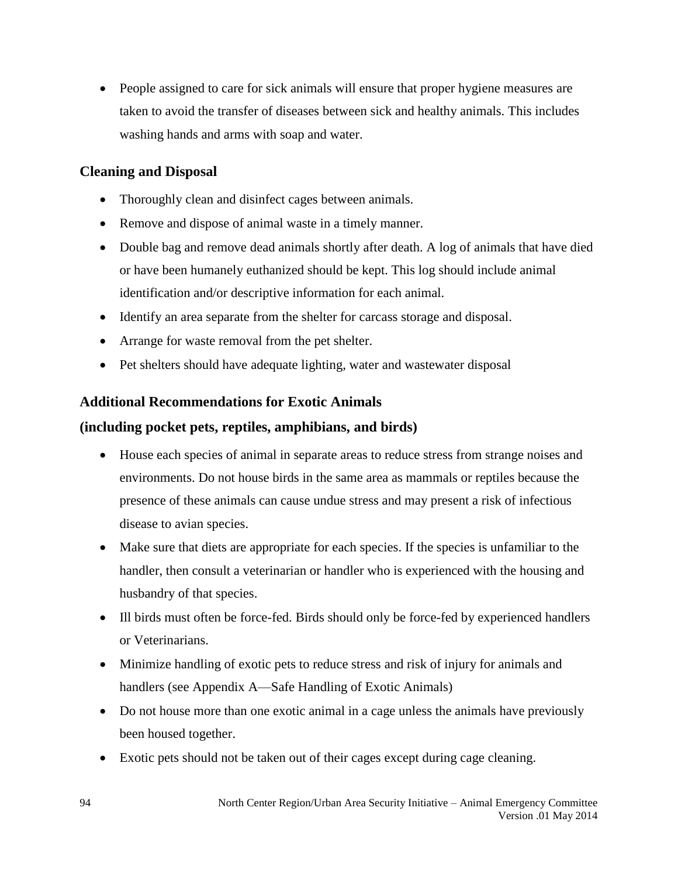• People assigned to care for sick animals will ensure that proper hygiene measures are taken to avoid the transfer of diseases between sick and healthy animals. This includes washing hands and arms with soap and water.

#### **Cleaning and Disposal**

- Thoroughly clean and disinfect cages between animals.
- Remove and dispose of animal waste in a timely manner.
- Double bag and remove dead animals shortly after death. A log of animals that have died or have been humanely euthanized should be kept. This log should include animal identification and/or descriptive information for each animal.
- Identify an area separate from the shelter for carcass storage and disposal.
- Arrange for waste removal from the pet shelter.
- Pet shelters should have adequate lighting, water and wastewater disposal

#### **Additional Recommendations for Exotic Animals**

#### **(including pocket pets, reptiles, amphibians, and birds)**

- House each species of animal in separate areas to reduce stress from strange noises and environments. Do not house birds in the same area as mammals or reptiles because the presence of these animals can cause undue stress and may present a risk of infectious disease to avian species.
- Make sure that diets are appropriate for each species. If the species is unfamiliar to the handler, then consult a veterinarian or handler who is experienced with the housing and husbandry of that species.
- Ill birds must often be force-fed. Birds should only be force-fed by experienced handlers or Veterinarians.
- Minimize handling of exotic pets to reduce stress and risk of injury for animals and handlers (see Appendix A—Safe Handling of Exotic Animals)
- Do not house more than one exotic animal in a cage unless the animals have previously been housed together.
- Exotic pets should not be taken out of their cages except during cage cleaning.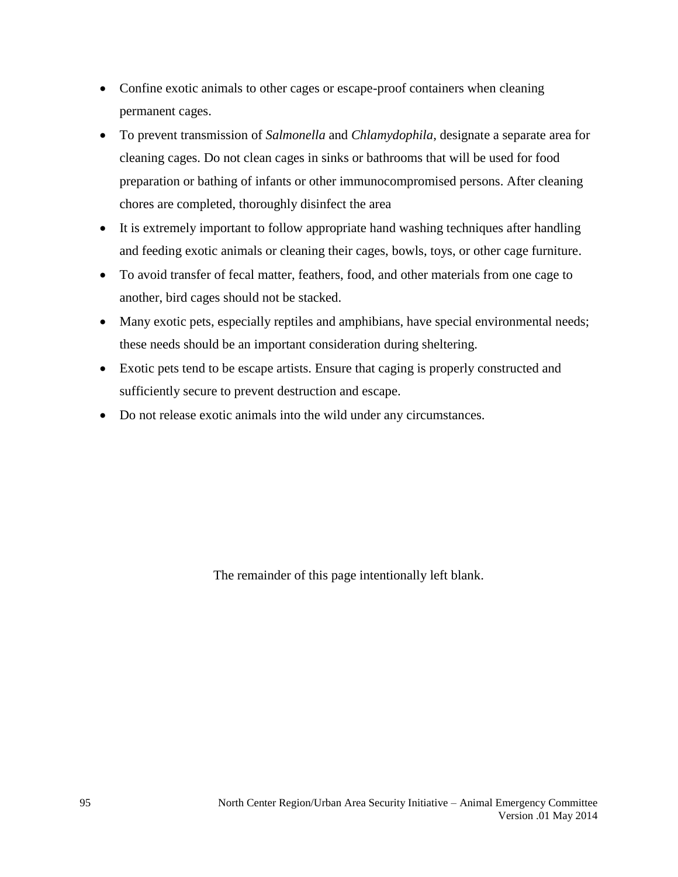- Confine exotic animals to other cages or escape-proof containers when cleaning permanent cages.
- To prevent transmission of *Salmonella* and *Chlamydophila*, designate a separate area for cleaning cages. Do not clean cages in sinks or bathrooms that will be used for food preparation or bathing of infants or other immunocompromised persons. After cleaning chores are completed, thoroughly disinfect the area
- It is extremely important to follow appropriate hand washing techniques after handling and feeding exotic animals or cleaning their cages, bowls, toys, or other cage furniture.
- To avoid transfer of fecal matter, feathers, food, and other materials from one cage to another, bird cages should not be stacked.
- Many exotic pets, especially reptiles and amphibians, have special environmental needs; these needs should be an important consideration during sheltering.
- Exotic pets tend to be escape artists. Ensure that caging is properly constructed and sufficiently secure to prevent destruction and escape.
- Do not release exotic animals into the wild under any circumstances.

The remainder of this page intentionally left blank.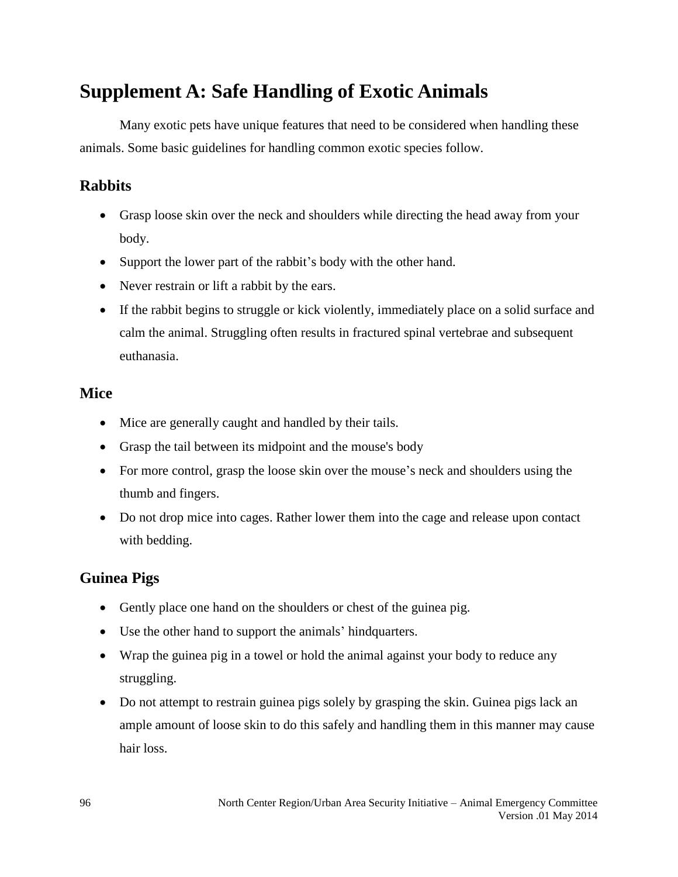## **Supplement A: Safe Handling of Exotic Animals**

Many exotic pets have unique features that need to be considered when handling these animals. Some basic guidelines for handling common exotic species follow.

## **Rabbits**

- Grasp loose skin over the neck and shoulders while directing the head away from your body.
- Support the lower part of the rabbit's body with the other hand.
- Never restrain or lift a rabbit by the ears.
- If the rabbit begins to struggle or kick violently, immediately place on a solid surface and calm the animal. Struggling often results in fractured spinal vertebrae and subsequent euthanasia.

### **Mice**

- Mice are generally caught and handled by their tails.
- Grasp the tail between its midpoint and the mouse's body
- For more control, grasp the loose skin over the mouse's neck and shoulders using the thumb and fingers.
- Do not drop mice into cages. Rather lower them into the cage and release upon contact with bedding.

## **Guinea Pigs**

- Gently place one hand on the shoulders or chest of the guinea pig.
- Use the other hand to support the animals' hindquarters.
- Wrap the guinea pig in a towel or hold the animal against your body to reduce any struggling.
- Do not attempt to restrain guinea pigs solely by grasping the skin. Guinea pigs lack an ample amount of loose skin to do this safely and handling them in this manner may cause hair loss.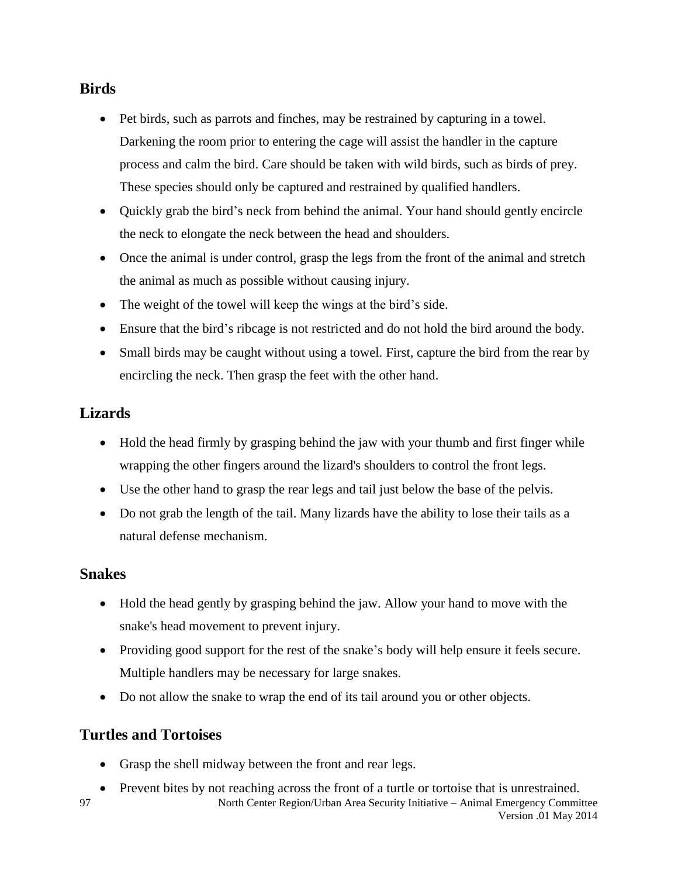### **Birds**

- Pet birds, such as parrots and finches, may be restrained by capturing in a towel. Darkening the room prior to entering the cage will assist the handler in the capture process and calm the bird. Care should be taken with wild birds, such as birds of prey. These species should only be captured and restrained by qualified handlers.
- Quickly grab the bird's neck from behind the animal. Your hand should gently encircle the neck to elongate the neck between the head and shoulders.
- Once the animal is under control, grasp the legs from the front of the animal and stretch the animal as much as possible without causing injury.
- The weight of the towel will keep the wings at the bird's side.
- Ensure that the bird's ribcage is not restricted and do not hold the bird around the body.
- Small birds may be caught without using a towel. First, capture the bird from the rear by encircling the neck. Then grasp the feet with the other hand.

## **Lizards**

- Hold the head firmly by grasping behind the jaw with your thumb and first finger while wrapping the other fingers around the lizard's shoulders to control the front legs.
- Use the other hand to grasp the rear legs and tail just below the base of the pelvis.
- Do not grab the length of the tail. Many lizards have the ability to lose their tails as a natural defense mechanism.

#### **Snakes**

- Hold the head gently by grasping behind the jaw. Allow your hand to move with the snake's head movement to prevent injury.
- Providing good support for the rest of the snake's body will help ensure it feels secure. Multiple handlers may be necessary for large snakes.
- Do not allow the snake to wrap the end of its tail around you or other objects.

### **Turtles and Tortoises**

- Grasp the shell midway between the front and rear legs.
- North Center Region/Urban Area Security Initiative Animal Emergency Committee Version .01 May 2014 97 Prevent bites by not reaching across the front of a turtle or tortoise that is unrestrained.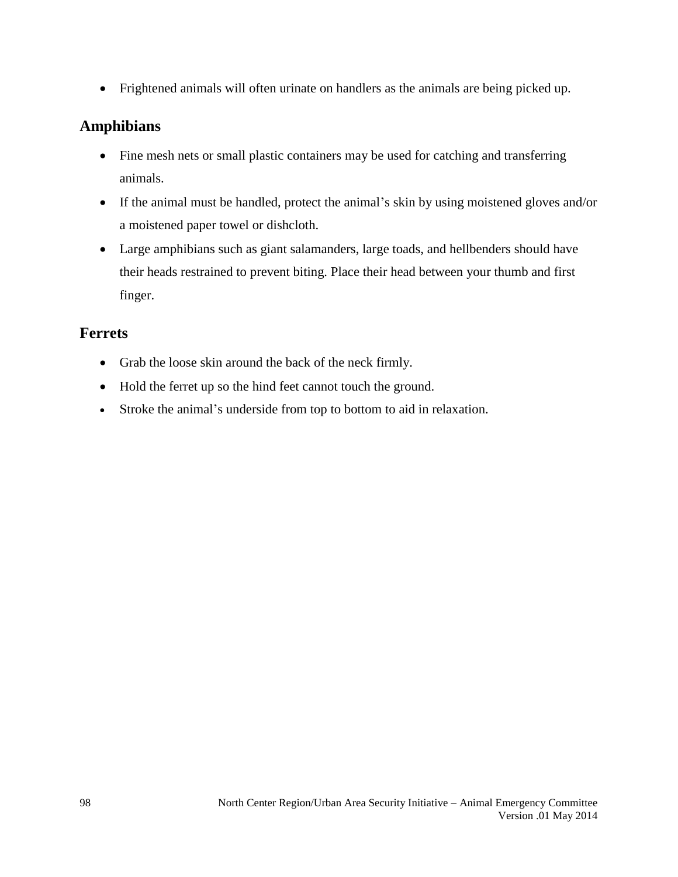Frightened animals will often urinate on handlers as the animals are being picked up.

### **Amphibians**

- Fine mesh nets or small plastic containers may be used for catching and transferring animals.
- If the animal must be handled, protect the animal's skin by using moistened gloves and/or a moistened paper towel or dishcloth.
- Large amphibians such as giant salamanders, large toads, and hellbenders should have their heads restrained to prevent biting. Place their head between your thumb and first finger.

### **Ferrets**

- Grab the loose skin around the back of the neck firmly.
- Hold the ferret up so the hind feet cannot touch the ground.
- Stroke the animal's underside from top to bottom to aid in relaxation.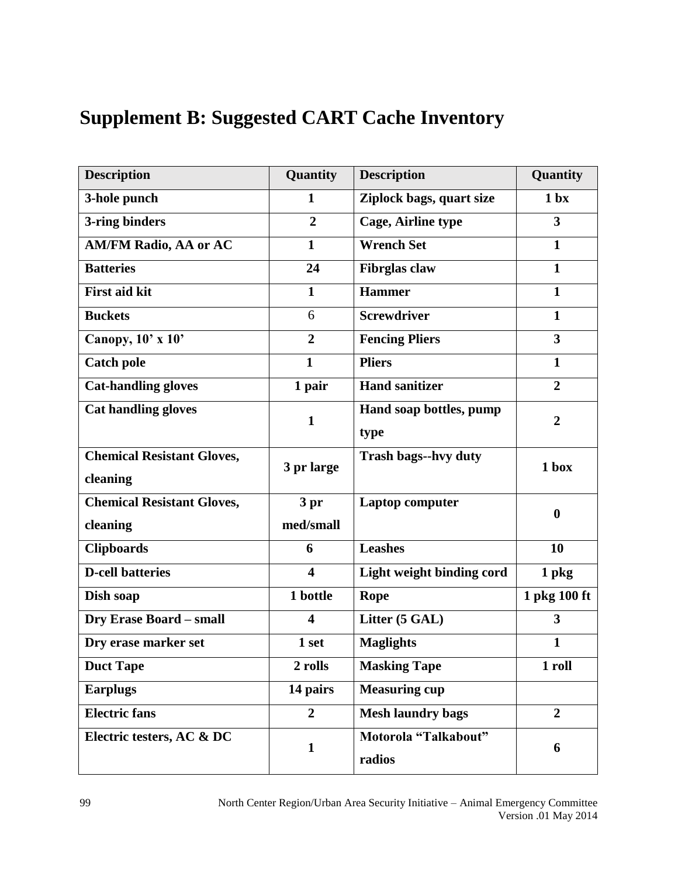# **Supplement B: Suggested CART Cache Inventory**

| <b>Description</b>                | Quantity                | <b>Description</b>             | Quantity         |
|-----------------------------------|-------------------------|--------------------------------|------------------|
| 3-hole punch                      | $\mathbf{1}$            | Ziplock bags, quart size       | 1 <sub>bx</sub>  |
| 3-ring binders                    | $\overline{2}$          | <b>Cage, Airline type</b>      | 3                |
| <b>AM/FM Radio, AA or AC</b>      | $\mathbf{1}$            | <b>Wrench Set</b>              | $\mathbf{1}$     |
| <b>Batteries</b>                  | 24                      | <b>Fibrglas</b> claw           | $\mathbf{1}$     |
| <b>First aid kit</b>              | $\mathbf{1}$            | <b>Hammer</b>                  | $\mathbf{1}$     |
| <b>Buckets</b>                    | 6                       | <b>Screwdriver</b>             | $\mathbf{1}$     |
| Canopy, $10' \times 10'$          | $\overline{2}$          | <b>Fencing Pliers</b>          | 3                |
| <b>Catch pole</b>                 | $\mathbf{1}$            | <b>Pliers</b>                  | $\mathbf{1}$     |
| <b>Cat-handling gloves</b>        | 1 pair                  | <b>Hand sanitizer</b>          | $\overline{2}$   |
| <b>Cat handling gloves</b>        | $\mathbf{1}$            | Hand soap bottles, pump        | $\overline{2}$   |
|                                   |                         | type                           |                  |
| <b>Chemical Resistant Gloves,</b> | 3 pr large              | <b>Trash bags--hvy duty</b>    | 1 <sub>box</sub> |
| cleaning                          |                         |                                |                  |
| <b>Chemical Resistant Gloves,</b> | 3pr                     | <b>Laptop computer</b>         | $\bf{0}$         |
| cleaning                          | med/small               |                                |                  |
| <b>Clipboards</b>                 | 6                       | <b>Leashes</b>                 | 10               |
| <b>D-cell batteries</b>           | $\overline{\mathbf{4}}$ | Light weight binding cord      | 1 pkg            |
| Dish soap                         | 1 bottle                | Rope                           | 1 pkg 100 ft     |
| <b>Dry Erase Board - small</b>    | $\overline{\mathbf{4}}$ | Litter (5 GAL)                 | 3                |
| Dry erase marker set              | 1 set                   | <b>Maglights</b>               | $\mathbf{1}$     |
| <b>Duct Tape</b>                  | 2 rolls                 | <b>Masking Tape</b>            | 1 roll           |
| <b>Earplugs</b>                   | 14 pairs                | <b>Measuring cup</b>           |                  |
| <b>Electric fans</b>              | $\overline{2}$          | <b>Mesh laundry bags</b>       | $\overline{2}$   |
| Electric testers, AC & DC         | $\mathbf{1}$            | Motorola "Talkabout"<br>radios | 6                |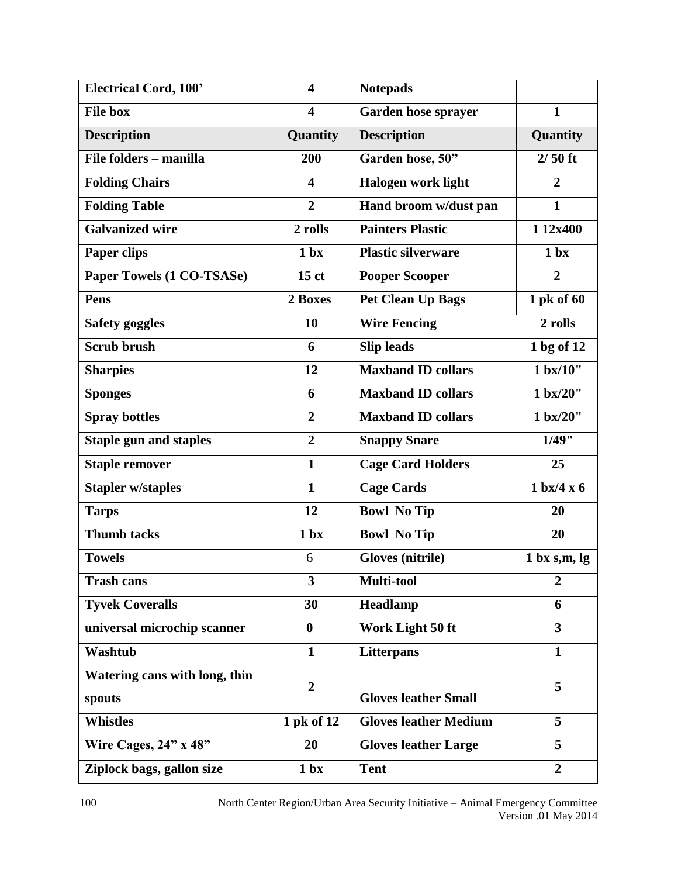| <b>Electrical Cord, 100'</b>  | $\overline{\mathbf{4}}$ | <b>Notepads</b>                                    |                  |
|-------------------------------|-------------------------|----------------------------------------------------|------------------|
| <b>File box</b>               | $\overline{\mathbf{4}}$ | $\mathbf{1}$<br>Garden hose sprayer                |                  |
| <b>Description</b>            | Quantity                | <b>Description</b><br>Quantity                     |                  |
| File folders – manilla        | 200                     | $2/50$ ft<br>Garden hose, 50"                      |                  |
| <b>Folding Chairs</b>         | $\overline{\mathbf{4}}$ | <b>Halogen work light</b><br>$\boldsymbol{2}$      |                  |
| <b>Folding Table</b>          | $\overline{2}$          | $\mathbf{1}$<br>Hand broom w/dust pan              |                  |
| <b>Galvanized wire</b>        | 2 rolls                 | <b>Painters Plastic</b><br>1 12x400                |                  |
| <b>Paper clips</b>            | 1 <sub>bx</sub>         | <b>Plastic silverware</b><br>1 <sub>bx</sub>       |                  |
| Paper Towels (1 CO-TSASe)     | 15 <sub>ct</sub>        | $\overline{2}$<br><b>Pooper Scooper</b>            |                  |
| <b>Pens</b>                   | 2 Boxes                 | 1 pk of 60<br><b>Pet Clean Up Bags</b>             |                  |
| <b>Safety goggles</b>         | 10                      | <b>Wire Fencing</b>                                | 2 rolls          |
| <b>Scrub brush</b>            | 6                       | 1 bg of 12<br><b>Slip leads</b>                    |                  |
| <b>Sharpies</b>               | 12                      | <b>Maxband ID collars</b><br>$1 \text{ bx}/10$ "   |                  |
| <b>Sponges</b>                | 6                       | <b>Maxband ID collars</b><br>1 bx/20"              |                  |
| <b>Spray bottles</b>          | $\overline{2}$          | <b>Maxband ID collars</b><br>1 bx/20"              |                  |
| <b>Staple gun and staples</b> | $\overline{2}$          | 1/49"<br><b>Snappy Snare</b>                       |                  |
| <b>Staple remover</b>         | $\mathbf{1}$            | <b>Cage Card Holders</b>                           | 25               |
| <b>Stapler w/staples</b>      | $\mathbf{1}$            | $1 \text{ bx}/4 \text{ x } 6$<br><b>Cage Cards</b> |                  |
| <b>Tarps</b>                  | 12                      | <b>Bowl No Tip</b><br>20                           |                  |
| <b>Thumb tacks</b>            | 1 <sub>bx</sub>         | <b>Bowl No Tip</b>                                 | 20               |
| <b>Towels</b>                 | 6                       | <b>Gloves (nitrile)</b>                            | 1 bx s,m, lg     |
| <b>Trash cans</b>             | 3                       | Multi-tool                                         | $\boldsymbol{2}$ |
| <b>Tyvek Coveralls</b>        | 30                      | Headlamp<br>6                                      |                  |
| universal microchip scanner   | $\bf{0}$                | Work Light 50 ft                                   | 3                |
| <b>Washtub</b>                | $\mathbf{1}$            | $\mathbf{1}$<br>Litterpans                         |                  |
| Watering cans with long, thin |                         |                                                    |                  |
| spouts                        | $\overline{2}$          | <b>Gloves leather Small</b>                        | 5                |
| <b>Whistles</b>               | 1 pk of 12              | <b>Gloves leather Medium</b>                       | 5                |
| Wire Cages, $24"$ x $48"$     | 20                      | <b>Gloves leather Large</b>                        | 5                |
| Ziplock bags, gallon size     | 1 <sub>bx</sub>         | <b>Tent</b>                                        | $\overline{2}$   |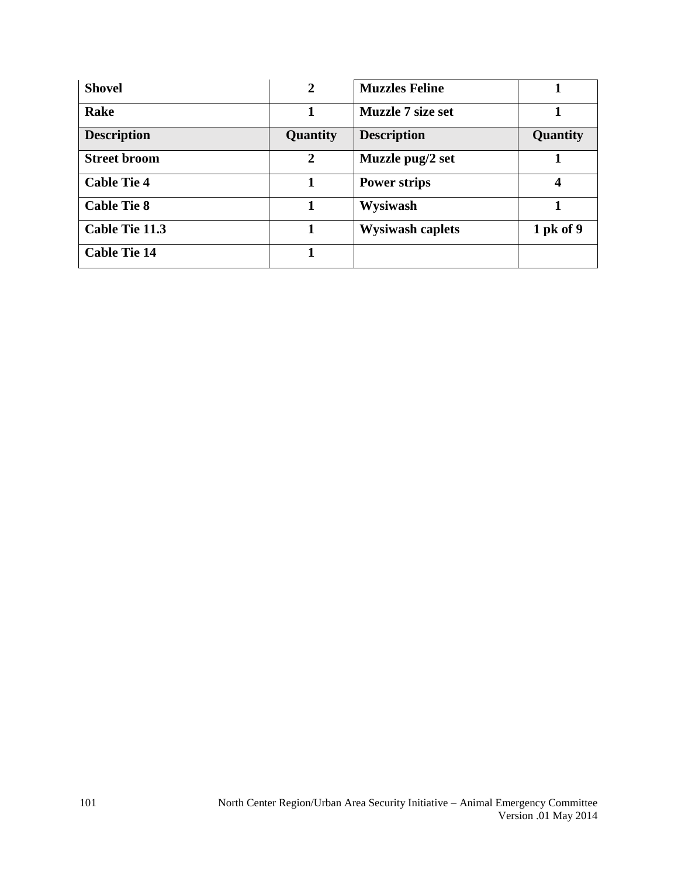| <b>Shovel</b>         | $\mathbf{2}$ | <b>Muzzles Feline</b>    |             |
|-----------------------|--------------|--------------------------|-------------|
| Rake                  |              | <b>Muzzle 7 size set</b> |             |
| <b>Description</b>    | Quantity     | <b>Description</b>       | Quantity    |
| <b>Street broom</b>   | 2            | Muzzle pug/2 set         |             |
| <b>Cable Tie 4</b>    |              | <b>Power strips</b>      |             |
| <b>Cable Tie 8</b>    |              | Wysiwash                 |             |
| <b>Cable Tie 11.3</b> |              | <b>Wysiwash caplets</b>  | $1$ pk of 9 |
| <b>Cable Tie 14</b>   |              |                          |             |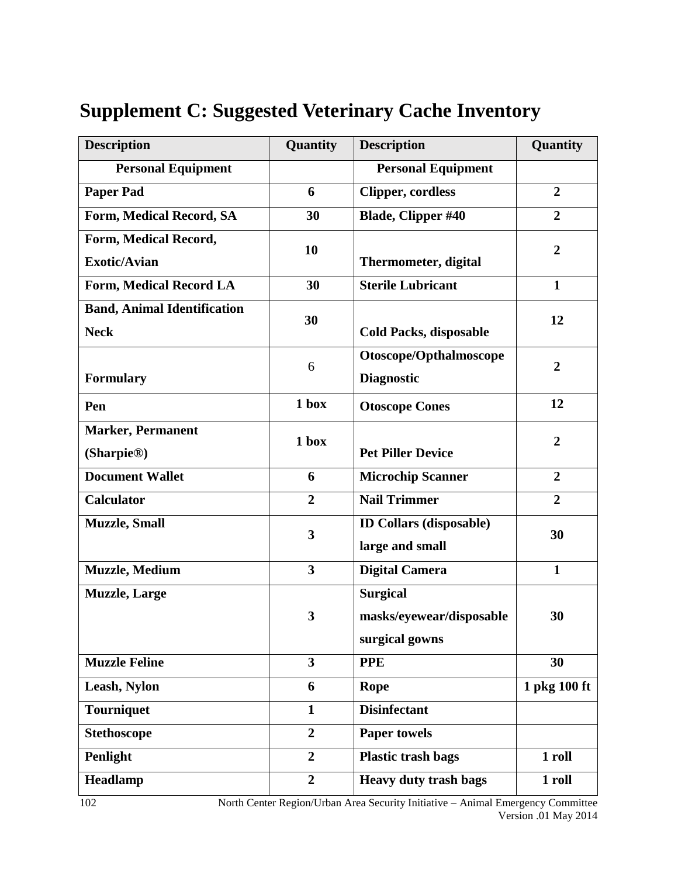| <b>Description</b>                                 | Quantity                | <b>Description</b><br>Quantity                                |                  |
|----------------------------------------------------|-------------------------|---------------------------------------------------------------|------------------|
| <b>Personal Equipment</b>                          |                         | <b>Personal Equipment</b>                                     |                  |
| <b>Paper Pad</b>                                   | 6                       | $\overline{2}$<br><b>Clipper, cordless</b>                    |                  |
| Form, Medical Record, SA                           | 30                      | <b>Blade, Clipper #40</b>                                     | $\overline{2}$   |
| Form, Medical Record,<br><b>Exotic/Avian</b>       | 10                      | <b>Thermometer, digital</b>                                   | $\boldsymbol{2}$ |
| Form, Medical Record LA                            | 30                      | <b>Sterile Lubricant</b>                                      | $\mathbf{1}$     |
| <b>Band, Animal Identification</b><br><b>Neck</b>  | 30                      | <b>Cold Packs, disposable</b>                                 | 12               |
| <b>Formulary</b>                                   | 6                       | Otoscope/Opthalmoscope<br><b>Diagnostic</b>                   | $\overline{2}$   |
| Pen                                                | 1 box                   | <b>Otoscope Cones</b>                                         | 12               |
| <b>Marker, Permanent</b><br>(Sharpie <sup>®)</sup> | 1 box                   | <b>Pet Piller Device</b>                                      | $\overline{2}$   |
| <b>Document Wallet</b>                             | 6                       | <b>Microchip Scanner</b><br>$\overline{2}$                    |                  |
| <b>Calculator</b>                                  | $\overline{2}$          | <b>Nail Trimmer</b>                                           | $\overline{2}$   |
| <b>Muzzle</b> , Small                              | 3                       | <b>ID Collars (disposable)</b><br>30<br>large and small       |                  |
| <b>Muzzle</b> , Medium                             | 3                       | $\mathbf{1}$<br><b>Digital Camera</b>                         |                  |
| <b>Muzzle</b> , Large                              | 3                       | <b>Surgical</b><br>masks/eyewear/disposable<br>surgical gowns | 30               |
| <b>Muzzle Feline</b>                               | $\overline{\mathbf{3}}$ | <b>PPE</b>                                                    | 30               |
| Leash, Nylon                                       | 6                       | <b>Rope</b>                                                   | 1 pkg 100 ft     |
| <b>Tourniquet</b>                                  | $\mathbf{1}$            | <b>Disinfectant</b>                                           |                  |
| <b>Stethoscope</b>                                 | $\overline{2}$          | <b>Paper towels</b>                                           |                  |
| Penlight                                           | $\overline{2}$          | <b>Plastic trash bags</b>                                     | 1 roll           |
| Headlamp                                           | $\overline{2}$          | <b>Heavy duty trash bags</b>                                  | 1 roll           |

# **Supplement C: Suggested Veterinary Cache Inventory**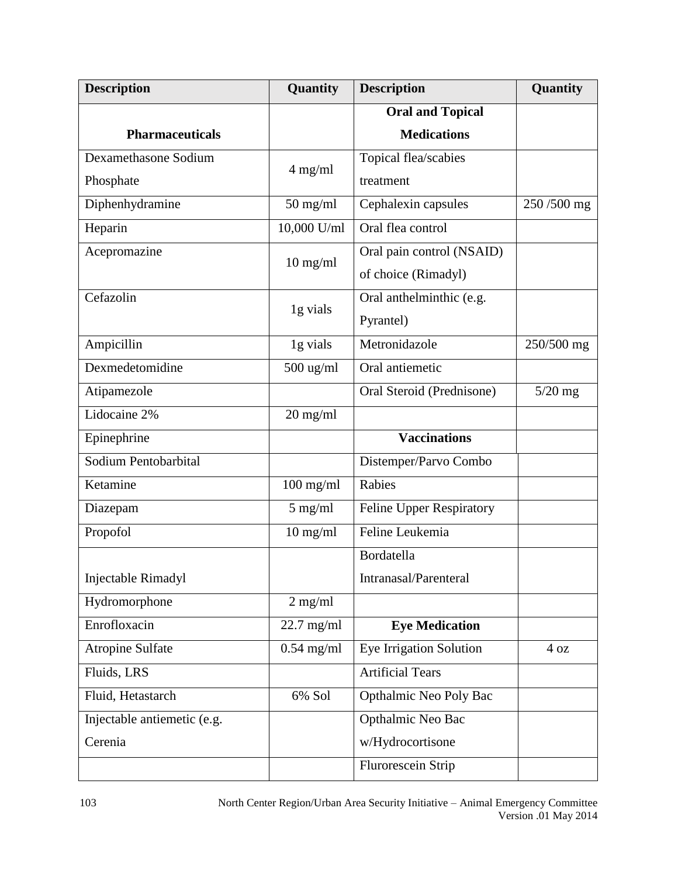| <b>Description</b>          | Quantity     | <b>Description</b><br>Quantity         |            |
|-----------------------------|--------------|----------------------------------------|------------|
|                             |              | <b>Oral and Topical</b>                |            |
| <b>Pharmaceuticals</b>      |              | <b>Medications</b>                     |            |
| Dexamethasone Sodium        | 4 mg/ml      | Topical flea/scabies                   |            |
| Phosphate                   |              | treatment                              |            |
| Diphenhydramine             | $50$ mg/ml   | Cephalexin capsules                    | 250/500 mg |
| Heparin                     | 10,000 U/ml  | Oral flea control                      |            |
| Acepromazine                | $10$ mg/ml   | Oral pain control (NSAID)              |            |
|                             |              | of choice (Rimadyl)                    |            |
| Cefazolin                   |              | Oral anthelminthic (e.g.               |            |
|                             | 1g vials     | Pyrantel)                              |            |
| Ampicillin                  | 1g vials     | Metronidazole<br>250/500 mg            |            |
| Dexmedetomidine             | $500$ ug/ml  | Oral antiemetic                        |            |
| Atipamezole                 |              | Oral Steroid (Prednisone)<br>$5/20$ mg |            |
| Lidocaine 2%                | $20$ mg/ml   |                                        |            |
| Epinephrine                 |              | <b>Vaccinations</b>                    |            |
| Sodium Pentobarbital        |              | Distemper/Parvo Combo                  |            |
| Ketamine                    | $100$ mg/ml  | Rabies                                 |            |
| Diazepam                    | $5$ mg/ml    | Feline Upper Respiratory               |            |
| Propofol                    | $10$ mg/ml   | Feline Leukemia                        |            |
|                             |              | Bordatella                             |            |
| Injectable Rimadyl          |              | т<br>Intranasal/Parenteral             |            |
| Hydromorphone               | $2$ mg/ml    |                                        |            |
| Enrofloxacin                | $22.7$ mg/ml | <b>Eye Medication</b>                  |            |
| Atropine Sulfate            | $0.54$ mg/ml | Eye Irrigation Solution                | 4 oz       |
| Fluids, LRS                 |              | <b>Artificial Tears</b>                |            |
| Fluid, Hetastarch           | 6% Sol       | Opthalmic Neo Poly Bac                 |            |
| Injectable antiemetic (e.g. |              | Opthalmic Neo Bac                      |            |
| Cerenia                     |              | w/Hydrocortisone                       |            |
|                             |              | Flurorescein Strip                     |            |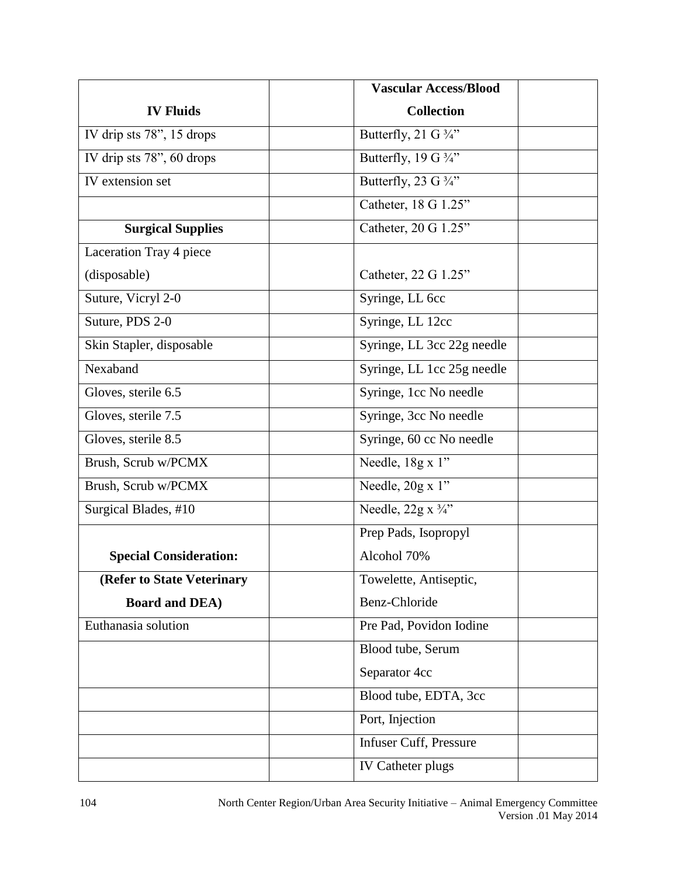|                               | <b>Vascular Access/Blood</b>    |  |
|-------------------------------|---------------------------------|--|
| <b>IV Fluids</b>              | <b>Collection</b>               |  |
| IV drip sts 78", 15 drops     | Butterfly, 21 G $\frac{3}{4}$ " |  |
| IV drip sts 78", 60 drops     | Butterfly, 19 G $\frac{3}{4}$ " |  |
| IV extension set              | Butterfly, 23 G $\frac{3}{4}$ " |  |
|                               | Catheter, 18 G 1.25"            |  |
| <b>Surgical Supplies</b>      | Catheter, 20 G 1.25"            |  |
| Laceration Tray 4 piece       |                                 |  |
| (disposable)                  | Catheter, 22 G 1.25"            |  |
| Suture, Vicryl 2-0            | Syringe, LL 6cc                 |  |
| Suture, PDS 2-0               | Syringe, LL 12cc                |  |
| Skin Stapler, disposable      | Syringe, LL 3cc 22g needle      |  |
| Nexaband                      | Syringe, LL 1cc 25g needle      |  |
| Gloves, sterile 6.5           | Syringe, 1cc No needle          |  |
| Gloves, sterile 7.5           | Syringe, 3cc No needle          |  |
| Gloves, sterile 8.5           | Syringe, 60 cc No needle        |  |
| Brush, Scrub w/PCMX           | Needle, 18g x 1"                |  |
| Brush, Scrub w/PCMX           | Needle, 20g x 1"                |  |
| Surgical Blades, #10          | Needle, $22g x \frac{3}{4}$ "   |  |
|                               | Prep Pads, Isopropyl            |  |
| <b>Special Consideration:</b> | Alcohol 70%                     |  |
| (Refer to State Veterinary    | Towelette, Antiseptic,          |  |
| <b>Board and DEA)</b>         | Benz-Chloride                   |  |
| Euthanasia solution           | Pre Pad, Povidon Iodine         |  |
|                               | Blood tube, Serum               |  |
|                               | Separator 4cc                   |  |
|                               | Blood tube, EDTA, 3cc           |  |
|                               | Port, Injection                 |  |
|                               | Infuser Cuff, Pressure          |  |
|                               | <b>IV Catheter plugs</b>        |  |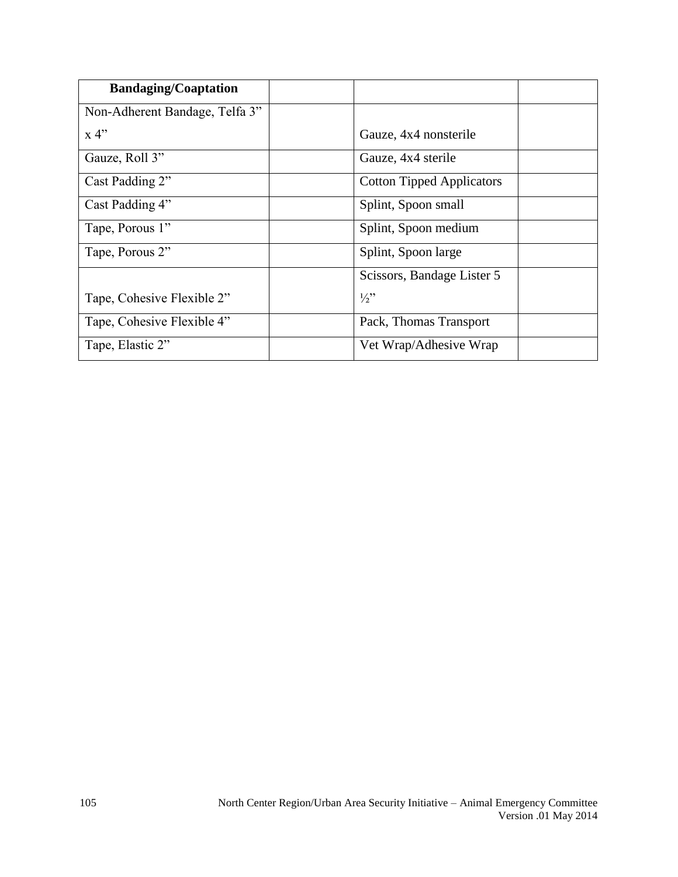| <b>Bandaging/Coaptation</b>    |                                  |  |
|--------------------------------|----------------------------------|--|
| Non-Adherent Bandage, Telfa 3" |                                  |  |
| x 4"                           | Gauze, 4x4 nonsterile            |  |
| Gauze, Roll 3"                 | Gauze, 4x4 sterile               |  |
| Cast Padding 2"                | <b>Cotton Tipped Applicators</b> |  |
| Cast Padding 4"                | Splint, Spoon small              |  |
| Tape, Porous 1"                | Splint, Spoon medium             |  |
| Tape, Porous 2"                | Splint, Spoon large              |  |
|                                | Scissors, Bandage Lister 5       |  |
| Tape, Cohesive Flexible 2"     | $\frac{1}{2}$                    |  |
| Tape, Cohesive Flexible 4"     | Pack, Thomas Transport           |  |
| Tape, Elastic 2"               | Vet Wrap/Adhesive Wrap           |  |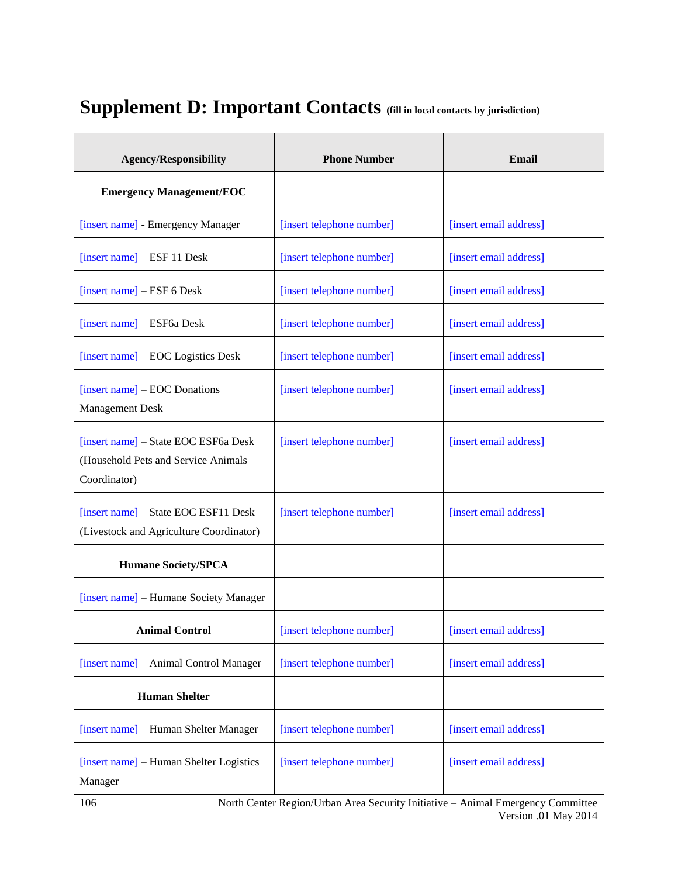# **Supplement D: Important Contacts (fill in local contacts by jurisdiction)**

| <b>Agency/Responsibility</b>                                                                | <b>Phone Number</b>       | <b>Email</b>           |  |
|---------------------------------------------------------------------------------------------|---------------------------|------------------------|--|
| <b>Emergency Management/EOC</b>                                                             |                           |                        |  |
| [insert name] - Emergency Manager                                                           | [insert telephone number] | [insert email address] |  |
| $[insert name] - ESF 11 Desk$                                                               | [insert telephone number] | [insert email address] |  |
| [insert name] – ESF 6 Desk                                                                  | [insert telephone number] | [insert email address] |  |
| [insert name] – ESF6a Desk                                                                  | [insert telephone number] | [insert email address] |  |
| [insert name] – EOC Logistics Desk                                                          | [insert telephone number] | [insert email address] |  |
| [insert name] – EOC Donations<br><b>Management Desk</b>                                     | [insert telephone number] | [insert email address] |  |
| [insert name] - State EOC ESF6a Desk<br>(Household Pets and Service Animals<br>Coordinator) | [insert telephone number] | [insert email address] |  |
| [insert name] – State EOC ESF11 Desk<br>(Livestock and Agriculture Coordinator)             | [insert telephone number] | [insert email address] |  |
| <b>Humane Society/SPCA</b>                                                                  |                           |                        |  |
| [insert name] - Humane Society Manager                                                      |                           |                        |  |
| <b>Animal Control</b>                                                                       | [insert telephone number] | [insert email address] |  |
| [insert name] - Animal Control Manager                                                      | [insert telephone number] | [insert email address] |  |
| <b>Human Shelter</b>                                                                        |                           |                        |  |
| [insert name] - Human Shelter Manager                                                       | [insert telephone number] | [insert email address] |  |
| [insert name] - Human Shelter Logistics<br>Manager                                          | [insert telephone number] | [insert email address] |  |